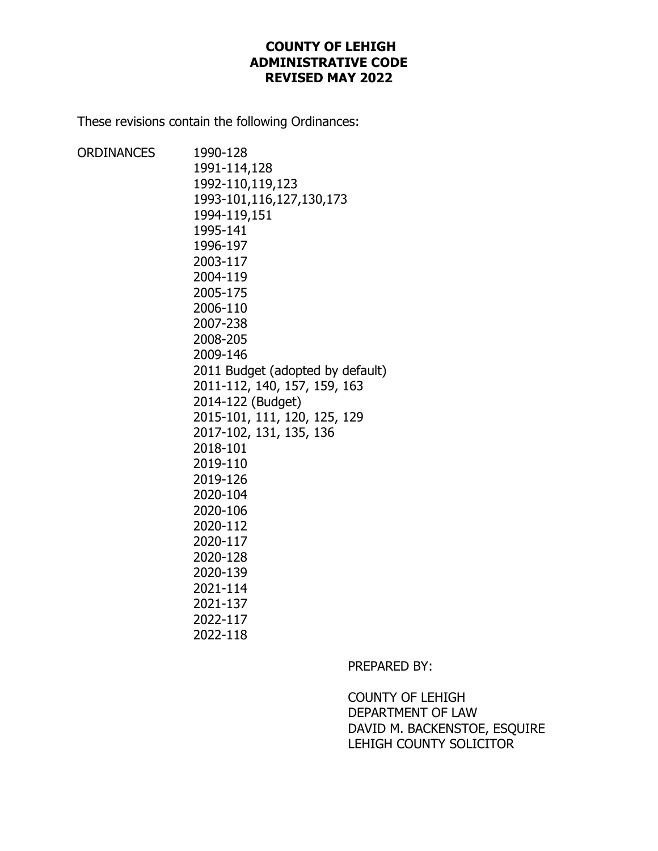# **COUNTY OF LEHIGH ADMINISTRATIVE CODE REVISED MAY 2022**

These revisions contain the following Ordinances:

| ORDINANCES | 1990-128                         |
|------------|----------------------------------|
|            | 1991-114,128                     |
|            | 1992-110,119,123                 |
|            | 1993-101,116,127,130,173         |
|            | 1994-119,151                     |
|            | 1995-141                         |
|            | 1996-197                         |
|            | 2003-117                         |
|            | 2004-119                         |
|            | 2005-175                         |
|            | 2006-110                         |
|            | 2007-238                         |
|            | 2008-205                         |
|            | 2009-146                         |
|            | 2011 Budget (adopted by default) |
|            | 2011-112, 140, 157, 159, 163     |
|            | 2014-122 (Budget)                |
|            | 2015-101, 111, 120, 125, 129     |
|            | 2017-102, 131, 135, 136          |
|            | 2018-101                         |
|            | 2019-110                         |
|            | 2019-126                         |
|            | 2020-104                         |
|            | 2020-106                         |
|            | 2020-112                         |
|            | 2020-117                         |
|            | 2020-128                         |
|            | 2020-139                         |
|            | 2021-114                         |
|            | 2021-137                         |
|            | 2022-117                         |
|            | 2022-118                         |
|            |                                  |

PREPARED BY:

COUNTY OF LEHIGH DEPARTMENT OF LAW DAVID M. BACKENSTOE, ESQUIRE LEHIGH COUNTY SOLICITOR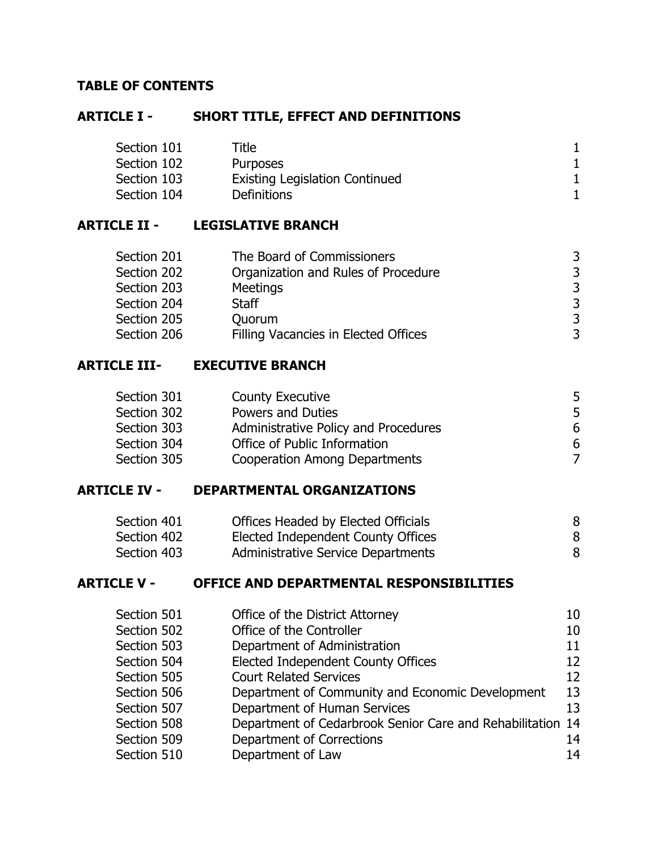# **TABLE OF CONTENTS**

# **ARTICLE I - SHORT TITLE, EFFECT AND DEFINITIONS**

| Section 101 | Title                                 |  |
|-------------|---------------------------------------|--|
| Section 102 | <b>Purposes</b>                       |  |
| Section 103 | <b>Existing Legislation Continued</b> |  |
| Section 104 | <b>Definitions</b>                    |  |

# **ARTICLE II - LEGISLATIVE BRANCH**

| Section 201 | The Board of Commissioners           | 3 |
|-------------|--------------------------------------|---|
| Section 202 | Organization and Rules of Procedure  | 3 |
| Section 203 | <b>Meetings</b>                      | 3 |
| Section 204 | Staff                                | 3 |
| Section 205 | Quorum                               | 3 |
| Section 206 | Filling Vacancies in Elected Offices | 3 |

# **ARTICLE III- EXECUTIVE BRANCH**

| Section 301 | <b>County Executive</b>              |   |
|-------------|--------------------------------------|---|
| Section 302 | <b>Powers and Duties</b>             | 5 |
| Section 303 | Administrative Policy and Procedures | 6 |
| Section 304 | Office of Public Information         | 6 |
| Section 305 | <b>Cooperation Among Departments</b> |   |
|             |                                      |   |

# **ARTICLE IV - DEPARTMENTAL ORGANIZATIONS**

| Section 401 | Offices Headed by Elected Officials |  |
|-------------|-------------------------------------|--|
| Section 402 | Elected Independent County Offices  |  |
| Section 403 | Administrative Service Departments  |  |

# **ARTICLE V - OFFICE AND DEPARTMENTAL RESPONSIBILITIES**

| Section 501 | Office of the District Attorney                            | 10 |
|-------------|------------------------------------------------------------|----|
| Section 502 | Office of the Controller                                   | 10 |
| Section 503 | Department of Administration                               | 11 |
| Section 504 | <b>Elected Independent County Offices</b>                  | 12 |
| Section 505 | <b>Court Related Services</b>                              | 12 |
| Section 506 | Department of Community and Economic Development           | 13 |
| Section 507 | Department of Human Services                               | 13 |
| Section 508 | Department of Cedarbrook Senior Care and Rehabilitation 14 |    |
| Section 509 | Department of Corrections                                  | 14 |
| Section 510 | Department of Law                                          | 14 |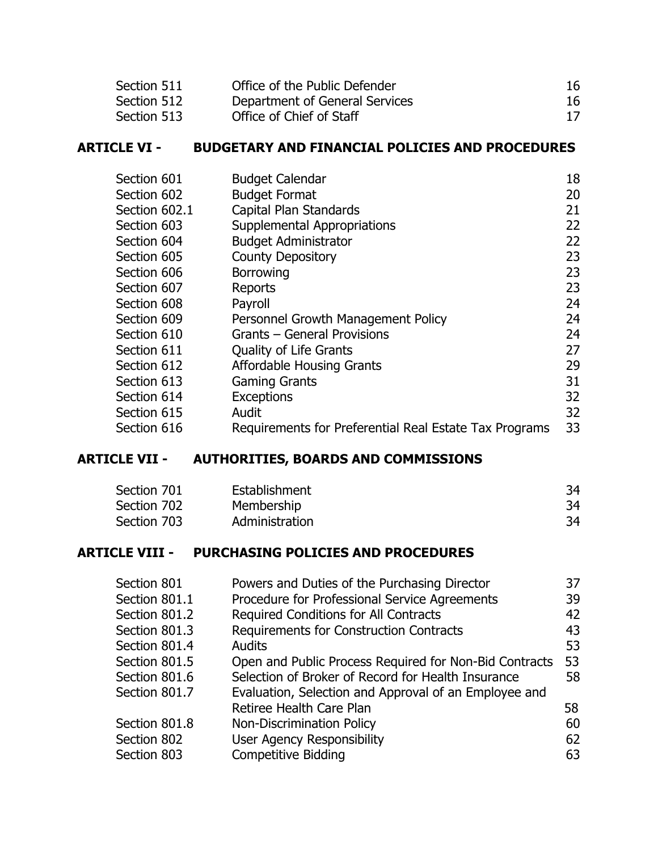| Section 511 | Office of the Public Defender  | 16 |
|-------------|--------------------------------|----|
| Section 512 | Department of General Services | 16 |
| Section 513 | Office of Chief of Staff       | 17 |

# **ARTICLE VI - BUDGETARY AND FINANCIAL POLICIES AND PROCEDURES**

| Section 601   | <b>Budget Calendar</b>                                 | 18 |
|---------------|--------------------------------------------------------|----|
| Section 602   | <b>Budget Format</b>                                   | 20 |
| Section 602.1 | Capital Plan Standards                                 | 21 |
| Section 603   | Supplemental Appropriations                            | 22 |
| Section 604   | <b>Budget Administrator</b>                            | 22 |
| Section 605   | <b>County Depository</b>                               | 23 |
| Section 606   | <b>Borrowing</b>                                       | 23 |
| Section 607   | Reports                                                | 23 |
| Section 608   | Payroll                                                | 24 |
| Section 609   | Personnel Growth Management Policy                     | 24 |
| Section 610   | Grants – General Provisions                            | 24 |
| Section 611   | <b>Quality of Life Grants</b>                          | 27 |
| Section 612   | <b>Affordable Housing Grants</b>                       | 29 |
| Section 613   | <b>Gaming Grants</b>                                   | 31 |
| Section 614   | <b>Exceptions</b>                                      | 32 |
| Section 615   | Audit                                                  | 32 |
| Section 616   | Requirements for Preferential Real Estate Tax Programs | 33 |

# **ARTICLE VII - AUTHORITIES, BOARDS AND COMMISSIONS**

| Section 701 | Establishment  | 34 |
|-------------|----------------|----|
| Section 702 | Membership     | 34 |
| Section 703 | Administration | 34 |

# **ARTICLE VIII - PURCHASING POLICIES AND PROCEDURES**

| Powers and Duties of the Purchasing Director           | 37 |
|--------------------------------------------------------|----|
| Procedure for Professional Service Agreements          | 39 |
| Required Conditions for All Contracts                  | 42 |
| <b>Requirements for Construction Contracts</b>         | 43 |
| <b>Audits</b>                                          | 53 |
| Open and Public Process Required for Non-Bid Contracts | 53 |
| Selection of Broker of Record for Health Insurance     | 58 |
| Evaluation, Selection and Approval of an Employee and  |    |
| Retiree Health Care Plan                               | 58 |
| Non-Discrimination Policy                              | 60 |
| <b>User Agency Responsibility</b>                      | 62 |
| <b>Competitive Bidding</b>                             | 63 |
|                                                        |    |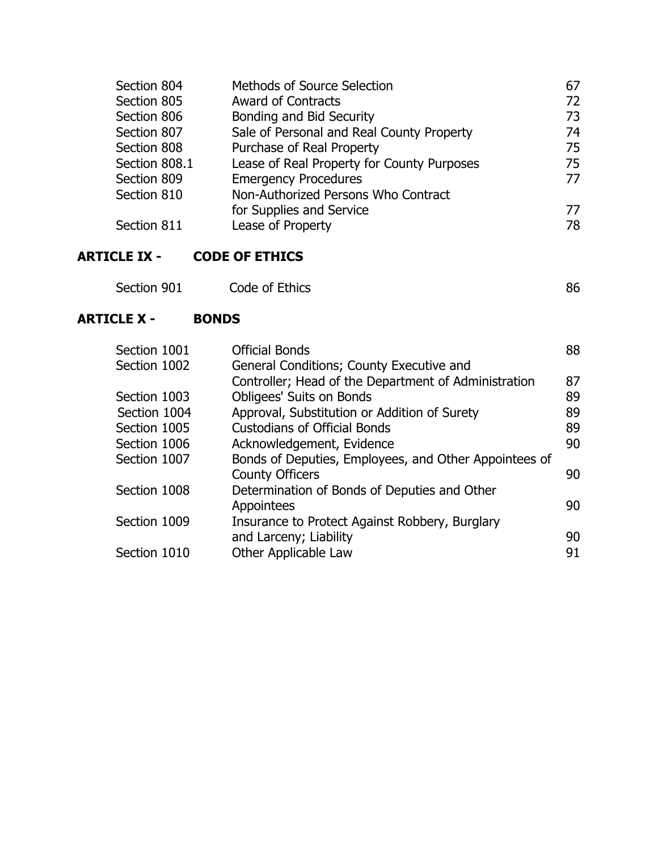| Section 804   | Methods of Source Selection                | 67 |
|---------------|--------------------------------------------|----|
| Section 805   | <b>Award of Contracts</b>                  | 72 |
| Section 806   | Bonding and Bid Security                   | 73 |
| Section 807   | Sale of Personal and Real County Property  | 74 |
| Section 808   | Purchase of Real Property                  | 75 |
| Section 808.1 | Lease of Real Property for County Purposes | 75 |
| Section 809   | <b>Emergency Procedures</b>                | 77 |
| Section 810   | Non-Authorized Persons Who Contract        |    |
|               | for Supplies and Service                   | 77 |
| Section 811   | Lease of Property                          | 78 |

# **ARTICLE IX - CODE OF ETHICS**

# **ARTICLE X - BONDS**

| Section 1001 | <b>Official Bonds</b>                                 | 88 |
|--------------|-------------------------------------------------------|----|
| Section 1002 | General Conditions; County Executive and              |    |
|              | Controller; Head of the Department of Administration  | 87 |
| Section 1003 | <b>Obligees' Suits on Bonds</b>                       | 89 |
| Section 1004 | Approval, Substitution or Addition of Surety          | 89 |
| Section 1005 | <b>Custodians of Official Bonds</b>                   | 89 |
| Section 1006 | Acknowledgement, Evidence                             | 90 |
| Section 1007 | Bonds of Deputies, Employees, and Other Appointees of |    |
|              | <b>County Officers</b>                                | 90 |
| Section 1008 | Determination of Bonds of Deputies and Other          |    |
|              | Appointees                                            | 90 |
| Section 1009 | Insurance to Protect Against Robbery, Burglary        |    |
|              | and Larceny; Liability                                | 90 |
| Section 1010 | Other Applicable Law                                  | 91 |
|              |                                                       |    |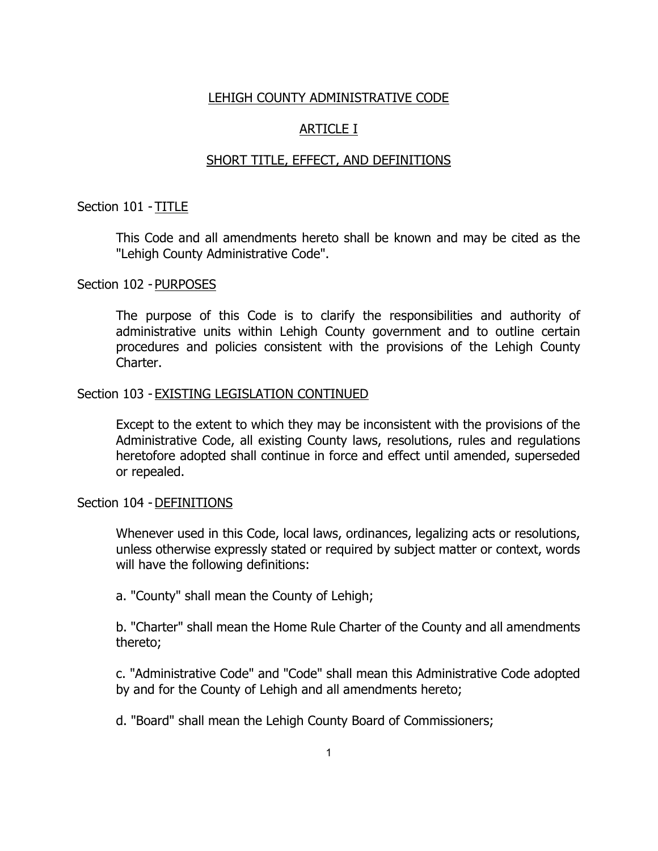#### LEHIGH COUNTY ADMINISTRATIVE CODE

### ARTICLE I

#### SHORT TITLE, EFFECT, AND DEFINITIONS

#### Section 101 - TITLE

This Code and all amendments hereto shall be known and may be cited as the "Lehigh County Administrative Code".

#### Section 102 - PURPOSES

The purpose of this Code is to clarify the responsibilities and authority of administrative units within Lehigh County government and to outline certain procedures and policies consistent with the provisions of the Lehigh County Charter.

#### Section 103 - EXISTING LEGISLATION CONTINUED

Except to the extent to which they may be inconsistent with the provisions of the Administrative Code, all existing County laws, resolutions, rules and regulations heretofore adopted shall continue in force and effect until amended, superseded or repealed.

#### Section 104 - DEFINITIONS

Whenever used in this Code, local laws, ordinances, legalizing acts or resolutions, unless otherwise expressly stated or required by subject matter or context, words will have the following definitions:

a. "County" shall mean the County of Lehigh;

b. "Charter" shall mean the Home Rule Charter of the County and all amendments thereto;

c. "Administrative Code" and "Code" shall mean this Administrative Code adopted by and for the County of Lehigh and all amendments hereto;

d. "Board" shall mean the Lehigh County Board of Commissioners;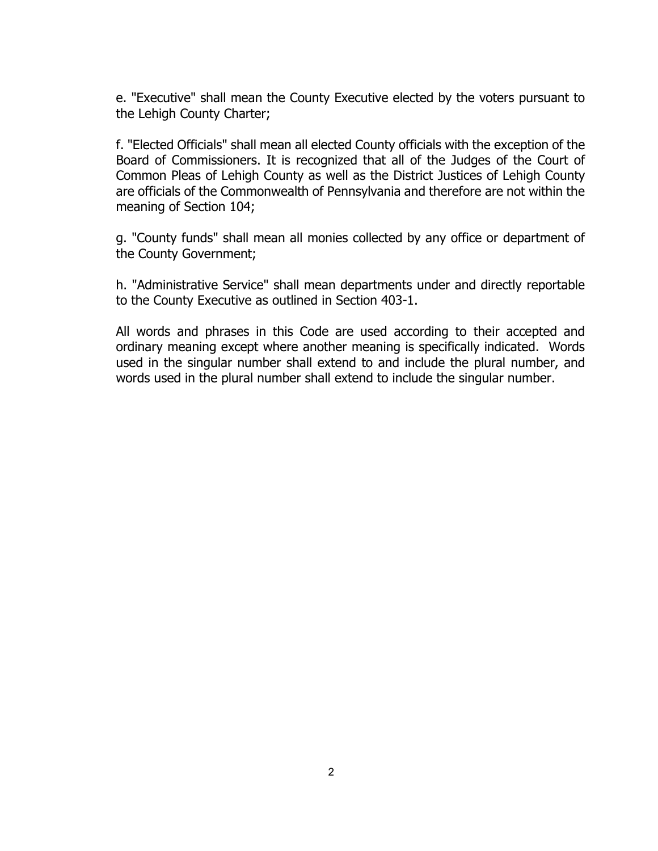e. "Executive" shall mean the County Executive elected by the voters pursuant to the Lehigh County Charter;

f. "Elected Officials" shall mean all elected County officials with the exception of the Board of Commissioners. It is recognized that all of the Judges of the Court of Common Pleas of Lehigh County as well as the District Justices of Lehigh County are officials of the Commonwealth of Pennsylvania and therefore are not within the meaning of Section 104;

g. "County funds" shall mean all monies collected by any office or department of the County Government;

h. "Administrative Service" shall mean departments under and directly reportable to the County Executive as outlined in Section 403-1.

All words and phrases in this Code are used according to their accepted and ordinary meaning except where another meaning is specifically indicated. Words used in the singular number shall extend to and include the plural number, and words used in the plural number shall extend to include the singular number.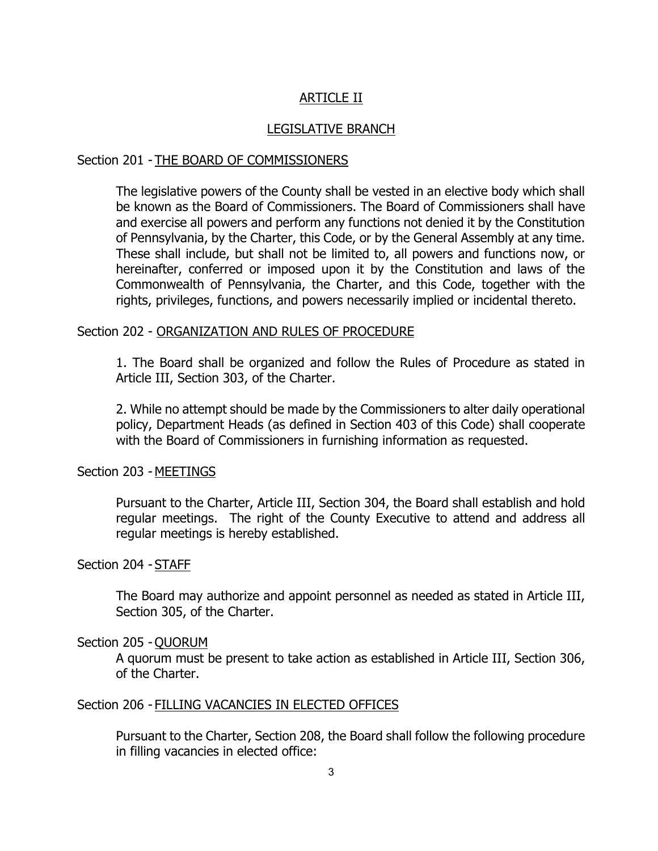# ARTICLE II

#### LEGISLATIVE BRANCH

#### Section 201 - THE BOARD OF COMMISSIONERS

The legislative powers of the County shall be vested in an elective body which shall be known as the Board of Commissioners. The Board of Commissioners shall have and exercise all powers and perform any functions not denied it by the Constitution of Pennsylvania, by the Charter, this Code, or by the General Assembly at any time. These shall include, but shall not be limited to, all powers and functions now, or hereinafter, conferred or imposed upon it by the Constitution and laws of the Commonwealth of Pennsylvania, the Charter, and this Code, together with the rights, privileges, functions, and powers necessarily implied or incidental thereto.

#### Section 202 - ORGANIZATION AND RULES OF PROCEDURE

1. The Board shall be organized and follow the Rules of Procedure as stated in Article III, Section 303, of the Charter.

2. While no attempt should be made by the Commissioners to alter daily operational policy, Department Heads (as defined in Section 403 of this Code) shall cooperate with the Board of Commissioners in furnishing information as requested.

#### Section 203 - MEETINGS

Pursuant to the Charter, Article III, Section 304, the Board shall establish and hold regular meetings. The right of the County Executive to attend and address all regular meetings is hereby established.

#### Section 204 - STAFF

The Board may authorize and appoint personnel as needed as stated in Article III, Section 305, of the Charter.

#### Section 205 - QUORUM

A quorum must be present to take action as established in Article III, Section 306, of the Charter.

#### Section 206 - FILLING VACANCIES IN ELECTED OFFICES

Pursuant to the Charter, Section 208, the Board shall follow the following procedure in filling vacancies in elected office: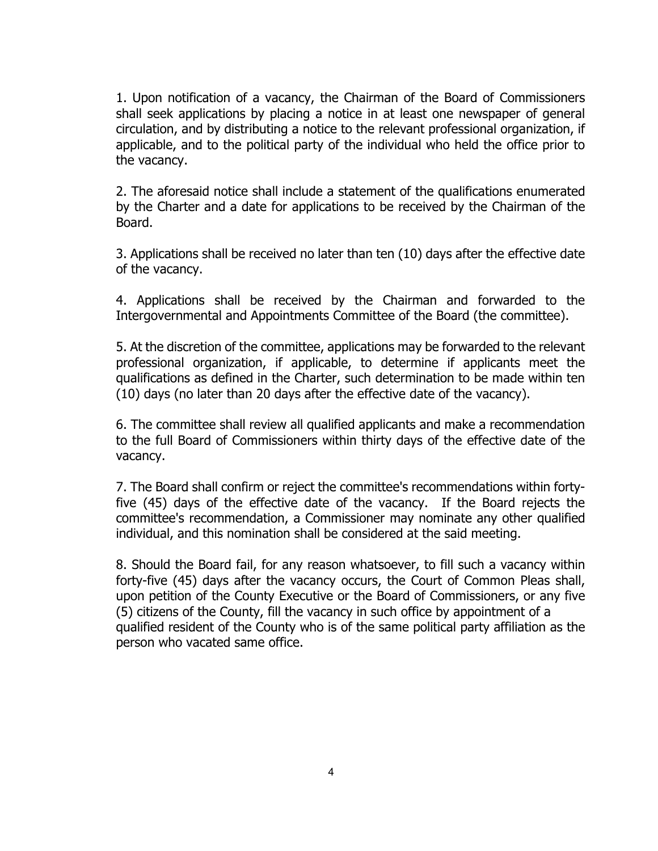1. Upon notification of a vacancy, the Chairman of the Board of Commissioners shall seek applications by placing a notice in at least one newspaper of general circulation, and by distributing a notice to the relevant professional organization, if applicable, and to the political party of the individual who held the office prior to the vacancy.

2. The aforesaid notice shall include a statement of the qualifications enumerated by the Charter and a date for applications to be received by the Chairman of the Board.

3. Applications shall be received no later than ten (10) days after the effective date of the vacancy.

4. Applications shall be received by the Chairman and forwarded to the Intergovernmental and Appointments Committee of the Board (the committee).

5. At the discretion of the committee, applications may be forwarded to the relevant professional organization, if applicable, to determine if applicants meet the qualifications as defined in the Charter, such determination to be made within ten (10) days (no later than 20 days after the effective date of the vacancy).

6. The committee shall review all qualified applicants and make a recommendation to the full Board of Commissioners within thirty days of the effective date of the vacancy.

7. The Board shall confirm or reject the committee's recommendations within fortyfive (45) days of the effective date of the vacancy. If the Board rejects the committee's recommendation, a Commissioner may nominate any other qualified individual, and this nomination shall be considered at the said meeting.

8. Should the Board fail, for any reason whatsoever, to fill such a vacancy within forty-five (45) days after the vacancy occurs, the Court of Common Pleas shall, upon petition of the County Executive or the Board of Commissioners, or any five (5) citizens of the County, fill the vacancy in such office by appointment of a qualified resident of the County who is of the same political party affiliation as the person who vacated same office.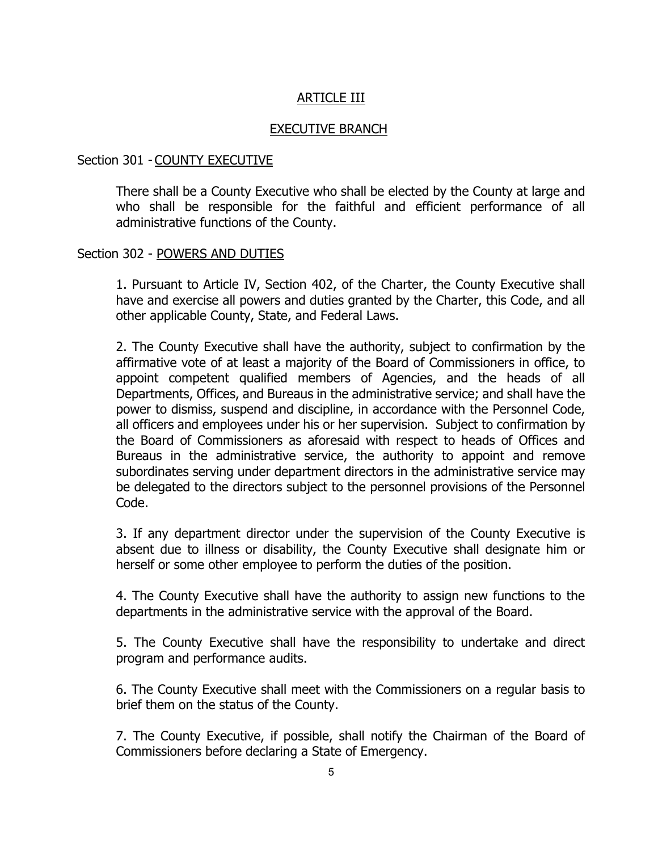# ARTICLE III

#### EXECUTIVE BRANCH

#### Section 301 - COUNTY EXECUTIVE

There shall be a County Executive who shall be elected by the County at large and who shall be responsible for the faithful and efficient performance of all administrative functions of the County.

#### Section 302 - POWERS AND DUTIES

1. Pursuant to Article IV, Section 402, of the Charter, the County Executive shall have and exercise all powers and duties granted by the Charter, this Code, and all other applicable County, State, and Federal Laws.

2. The County Executive shall have the authority, subject to confirmation by the affirmative vote of at least a majority of the Board of Commissioners in office, to appoint competent qualified members of Agencies, and the heads of all Departments, Offices, and Bureaus in the administrative service; and shall have the power to dismiss, suspend and discipline, in accordance with the Personnel Code, all officers and employees under his or her supervision. Subject to confirmation by the Board of Commissioners as aforesaid with respect to heads of Offices and Bureaus in the administrative service, the authority to appoint and remove subordinates serving under department directors in the administrative service may be delegated to the directors subject to the personnel provisions of the Personnel Code.

3. If any department director under the supervision of the County Executive is absent due to illness or disability, the County Executive shall designate him or herself or some other employee to perform the duties of the position.

4. The County Executive shall have the authority to assign new functions to the departments in the administrative service with the approval of the Board.

5. The County Executive shall have the responsibility to undertake and direct program and performance audits.

6. The County Executive shall meet with the Commissioners on a regular basis to brief them on the status of the County.

7. The County Executive, if possible, shall notify the Chairman of the Board of Commissioners before declaring a State of Emergency.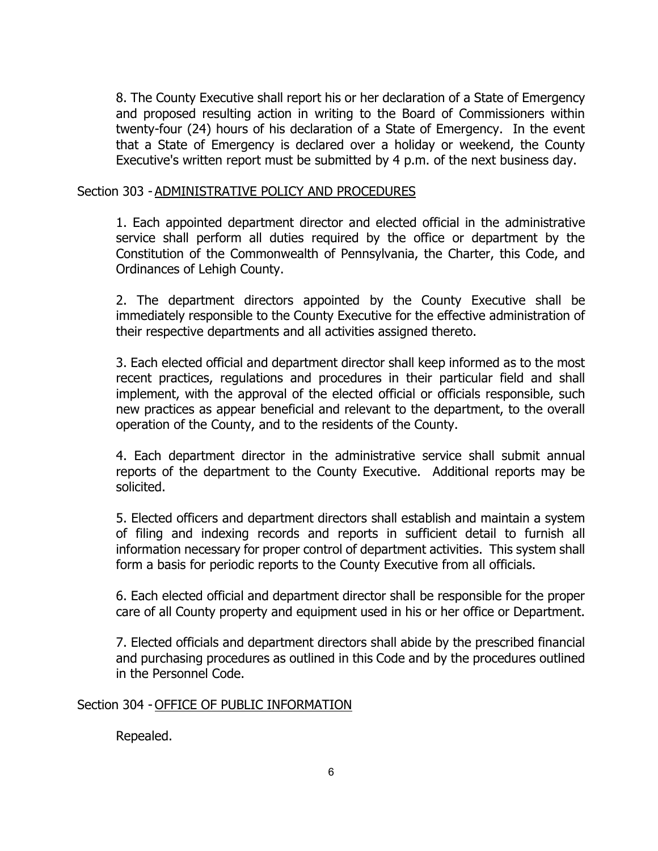8. The County Executive shall report his or her declaration of a State of Emergency and proposed resulting action in writing to the Board of Commissioners within twenty-four (24) hours of his declaration of a State of Emergency. In the event that a State of Emergency is declared over a holiday or weekend, the County Executive's written report must be submitted by 4 p.m. of the next business day.

#### Section 303 - ADMINISTRATIVE POLICY AND PROCEDURES

1. Each appointed department director and elected official in the administrative service shall perform all duties required by the office or department by the Constitution of the Commonwealth of Pennsylvania, the Charter, this Code, and Ordinances of Lehigh County.

2. The department directors appointed by the County Executive shall be immediately responsible to the County Executive for the effective administration of their respective departments and all activities assigned thereto.

3. Each elected official and department director shall keep informed as to the most recent practices, regulations and procedures in their particular field and shall implement, with the approval of the elected official or officials responsible, such new practices as appear beneficial and relevant to the department, to the overall operation of the County, and to the residents of the County.

4. Each department director in the administrative service shall submit annual reports of the department to the County Executive. Additional reports may be solicited.

5. Elected officers and department directors shall establish and maintain a system of filing and indexing records and reports in sufficient detail to furnish all information necessary for proper control of department activities. This system shall form a basis for periodic reports to the County Executive from all officials.

6. Each elected official and department director shall be responsible for the proper care of all County property and equipment used in his or her office or Department.

7. Elected officials and department directors shall abide by the prescribed financial and purchasing procedures as outlined in this Code and by the procedures outlined in the Personnel Code.

#### Section 304 - OFFICE OF PUBLIC INFORMATION

Repealed.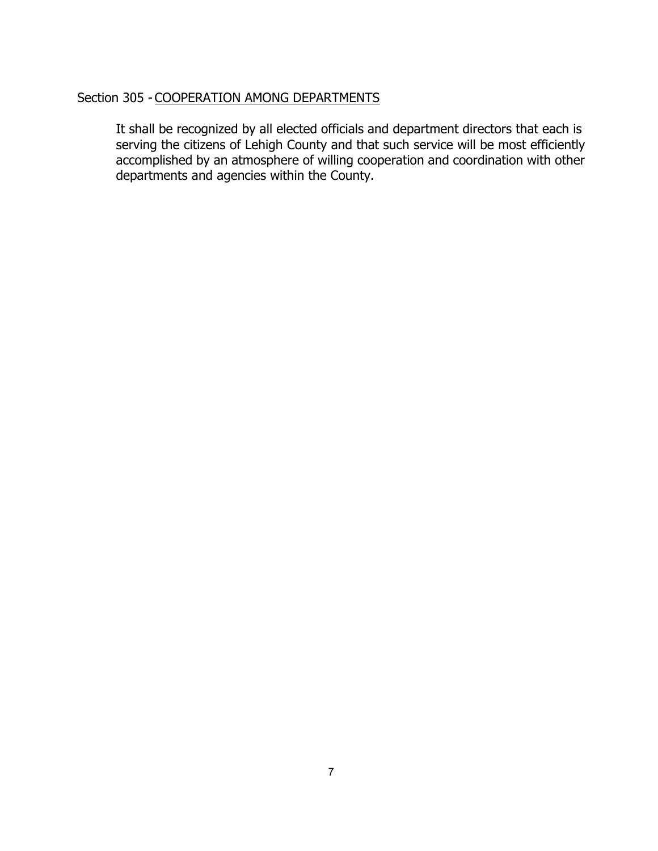# Section 305 - COOPERATION AMONG DEPARTMENTS

It shall be recognized by all elected officials and department directors that each is serving the citizens of Lehigh County and that such service will be most efficiently accomplished by an atmosphere of willing cooperation and coordination with other departments and agencies within the County.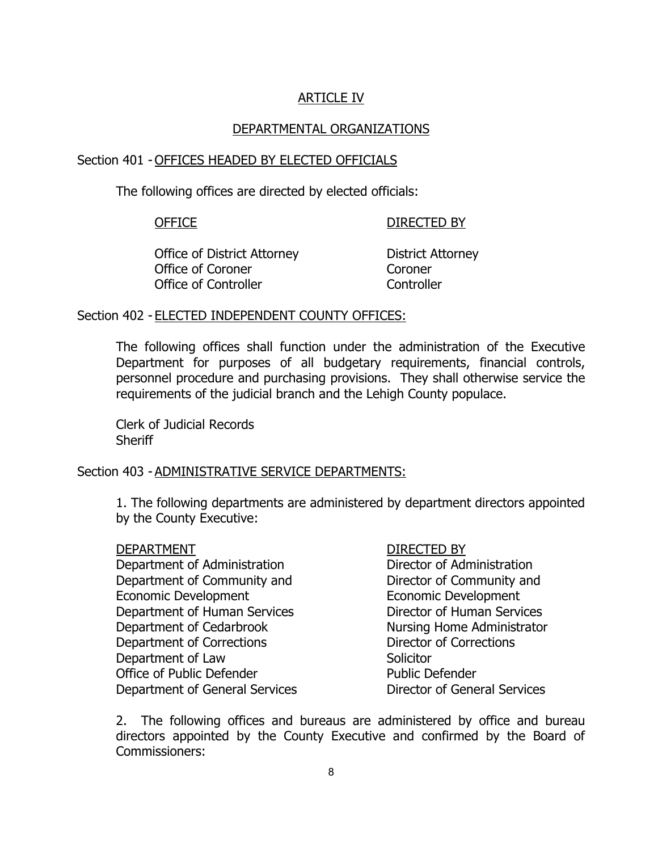# ARTICLE IV

#### DEPARTMENTAL ORGANIZATIONS

#### Section 401 - OFFICES HEADED BY ELECTED OFFICIALS

The following offices are directed by elected officials:

#### OFFICE DIRECTED BY

Office of District Attorney **District Attorney** Office of Coroner **Coroner** Coroner Office of Controller **Controller** Controller

#### Section 402 - ELECTED INDEPENDENT COUNTY OFFICES:

The following offices shall function under the administration of the Executive Department for purposes of all budgetary requirements, financial controls, personnel procedure and purchasing provisions. They shall otherwise service the requirements of the judicial branch and the Lehigh County populace.

Clerk of Judicial Records **Sheriff** 

#### Section 403 - ADMINISTRATIVE SERVICE DEPARTMENTS:

1. The following departments are administered by department directors appointed by the County Executive:

#### DEPARTMENT DEPARTMENT

Department of Administration **Director of Administration** Department of Community and Director of Community and Economic Development Economic Development Department of Human Services Director of Human Services Department of Cedarbrook Nursing Home Administrator Department of Corrections Director of Corrections Department of Law and Solicitor<br>Office of Public Defender and Solicitor Public Defender Office of Public Defender Department of General Services Director of General Services

2. The following offices and bureaus are administered by office and bureau directors appointed by the County Executive and confirmed by the Board of Commissioners: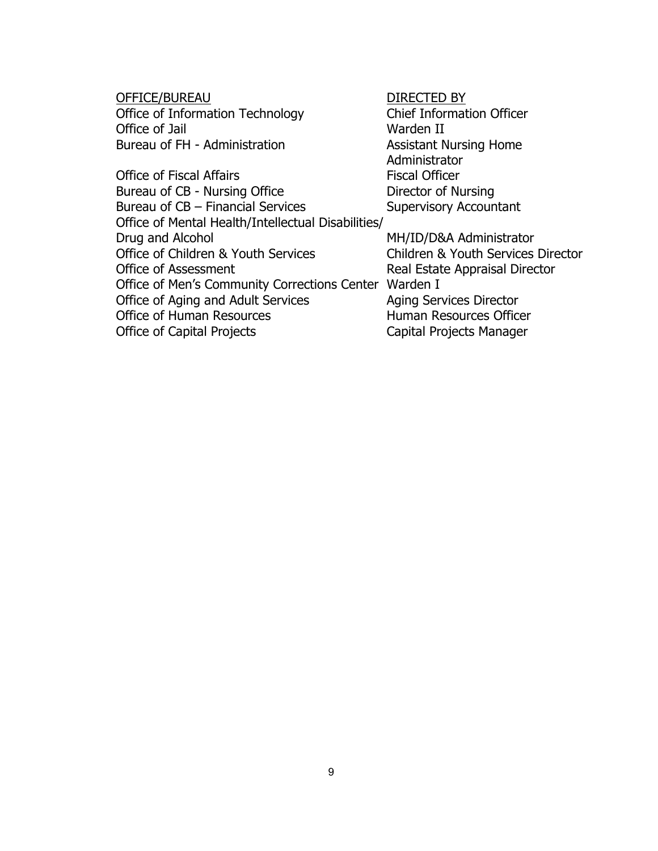<u>OFFICE/BUREAU</u><br>Office of Information Technology **DIRECTED BY**<br>Chief Information Officer Office of Information Technology Office of Jail<br>Bureau of FH - Administration Marchael Assistant N

Office of Fiscal Affairs Bureau of CB - Nursing Office **Director of Nursing**<br>Bureau of CB – Financial Services **Director Supervisory Accountant** Bureau of  $CB$  – Financial Services Office of Mental Health/Intellectual Disabilities/ Office of Children & Youth Services<br>
Office of Assessment

Children & Youth Services

Children & Youth Services

Children & Youth Services
Director

Children & Youth Services

Children & Youth Services

Director

Children Office of Men's Community Corrections Center Warden I Office of Aging and Adult Services **Aging Services** Director Office of Human Resources<br>
Office of Capital Projects<br>
Capital Projects Manager

Assistant Nursing Home Administrator<br>Fiscal Officer

MH/ID/D&A Administrator Real Estate Appraisal Director Capital Projects Manager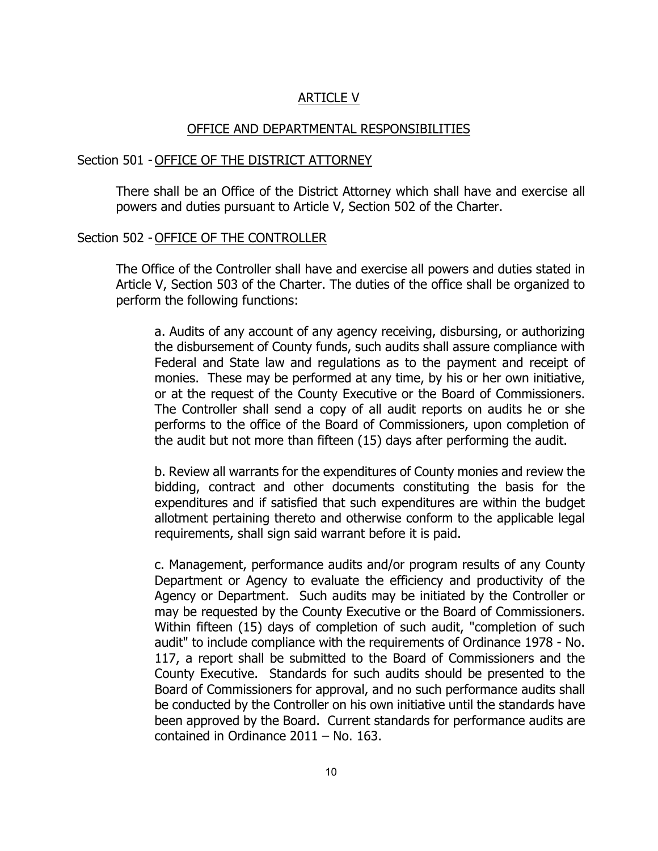### ARTICLE V

#### OFFICE AND DEPARTMENTAL RESPONSIBILITIES

#### Section 501 - OFFICE OF THE DISTRICT ATTORNEY

There shall be an Office of the District Attorney which shall have and exercise all powers and duties pursuant to Article V, Section 502 of the Charter.

#### Section 502 - OFFICE OF THE CONTROLLER

The Office of the Controller shall have and exercise all powers and duties stated in Article V, Section 503 of the Charter. The duties of the office shall be organized to perform the following functions:

a. Audits of any account of any agency receiving, disbursing, or authorizing the disbursement of County funds, such audits shall assure compliance with Federal and State law and regulations as to the payment and receipt of monies. These may be performed at any time, by his or her own initiative, or at the request of the County Executive or the Board of Commissioners. The Controller shall send a copy of all audit reports on audits he or she performs to the office of the Board of Commissioners, upon completion of the audit but not more than fifteen (15) days after performing the audit.

b. Review all warrants for the expenditures of County monies and review the bidding, contract and other documents constituting the basis for the expenditures and if satisfied that such expenditures are within the budget allotment pertaining thereto and otherwise conform to the applicable legal requirements, shall sign said warrant before it is paid.

c. Management, performance audits and/or program results of any County Department or Agency to evaluate the efficiency and productivity of the Agency or Department. Such audits may be initiated by the Controller or may be requested by the County Executive or the Board of Commissioners. Within fifteen (15) days of completion of such audit, "completion of such audit" to include compliance with the requirements of Ordinance 1978 - No. 117, a report shall be submitted to the Board of Commissioners and the County Executive. Standards for such audits should be presented to the Board of Commissioners for approval, and no such performance audits shall be conducted by the Controller on his own initiative until the standards have been approved by the Board. Current standards for performance audits are contained in Ordinance 2011 – No. 163.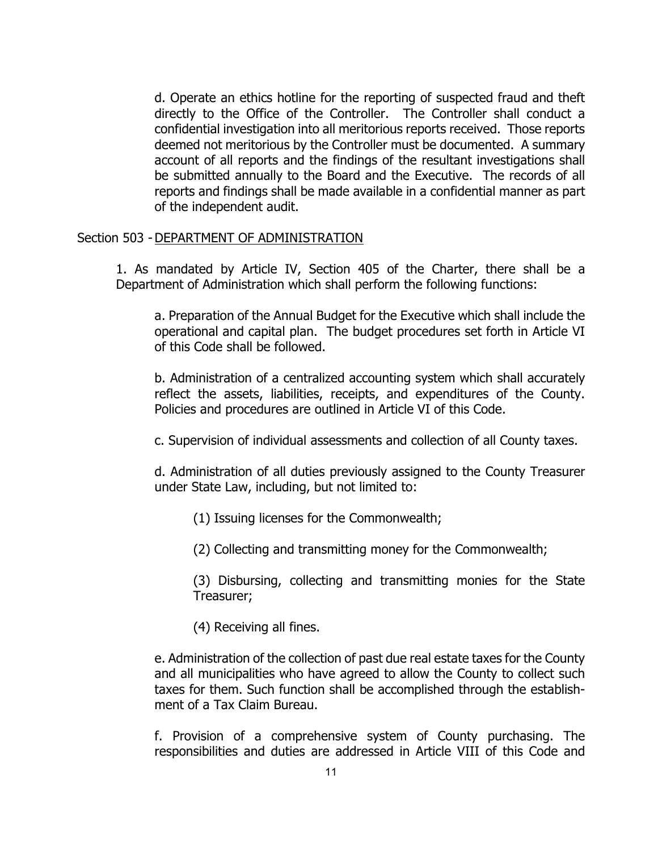d. Operate an ethics hotline for the reporting of suspected fraud and theft directly to the Office of the Controller. The Controller shall conduct a confidential investigation into all meritorious reports received. Those reports deemed not meritorious by the Controller must be documented. A summary account of all reports and the findings of the resultant investigations shall be submitted annually to the Board and the Executive. The records of all reports and findings shall be made available in a confidential manner as part of the independent audit.

#### Section 503 - DEPARTMENT OF ADMINISTRATION

1. As mandated by Article IV, Section 405 of the Charter, there shall be a Department of Administration which shall perform the following functions:

a. Preparation of the Annual Budget for the Executive which shall include the operational and capital plan. The budget procedures set forth in Article VI of this Code shall be followed.

b. Administration of a centralized accounting system which shall accurately reflect the assets, liabilities, receipts, and expenditures of the County. Policies and procedures are outlined in Article VI of this Code.

c. Supervision of individual assessments and collection of all County taxes.

d. Administration of all duties previously assigned to the County Treasurer under State Law, including, but not limited to:

(1) Issuing licenses for the Commonwealth;

(2) Collecting and transmitting money for the Commonwealth;

(3) Disbursing, collecting and transmitting monies for the State Treasurer;

(4) Receiving all fines.

e. Administration of the collection of past due real estate taxes for the County and all municipalities who have agreed to allow the County to collect such taxes for them. Such function shall be accomplished through the establishment of a Tax Claim Bureau.

f. Provision of a comprehensive system of County purchasing. The responsibilities and duties are addressed in Article VIII of this Code and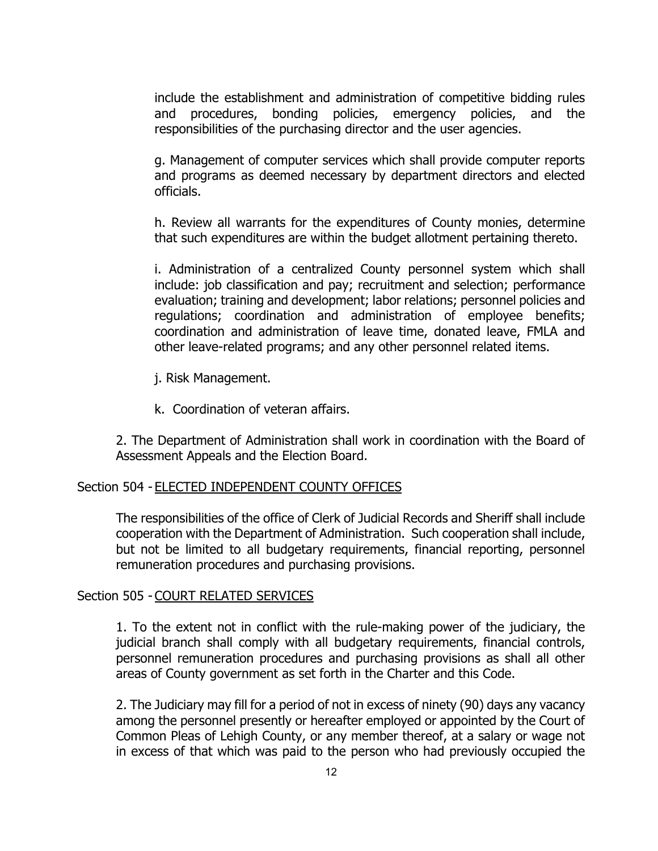include the establishment and administration of competitive bidding rules and procedures, bonding policies, emergency policies, and the responsibilities of the purchasing director and the user agencies.

g. Management of computer services which shall provide computer reports and programs as deemed necessary by department directors and elected officials.

h. Review all warrants for the expenditures of County monies, determine that such expenditures are within the budget allotment pertaining thereto.

i. Administration of a centralized County personnel system which shall include: job classification and pay; recruitment and selection; performance evaluation; training and development; labor relations; personnel policies and regulations; coordination and administration of employee benefits; coordination and administration of leave time, donated leave, FMLA and other leave-related programs; and any other personnel related items.

- j. Risk Management.
- k. Coordination of veteran affairs.

2. The Department of Administration shall work in coordination with the Board of Assessment Appeals and the Election Board.

#### Section 504 - ELECTED INDEPENDENT COUNTY OFFICES

The responsibilities of the office of Clerk of Judicial Records and Sheriff shall include cooperation with the Department of Administration. Such cooperation shall include, but not be limited to all budgetary requirements, financial reporting, personnel remuneration procedures and purchasing provisions.

#### Section 505 - COURT RELATED SERVICES

1. To the extent not in conflict with the rule-making power of the judiciary, the judicial branch shall comply with all budgetary requirements, financial controls, personnel remuneration procedures and purchasing provisions as shall all other areas of County government as set forth in the Charter and this Code.

2. The Judiciary may fill for a period of not in excess of ninety (90) days any vacancy among the personnel presently or hereafter employed or appointed by the Court of Common Pleas of Lehigh County, or any member thereof, at a salary or wage not in excess of that which was paid to the person who had previously occupied the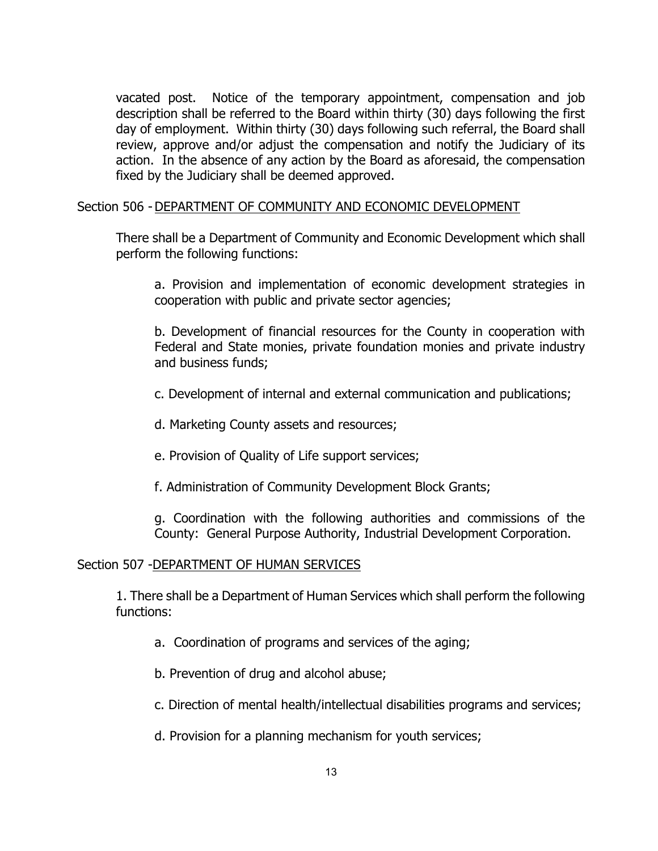vacated post. Notice of the temporary appointment, compensation and job description shall be referred to the Board within thirty (30) days following the first day of employment. Within thirty (30) days following such referral, the Board shall review, approve and/or adjust the compensation and notify the Judiciary of its action. In the absence of any action by the Board as aforesaid, the compensation fixed by the Judiciary shall be deemed approved.

#### Section 506 -DEPARTMENT OF COMMUNITY AND ECONOMIC DEVELOPMENT

There shall be a Department of Community and Economic Development which shall perform the following functions:

a. Provision and implementation of economic development strategies in cooperation with public and private sector agencies;

b. Development of financial resources for the County in cooperation with Federal and State monies, private foundation monies and private industry and business funds;

c. Development of internal and external communication and publications;

d. Marketing County assets and resources;

e. Provision of Quality of Life support services;

f. Administration of Community Development Block Grants;

g. Coordination with the following authorities and commissions of the County: General Purpose Authority, Industrial Development Corporation.

#### Section 507 -DEPARTMENT OF HUMAN SERVICES

1. There shall be a Department of Human Services which shall perform the following functions:

a. Coordination of programs and services of the aging;

b. Prevention of drug and alcohol abuse;

c. Direction of mental health/intellectual disabilities programs and services;

d. Provision for a planning mechanism for youth services;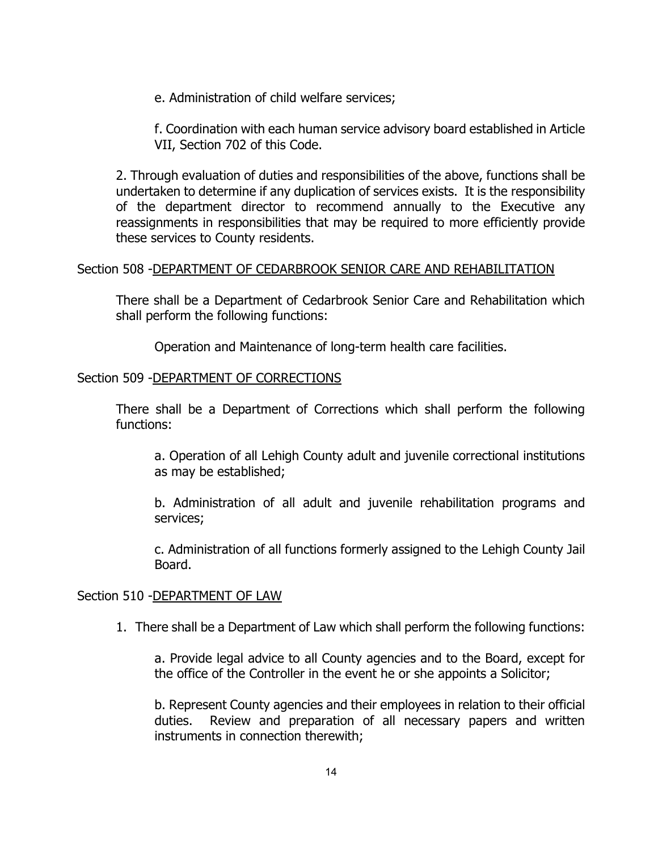e. Administration of child welfare services;

f. Coordination with each human service advisory board established in Article VII, Section 702 of this Code.

2. Through evaluation of duties and responsibilities of the above, functions shall be undertaken to determine if any duplication of services exists. It is the responsibility of the department director to recommend annually to the Executive any reassignments in responsibilities that may be required to more efficiently provide these services to County residents.

#### Section 508 -DEPARTMENT OF CEDARBROOK SENIOR CARE AND REHABILITATION

There shall be a Department of Cedarbrook Senior Care and Rehabilitation which shall perform the following functions:

Operation and Maintenance of long-term health care facilities.

# Section 509 -DEPARTMENT OF CORRECTIONS

There shall be a Department of Corrections which shall perform the following functions:

a. Operation of all Lehigh County adult and juvenile correctional institutions as may be established;

b. Administration of all adult and juvenile rehabilitation programs and services;

c. Administration of all functions formerly assigned to the Lehigh County Jail Board.

#### Section 510 -DEPARTMENT OF LAW

1. There shall be a Department of Law which shall perform the following functions:

a. Provide legal advice to all County agencies and to the Board, except for the office of the Controller in the event he or she appoints a Solicitor;

b. Represent County agencies and their employees in relation to their official duties. Review and preparation of all necessary papers and written instruments in connection therewith;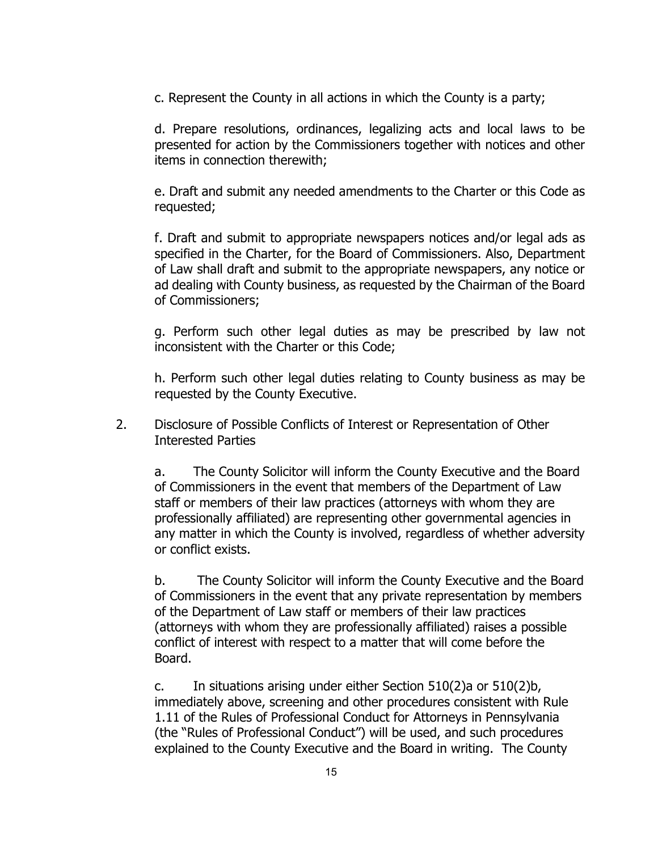c. Represent the County in all actions in which the County is a party;

d. Prepare resolutions, ordinances, legalizing acts and local laws to be presented for action by the Commissioners together with notices and other items in connection therewith;

e. Draft and submit any needed amendments to the Charter or this Code as requested;

f. Draft and submit to appropriate newspapers notices and/or legal ads as specified in the Charter, for the Board of Commissioners. Also, Department of Law shall draft and submit to the appropriate newspapers, any notice or ad dealing with County business, as requested by the Chairman of the Board of Commissioners;

g. Perform such other legal duties as may be prescribed by law not inconsistent with the Charter or this Code;

h. Perform such other legal duties relating to County business as may be requested by the County Executive.

2. Disclosure of Possible Conflicts of Interest or Representation of Other Interested Parties

a. The County Solicitor will inform the County Executive and the Board of Commissioners in the event that members of the Department of Law staff or members of their law practices (attorneys with whom they are professionally affiliated) are representing other governmental agencies in any matter in which the County is involved, regardless of whether adversity or conflict exists.

b. The County Solicitor will inform the County Executive and the Board of Commissioners in the event that any private representation by members of the Department of Law staff or members of their law practices (attorneys with whom they are professionally affiliated) raises a possible conflict of interest with respect to a matter that will come before the Board.

c. In situations arising under either Section 510(2)a or 510(2)b, immediately above, screening and other procedures consistent with Rule 1.11 of the Rules of Professional Conduct for Attorneys in Pennsylvania (the "Rules of Professional Conduct") will be used, and such procedures explained to the County Executive and the Board in writing. The County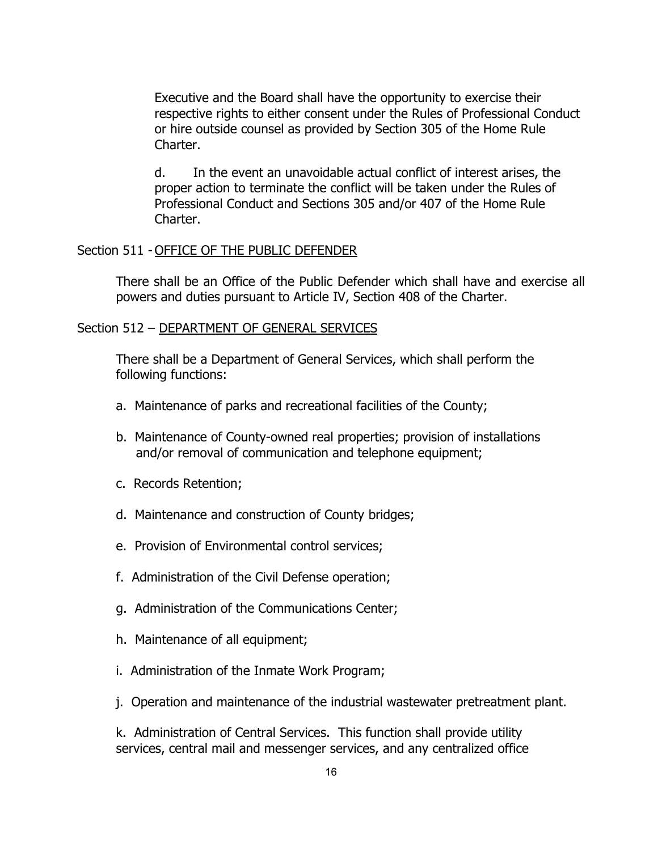Executive and the Board shall have the opportunity to exercise their respective rights to either consent under the Rules of Professional Conduct or hire outside counsel as provided by Section 305 of the Home Rule Charter.

d. In the event an unavoidable actual conflict of interest arises, the proper action to terminate the conflict will be taken under the Rules of Professional Conduct and Sections 305 and/or 407 of the Home Rule Charter.

#### Section 511 - OFFICE OF THE PUBLIC DEFENDER

There shall be an Office of the Public Defender which shall have and exercise all powers and duties pursuant to Article IV, Section 408 of the Charter.

#### Section 512 - DEPARTMENT OF GENERAL SERVICES

There shall be a Department of General Services, which shall perform the following functions:

- a. Maintenance of parks and recreational facilities of the County;
- b. Maintenance of County-owned real properties; provision of installations and/or removal of communication and telephone equipment;
- c. Records Retention;
- d. Maintenance and construction of County bridges;
- e. Provision of Environmental control services;
- f. Administration of the Civil Defense operation;
- g. Administration of the Communications Center;
- h. Maintenance of all equipment;
- i. Administration of the Inmate Work Program;
- j. Operation and maintenance of the industrial wastewater pretreatment plant.

k. Administration of Central Services. This function shall provide utility services, central mail and messenger services, and any centralized office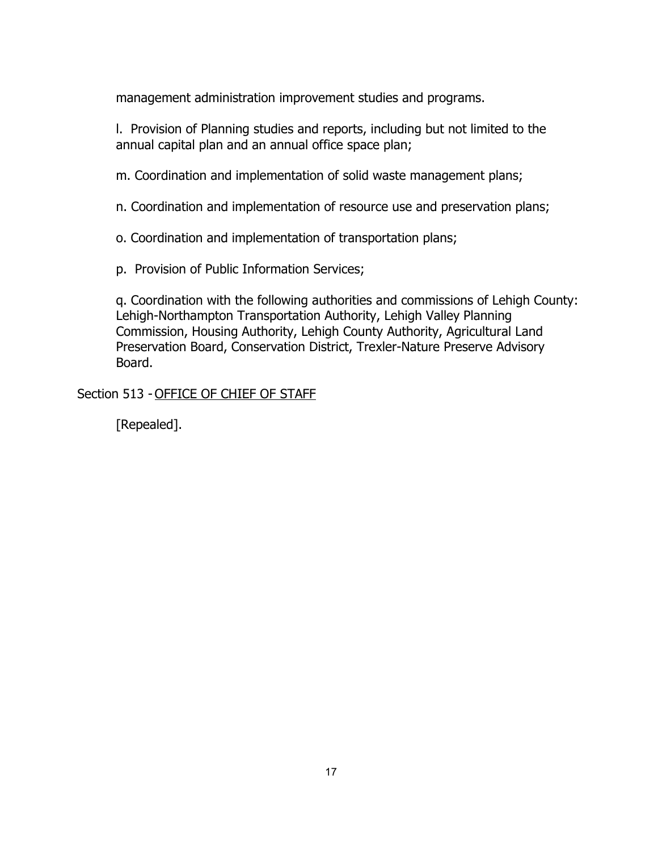management administration improvement studies and programs.

l. Provision of Planning studies and reports, including but not limited to the annual capital plan and an annual office space plan;

m. Coordination and implementation of solid waste management plans;

n. Coordination and implementation of resource use and preservation plans;

o. Coordination and implementation of transportation plans;

p. Provision of Public Information Services;

q. Coordination with the following authorities and commissions of Lehigh County: Lehigh-Northampton Transportation Authority, Lehigh Valley Planning Commission, Housing Authority, Lehigh County Authority, Agricultural Land Preservation Board, Conservation District, Trexler-Nature Preserve Advisory Board.

Section 513 - OFFICE OF CHIEF OF STAFF

[Repealed].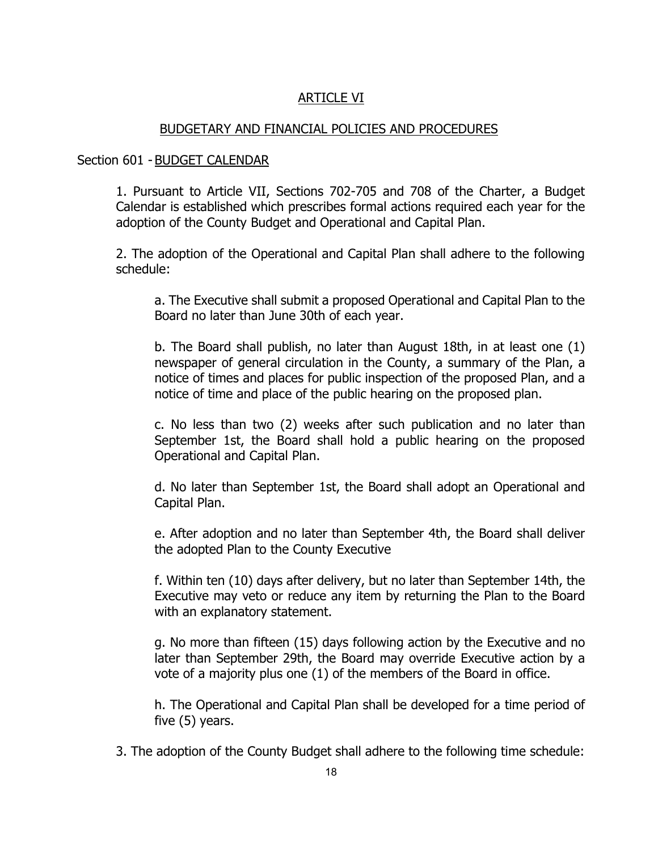# ARTICLE VI

#### BUDGETARY AND FINANCIAL POLICIES AND PROCEDURES

#### Section 601 - BUDGET CALENDAR

1. Pursuant to Article VII, Sections 702-705 and 708 of the Charter, a Budget Calendar is established which prescribes formal actions required each year for the adoption of the County Budget and Operational and Capital Plan.

2. The adoption of the Operational and Capital Plan shall adhere to the following schedule:

a. The Executive shall submit a proposed Operational and Capital Plan to the Board no later than June 30th of each year.

b. The Board shall publish, no later than August 18th, in at least one (1) newspaper of general circulation in the County, a summary of the Plan, a notice of times and places for public inspection of the proposed Plan, and a notice of time and place of the public hearing on the proposed plan.

c. No less than two (2) weeks after such publication and no later than September 1st, the Board shall hold a public hearing on the proposed Operational and Capital Plan.

d. No later than September 1st, the Board shall adopt an Operational and Capital Plan.

e. After adoption and no later than September 4th, the Board shall deliver the adopted Plan to the County Executive

f. Within ten (10) days after delivery, but no later than September 14th, the Executive may veto or reduce any item by returning the Plan to the Board with an explanatory statement.

g. No more than fifteen (15) days following action by the Executive and no later than September 29th, the Board may override Executive action by a vote of a majority plus one (1) of the members of the Board in office.

h. The Operational and Capital Plan shall be developed for a time period of five (5) years.

3. The adoption of the County Budget shall adhere to the following time schedule: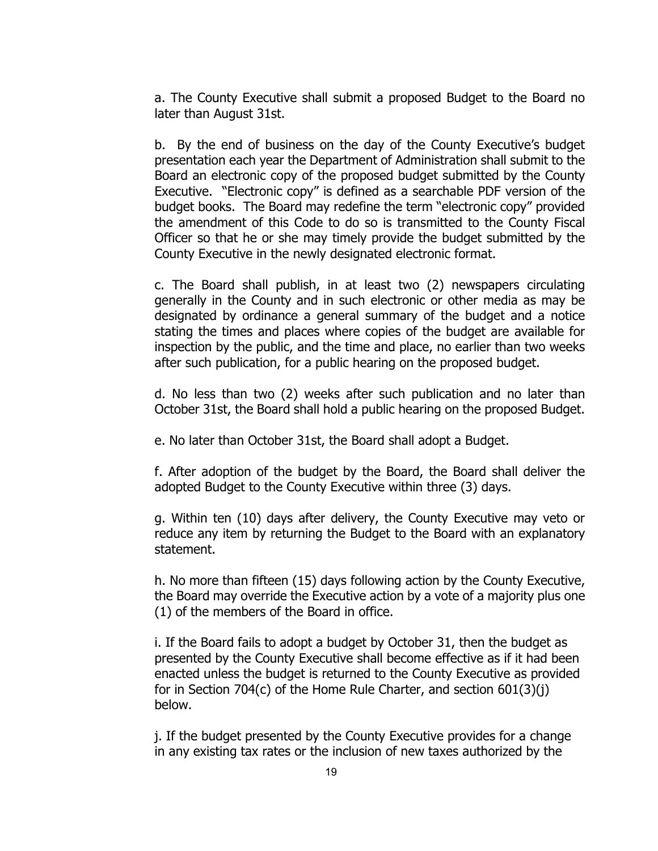a. The County Executive shall submit a proposed Budget to the Board no later than August 31st.

b. By the end of business on the day of the County Executive's budget presentation each year the Department of Administration shall submit to the Board an electronic copy of the proposed budget submitted by the County Executive. "Electronic copy" is defined as a searchable PDF version of the budget books. The Board may redefine the term "electronic copy" provided the amendment of this Code to do so is transmitted to the County Fiscal Officer so that he or she may timely provide the budget submitted by the County Executive in the newly designated electronic format.

c. The Board shall publish, in at least two (2) newspapers circulating generally in the County and in such electronic or other media as may be designated by ordinance a general summary of the budget and a notice stating the times and places where copies of the budget are available for inspection by the public, and the time and place, no earlier than two weeks after such publication, for a public hearing on the proposed budget.

d. No less than two (2) weeks after such publication and no later than October 31st, the Board shall hold a public hearing on the proposed Budget.

e. No later than October 31st, the Board shall adopt a Budget.

f. After adoption of the budget by the Board, the Board shall deliver the adopted Budget to the County Executive within three (3) days.

g. Within ten (10) days after delivery, the County Executive may veto or reduce any item by returning the Budget to the Board with an explanatory statement.

h. No more than fifteen (15) days following action by the County Executive, the Board may override the Executive action by a vote of a majority plus one (1) of the members of the Board in office.

i. If the Board fails to adopt a budget by October 31, then the budget as presented by the County Executive shall become effective as if it had been enacted unless the budget is returned to the County Executive as provided for in Section 704(c) of the Home Rule Charter, and section 601(3)(j) below.

j. If the budget presented by the County Executive provides for a change in any existing tax rates or the inclusion of new taxes authorized by the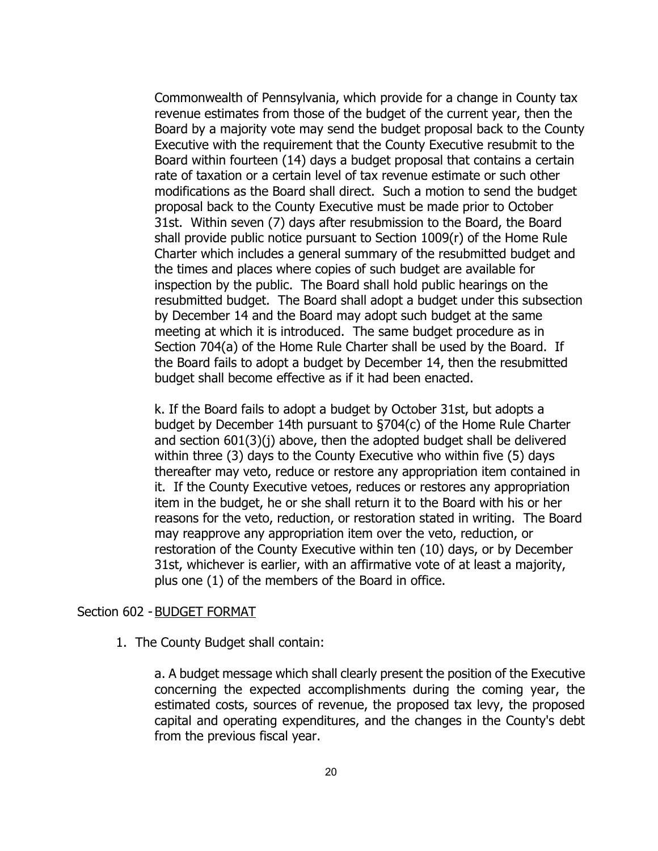Commonwealth of Pennsylvania, which provide for a change in County tax revenue estimates from those of the budget of the current year, then the Board by a majority vote may send the budget proposal back to the County Executive with the requirement that the County Executive resubmit to the Board within fourteen (14) days a budget proposal that contains a certain rate of taxation or a certain level of tax revenue estimate or such other modifications as the Board shall direct. Such a motion to send the budget proposal back to the County Executive must be made prior to October 31st. Within seven (7) days after resubmission to the Board, the Board shall provide public notice pursuant to Section 1009(r) of the Home Rule Charter which includes a general summary of the resubmitted budget and the times and places where copies of such budget are available for inspection by the public. The Board shall hold public hearings on the resubmitted budget. The Board shall adopt a budget under this subsection by December 14 and the Board may adopt such budget at the same meeting at which it is introduced. The same budget procedure as in Section 704(a) of the Home Rule Charter shall be used by the Board. If the Board fails to adopt a budget by December 14, then the resubmitted budget shall become effective as if it had been enacted.

k. If the Board fails to adopt a budget by October 31st, but adopts a budget by December 14th pursuant to §704(c) of the Home Rule Charter and section 601(3)(j) above, then the adopted budget shall be delivered within three (3) days to the County Executive who within five (5) days thereafter may veto, reduce or restore any appropriation item contained in it. If the County Executive vetoes, reduces or restores any appropriation item in the budget, he or she shall return it to the Board with his or her reasons for the veto, reduction, or restoration stated in writing. The Board may reapprove any appropriation item over the veto, reduction, or restoration of the County Executive within ten (10) days, or by December 31st, whichever is earlier, with an affirmative vote of at least a majority, plus one (1) of the members of the Board in office.

#### Section 602 - BUDGET FORMAT

1. The County Budget shall contain:

a. A budget message which shall clearly present the position of the Executive concerning the expected accomplishments during the coming year, the estimated costs, sources of revenue, the proposed tax levy, the proposed capital and operating expenditures, and the changes in the County's debt from the previous fiscal year.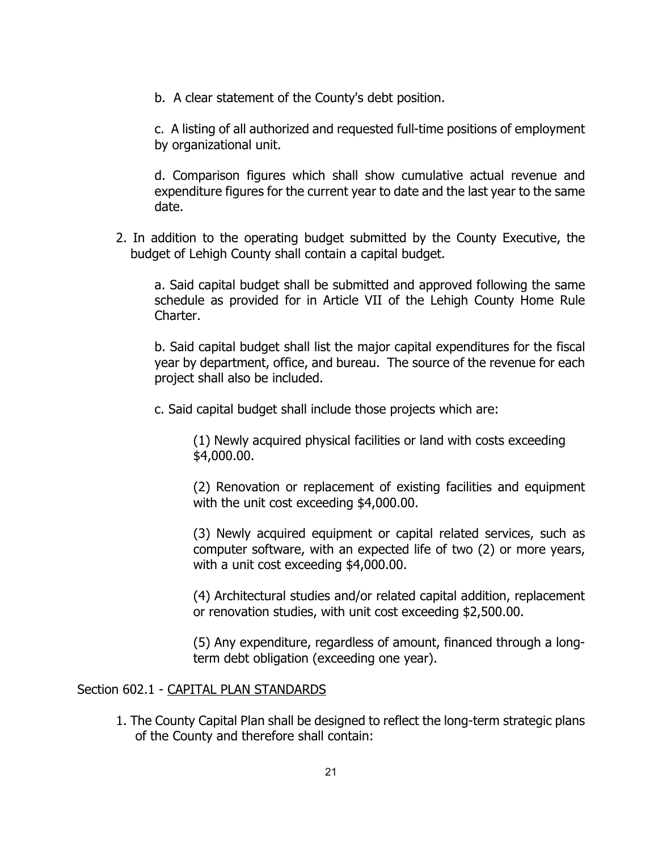b. A clear statement of the County's debt position.

c. A listing of all authorized and requested full-time positions of employment by organizational unit.

d. Comparison figures which shall show cumulative actual revenue and expenditure figures for the current year to date and the last year to the same date.

2. In addition to the operating budget submitted by the County Executive, the budget of Lehigh County shall contain a capital budget.

a. Said capital budget shall be submitted and approved following the same schedule as provided for in Article VII of the Lehigh County Home Rule Charter.

b. Said capital budget shall list the major capital expenditures for the fiscal year by department, office, and bureau. The source of the revenue for each project shall also be included.

c. Said capital budget shall include those projects which are:

(1) Newly acquired physical facilities or land with costs exceeding \$4,000.00.

(2) Renovation or replacement of existing facilities and equipment with the unit cost exceeding \$4,000.00.

(3) Newly acquired equipment or capital related services, such as computer software, with an expected life of two (2) or more years, with a unit cost exceeding \$4,000.00.

(4) Architectural studies and/or related capital addition, replacement or renovation studies, with unit cost exceeding \$2,500.00.

(5) Any expenditure, regardless of amount, financed through a longterm debt obligation (exceeding one year).

#### Section 602.1 - CAPITAL PLAN STANDARDS

1. The County Capital Plan shall be designed to reflect the long-term strategic plans of the County and therefore shall contain: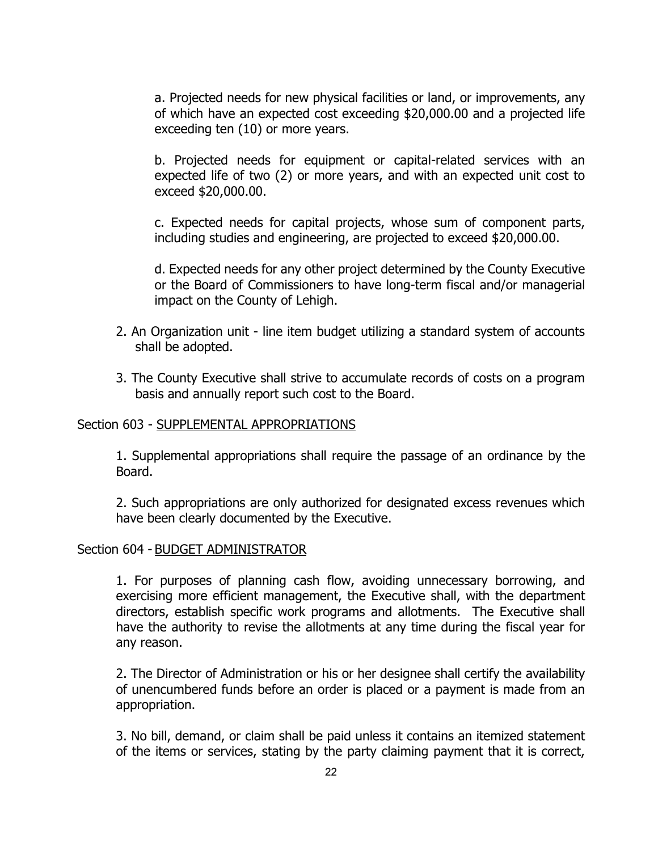a. Projected needs for new physical facilities or land, or improvements, any of which have an expected cost exceeding \$20,000.00 and a projected life exceeding ten (10) or more years.

b. Projected needs for equipment or capital-related services with an expected life of two (2) or more years, and with an expected unit cost to exceed \$20,000.00.

c. Expected needs for capital projects, whose sum of component parts, including studies and engineering, are projected to exceed \$20,000.00.

d. Expected needs for any other project determined by the County Executive or the Board of Commissioners to have long-term fiscal and/or managerial impact on the County of Lehigh.

- 2. An Organization unit line item budget utilizing a standard system of accounts shall be adopted.
- 3. The County Executive shall strive to accumulate records of costs on a program basis and annually report such cost to the Board.

#### Section 603 - SUPPLEMENTAL APPROPRIATIONS

1. Supplemental appropriations shall require the passage of an ordinance by the Board.

2. Such appropriations are only authorized for designated excess revenues which have been clearly documented by the Executive.

#### Section 604 - BUDGET ADMINISTRATOR

1. For purposes of planning cash flow, avoiding unnecessary borrowing, and exercising more efficient management, the Executive shall, with the department directors, establish specific work programs and allotments. The Executive shall have the authority to revise the allotments at any time during the fiscal year for any reason.

2. The Director of Administration or his or her designee shall certify the availability of unencumbered funds before an order is placed or a payment is made from an appropriation.

3. No bill, demand, or claim shall be paid unless it contains an itemized statement of the items or services, stating by the party claiming payment that it is correct,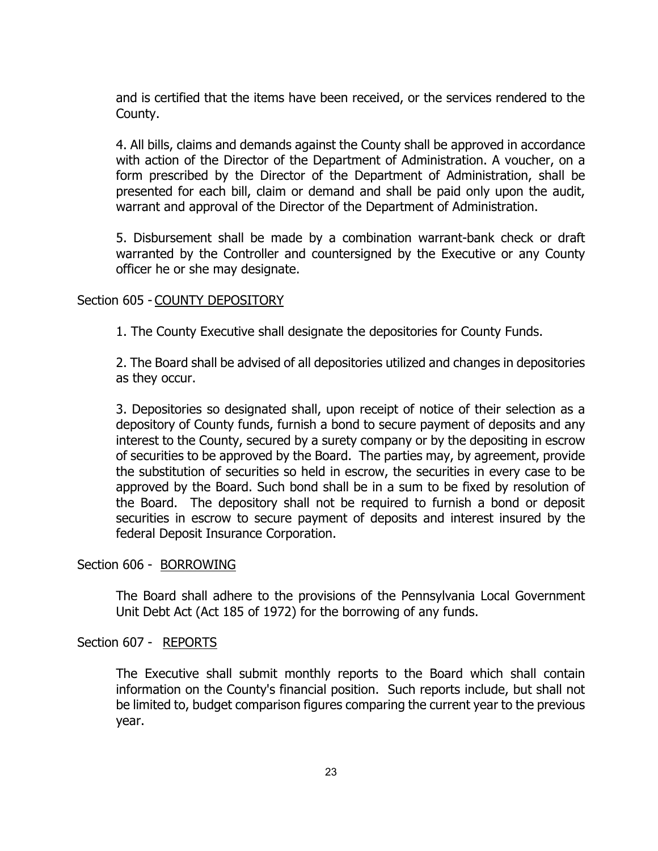and is certified that the items have been received, or the services rendered to the County.

4. All bills, claims and demands against the County shall be approved in accordance with action of the Director of the Department of Administration. A voucher, on a form prescribed by the Director of the Department of Administration, shall be presented for each bill, claim or demand and shall be paid only upon the audit, warrant and approval of the Director of the Department of Administration.

5. Disbursement shall be made by a combination warrant-bank check or draft warranted by the Controller and countersigned by the Executive or any County officer he or she may designate.

#### Section 605 - COUNTY DEPOSITORY

1. The County Executive shall designate the depositories for County Funds.

2. The Board shall be advised of all depositories utilized and changes in depositories as they occur.

3. Depositories so designated shall, upon receipt of notice of their selection as a depository of County funds, furnish a bond to secure payment of deposits and any interest to the County, secured by a surety company or by the depositing in escrow of securities to be approved by the Board. The parties may, by agreement, provide the substitution of securities so held in escrow, the securities in every case to be approved by the Board. Such bond shall be in a sum to be fixed by resolution of the Board. The depository shall not be required to furnish a bond or deposit securities in escrow to secure payment of deposits and interest insured by the federal Deposit Insurance Corporation.

#### Section 606 - BORROWING

The Board shall adhere to the provisions of the Pennsylvania Local Government Unit Debt Act (Act 185 of 1972) for the borrowing of any funds.

#### Section 607 - REPORTS

The Executive shall submit monthly reports to the Board which shall contain information on the County's financial position. Such reports include, but shall not be limited to, budget comparison figures comparing the current year to the previous year.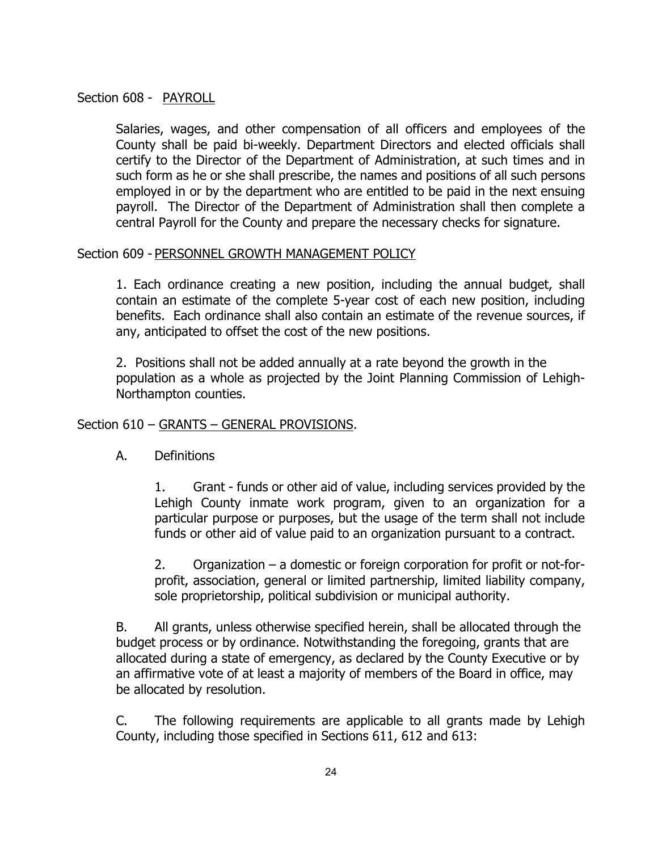### Section 608 - PAYROLL

Salaries, wages, and other compensation of all officers and employees of the County shall be paid bi-weekly. Department Directors and elected officials shall certify to the Director of the Department of Administration, at such times and in such form as he or she shall prescribe, the names and positions of all such persons employed in or by the department who are entitled to be paid in the next ensuing payroll. The Director of the Department of Administration shall then complete a central Payroll for the County and prepare the necessary checks for signature.

#### Section 609 - PERSONNEL GROWTH MANAGEMENT POLICY

1. Each ordinance creating a new position, including the annual budget, shall contain an estimate of the complete 5-year cost of each new position, including benefits. Each ordinance shall also contain an estimate of the revenue sources, if any, anticipated to offset the cost of the new positions.

2. Positions shall not be added annually at a rate beyond the growth in the population as a whole as projected by the Joint Planning Commission of Lehigh-Northampton counties.

#### Section 610 – GRANTS – GENERAL PROVISIONS.

A. Definitions

1. Grant - funds or other aid of value, including services provided by the Lehigh County inmate work program, given to an organization for a particular purpose or purposes, but the usage of the term shall not include funds or other aid of value paid to an organization pursuant to a contract.

2. Organization – a domestic or foreign corporation for profit or not-forprofit, association, general or limited partnership, limited liability company, sole proprietorship, political subdivision or municipal authority.

B. All grants, unless otherwise specified herein, shall be allocated through the budget process or by ordinance. Notwithstanding the foregoing, grants that are allocated during a state of emergency, as declared by the County Executive or by an affirmative vote of at least a majority of members of the Board in office, may be allocated by resolution.

C. The following requirements are applicable to all grants made by Lehigh County, including those specified in Sections 611, 612 and 613: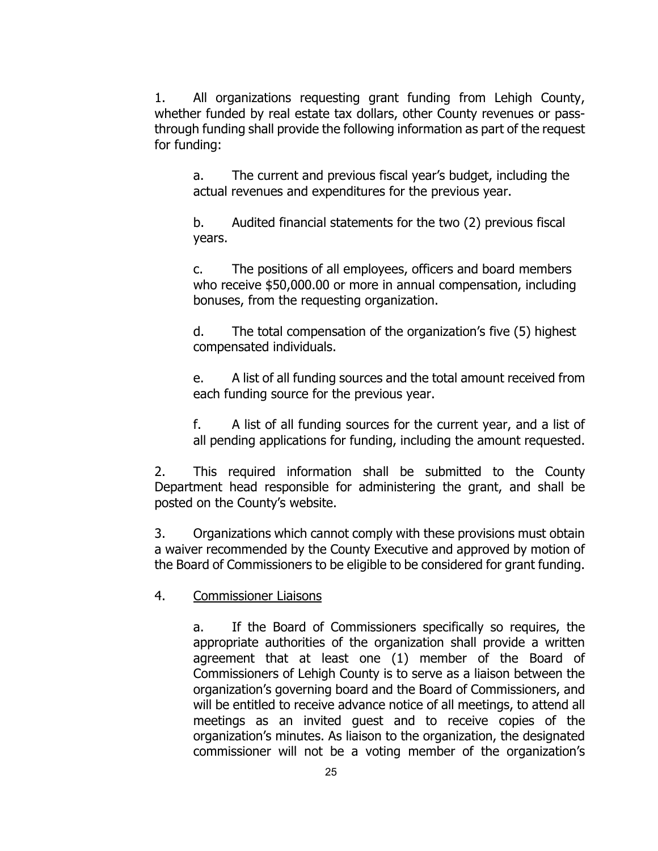1. All organizations requesting grant funding from Lehigh County, whether funded by real estate tax dollars, other County revenues or passthrough funding shall provide the following information as part of the request for funding:

a. The current and previous fiscal year's budget, including the actual revenues and expenditures for the previous year.

b. Audited financial statements for the two (2) previous fiscal years.

c. The positions of all employees, officers and board members who receive \$50,000.00 or more in annual compensation, including bonuses, from the requesting organization.

d. The total compensation of the organization's five (5) highest compensated individuals.

e. A list of all funding sources and the total amount received from each funding source for the previous year.

f. A list of all funding sources for the current year, and a list of all pending applications for funding, including the amount requested.

2. This required information shall be submitted to the County Department head responsible for administering the grant, and shall be posted on the County's website.

3. Organizations which cannot comply with these provisions must obtain a waiver recommended by the County Executive and approved by motion of the Board of Commissioners to be eligible to be considered for grant funding.

4. Commissioner Liaisons

a. If the Board of Commissioners specifically so requires, the appropriate authorities of the organization shall provide a written agreement that at least one (1) member of the Board of Commissioners of Lehigh County is to serve as a liaison between the organization's governing board and the Board of Commissioners, and will be entitled to receive advance notice of all meetings, to attend all meetings as an invited guest and to receive copies of the organization's minutes. As liaison to the organization, the designated commissioner will not be a voting member of the organization's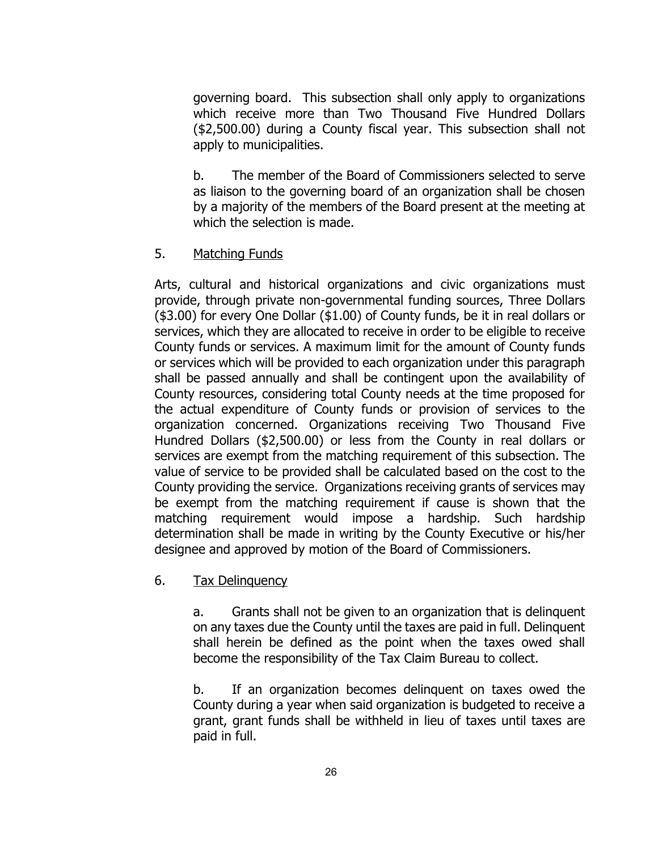governing board. This subsection shall only apply to organizations which receive more than Two Thousand Five Hundred Dollars (\$2,500.00) during a County fiscal year. This subsection shall not apply to municipalities.

b. The member of the Board of Commissioners selected to serve as liaison to the governing board of an organization shall be chosen by a majority of the members of the Board present at the meeting at which the selection is made.

# 5. Matching Funds

Arts, cultural and historical organizations and civic organizations must provide, through private non-governmental funding sources, Three Dollars (\$3.00) for every One Dollar (\$1.00) of County funds, be it in real dollars or services, which they are allocated to receive in order to be eligible to receive County funds or services. A maximum limit for the amount of County funds or services which will be provided to each organization under this paragraph shall be passed annually and shall be contingent upon the availability of County resources, considering total County needs at the time proposed for the actual expenditure of County funds or provision of services to the organization concerned. Organizations receiving Two Thousand Five Hundred Dollars (\$2,500.00) or less from the County in real dollars or services are exempt from the matching requirement of this subsection. The value of service to be provided shall be calculated based on the cost to the County providing the service. Organizations receiving grants of services may be exempt from the matching requirement if cause is shown that the matching requirement would impose a hardship. Such hardship determination shall be made in writing by the County Executive or his/her designee and approved by motion of the Board of Commissioners.

# 6. Tax Delinquency

a. Grants shall not be given to an organization that is delinquent on any taxes due the County until the taxes are paid in full. Delinquent shall herein be defined as the point when the taxes owed shall become the responsibility of the Tax Claim Bureau to collect.

b. If an organization becomes delinquent on taxes owed the County during a year when said organization is budgeted to receive a grant, grant funds shall be withheld in lieu of taxes until taxes are paid in full.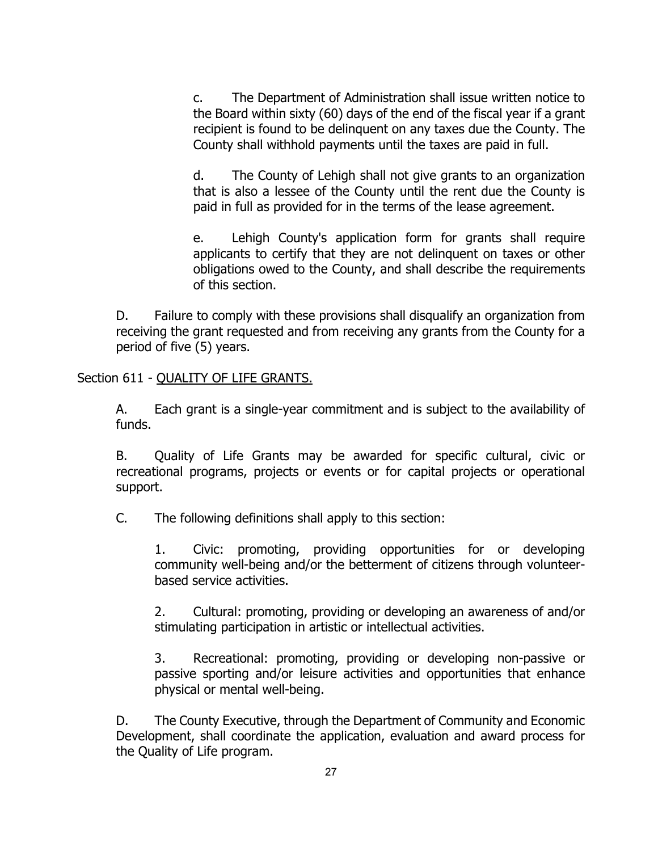c. The Department of Administration shall issue written notice to the Board within sixty (60) days of the end of the fiscal year if a grant recipient is found to be delinquent on any taxes due the County. The County shall withhold payments until the taxes are paid in full.

d. The County of Lehigh shall not give grants to an organization that is also a lessee of the County until the rent due the County is paid in full as provided for in the terms of the lease agreement.

e. Lehigh County's application form for grants shall require applicants to certify that they are not delinquent on taxes or other obligations owed to the County, and shall describe the requirements of this section.

D. Failure to comply with these provisions shall disqualify an organization from receiving the grant requested and from receiving any grants from the County for a period of five (5) years.

Section 611 - QUALITY OF LIFE GRANTS.

A. Each grant is a single-year commitment and is subject to the availability of funds.

B. Quality of Life Grants may be awarded for specific cultural, civic or recreational programs, projects or events or for capital projects or operational support.

C. The following definitions shall apply to this section:

1. Civic: promoting, providing opportunities for or developing community well-being and/or the betterment of citizens through volunteerbased service activities.

2. Cultural: promoting, providing or developing an awareness of and/or stimulating participation in artistic or intellectual activities.

3. Recreational: promoting, providing or developing non-passive or passive sporting and/or leisure activities and opportunities that enhance physical or mental well-being.

D. The County Executive, through the Department of Community and Economic Development, shall coordinate the application, evaluation and award process for the Quality of Life program.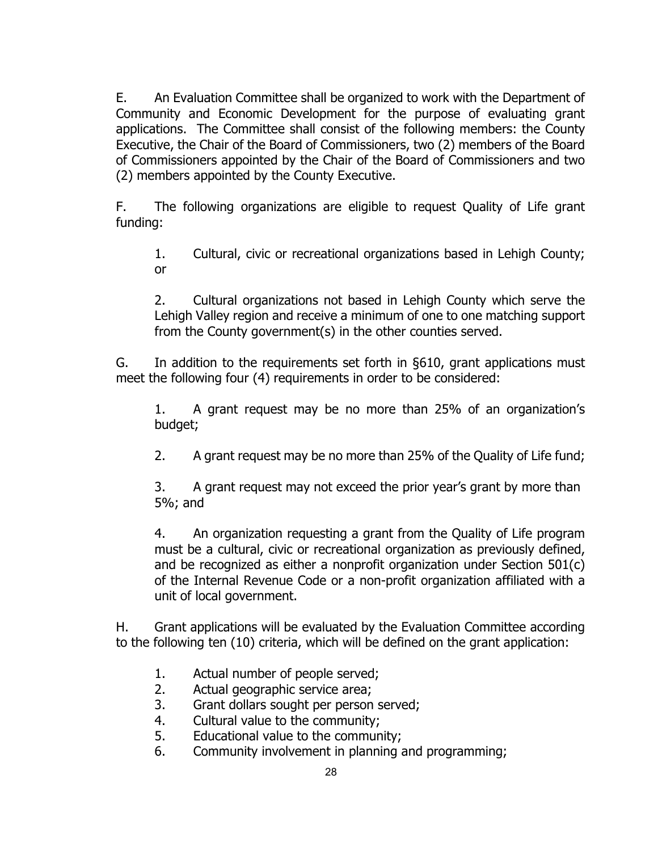E. An Evaluation Committee shall be organized to work with the Department of Community and Economic Development for the purpose of evaluating grant applications. The Committee shall consist of the following members: the County Executive, the Chair of the Board of Commissioners, two (2) members of the Board of Commissioners appointed by the Chair of the Board of Commissioners and two (2) members appointed by the County Executive.

F. The following organizations are eligible to request Quality of Life grant funding:

1. Cultural, civic or recreational organizations based in Lehigh County; or

2. Cultural organizations not based in Lehigh County which serve the Lehigh Valley region and receive a minimum of one to one matching support from the County government(s) in the other counties served.

G. In addition to the requirements set forth in §610, grant applications must meet the following four (4) requirements in order to be considered:

1. A grant request may be no more than 25% of an organization's budget;

2. A grant request may be no more than 25% of the Quality of Life fund;

3. A grant request may not exceed the prior year's grant by more than 5%; and

4. An organization requesting a grant from the Quality of Life program must be a cultural, civic or recreational organization as previously defined, and be recognized as either a nonprofit organization under Section 501(c) of the Internal Revenue Code or a non-profit organization affiliated with a unit of local government.

H. Grant applications will be evaluated by the Evaluation Committee according to the following ten (10) criteria, which will be defined on the grant application:

- 1. Actual number of people served;
- 2. Actual geographic service area;
- 3. Grant dollars sought per person served;
- 4. Cultural value to the community;
- 5. Educational value to the community;
- 6. Community involvement in planning and programming;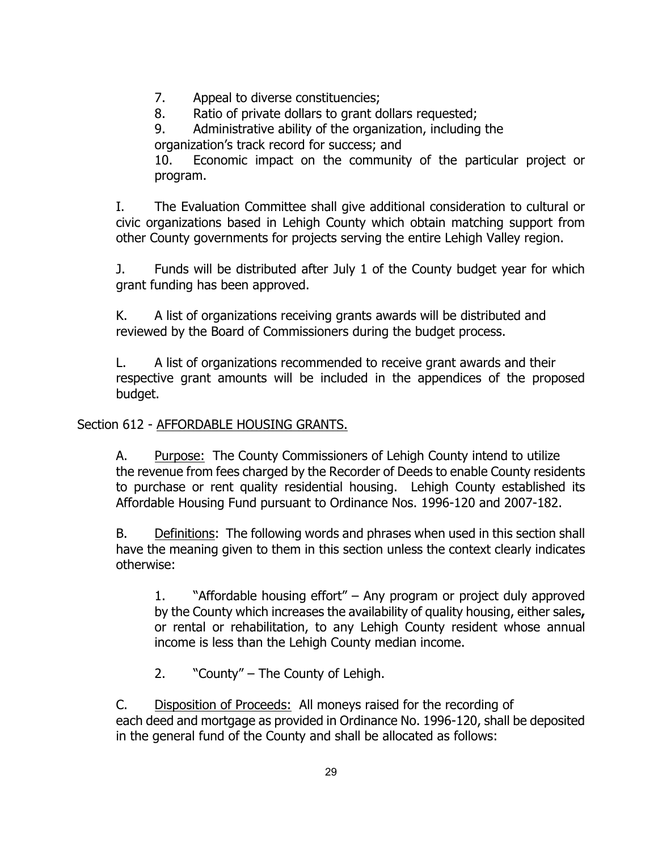7. Appeal to diverse constituencies;

8. Ratio of private dollars to grant dollars requested;

9. Administrative ability of the organization, including the organization's track record for success; and

10. Economic impact on the community of the particular project or program.

I. The Evaluation Committee shall give additional consideration to cultural or civic organizations based in Lehigh County which obtain matching support from other County governments for projects serving the entire Lehigh Valley region.

J. Funds will be distributed after July 1 of the County budget year for which grant funding has been approved.

K. A list of organizations receiving grants awards will be distributed and reviewed by the Board of Commissioners during the budget process.

L. A list of organizations recommended to receive grant awards and their respective grant amounts will be included in the appendices of the proposed budget.

# Section 612 - AFFORDABLE HOUSING GRANTS.

A. Purpose: The County Commissioners of Lehigh County intend to utilize the revenue from fees charged by the Recorder of Deeds to enable County residents to purchase or rent quality residential housing. Lehigh County established its Affordable Housing Fund pursuant to Ordinance Nos. 1996-120 and 2007-182.

B. Definitions: The following words and phrases when used in this section shall have the meaning given to them in this section unless the context clearly indicates otherwise:

1. "Affordable housing effort" – Any program or project duly approved by the County which increases the availability of quality housing, either sales**,** or rental or rehabilitation, to any Lehigh County resident whose annual income is less than the Lehigh County median income.

2. "County" – The County of Lehigh.

C. Disposition of Proceeds: All moneys raised for the recording of each deed and mortgage as provided in Ordinance No. 1996-120, shall be deposited in the general fund of the County and shall be allocated as follows: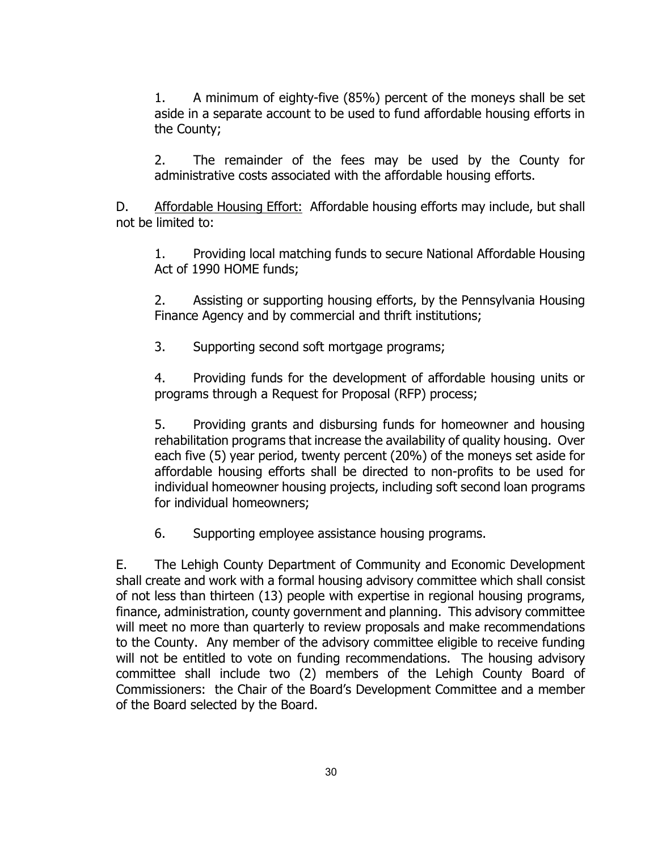1. A minimum of eighty-five (85%) percent of the moneys shall be set aside in a separate account to be used to fund affordable housing efforts in the County;

2. The remainder of the fees may be used by the County for administrative costs associated with the affordable housing efforts.

D. Affordable Housing Effort: Affordable housing efforts may include, but shall not be limited to:

1. Providing local matching funds to secure National Affordable Housing Act of 1990 HOME funds;

2. Assisting or supporting housing efforts, by the Pennsylvania Housing Finance Agency and by commercial and thrift institutions;

3. Supporting second soft mortgage programs;

4. Providing funds for the development of affordable housing units or programs through a Request for Proposal (RFP) process;

5. Providing grants and disbursing funds for homeowner and housing rehabilitation programs that increase the availability of quality housing. Over each five (5) year period, twenty percent (20%) of the moneys set aside for affordable housing efforts shall be directed to non-profits to be used for individual homeowner housing projects, including soft second loan programs for individual homeowners;

6. Supporting employee assistance housing programs.

E. The Lehigh County Department of Community and Economic Development shall create and work with a formal housing advisory committee which shall consist of not less than thirteen (13) people with expertise in regional housing programs, finance, administration, county government and planning. This advisory committee will meet no more than quarterly to review proposals and make recommendations to the County. Any member of the advisory committee eligible to receive funding will not be entitled to vote on funding recommendations. The housing advisory committee shall include two (2) members of the Lehigh County Board of Commissioners: the Chair of the Board's Development Committee and a member of the Board selected by the Board.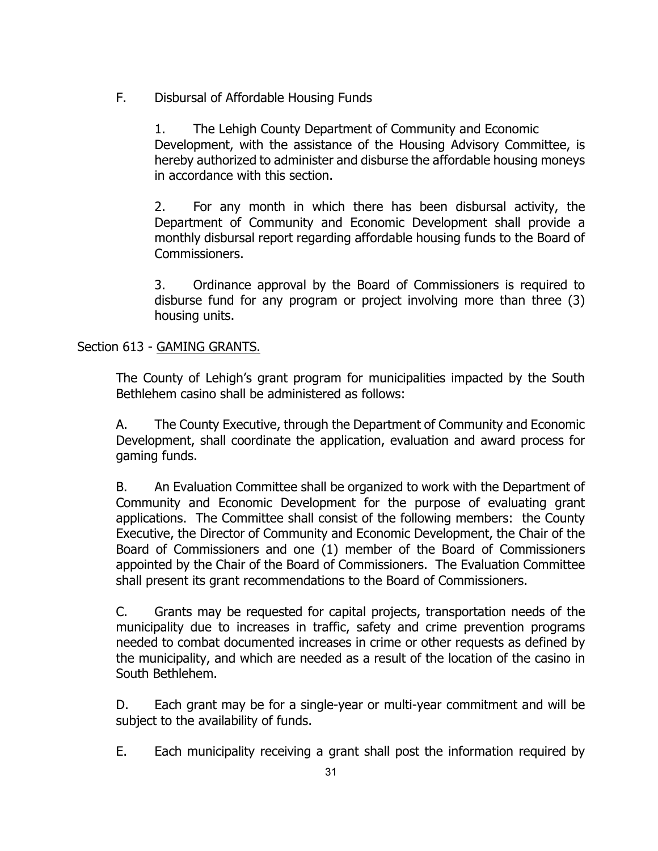F. Disbursal of Affordable Housing Funds

1. The Lehigh County Department of Community and Economic Development, with the assistance of the Housing Advisory Committee, is hereby authorized to administer and disburse the affordable housing moneys in accordance with this section.

2. For any month in which there has been disbursal activity, the Department of Community and Economic Development shall provide a monthly disbursal report regarding affordable housing funds to the Board of Commissioners.

3. Ordinance approval by the Board of Commissioners is required to disburse fund for any program or project involving more than three (3) housing units.

# Section 613 - GAMING GRANTS.

The County of Lehigh's grant program for municipalities impacted by the South Bethlehem casino shall be administered as follows:

A. The County Executive, through the Department of Community and Economic Development, shall coordinate the application, evaluation and award process for gaming funds.

B. An Evaluation Committee shall be organized to work with the Department of Community and Economic Development for the purpose of evaluating grant applications. The Committee shall consist of the following members: the County Executive, the Director of Community and Economic Development, the Chair of the Board of Commissioners and one (1) member of the Board of Commissioners appointed by the Chair of the Board of Commissioners. The Evaluation Committee shall present its grant recommendations to the Board of Commissioners.

C. Grants may be requested for capital projects, transportation needs of the municipality due to increases in traffic, safety and crime prevention programs needed to combat documented increases in crime or other requests as defined by the municipality, and which are needed as a result of the location of the casino in South Bethlehem.

D. Each grant may be for a single-year or multi-year commitment and will be subject to the availability of funds.

E. Each municipality receiving a grant shall post the information required by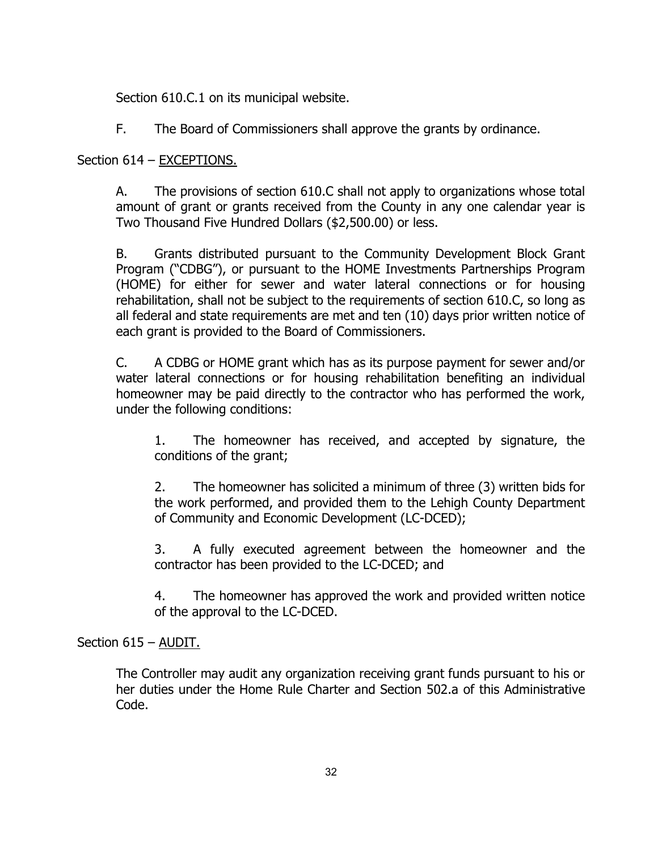Section 610.C.1 on its municipal website.

F. The Board of Commissioners shall approve the grants by ordinance.

# Section 614 – EXCEPTIONS.

A. The provisions of section 610.C shall not apply to organizations whose total amount of grant or grants received from the County in any one calendar year is Two Thousand Five Hundred Dollars (\$2,500.00) or less.

B. Grants distributed pursuant to the Community Development Block Grant Program ("CDBG"), or pursuant to the HOME Investments Partnerships Program (HOME) for either for sewer and water lateral connections or for housing rehabilitation, shall not be subject to the requirements of section 610.C, so long as all federal and state requirements are met and ten (10) days prior written notice of each grant is provided to the Board of Commissioners.

C. A CDBG or HOME grant which has as its purpose payment for sewer and/or water lateral connections or for housing rehabilitation benefiting an individual homeowner may be paid directly to the contractor who has performed the work, under the following conditions:

1. The homeowner has received, and accepted by signature, the conditions of the grant;

2. The homeowner has solicited a minimum of three (3) written bids for the work performed, and provided them to the Lehigh County Department of Community and Economic Development (LC-DCED);

3. A fully executed agreement between the homeowner and the contractor has been provided to the LC-DCED; and

4. The homeowner has approved the work and provided written notice of the approval to the LC-DCED.

# Section 615 – AUDIT.

The Controller may audit any organization receiving grant funds pursuant to his or her duties under the Home Rule Charter and Section 502.a of this Administrative Code.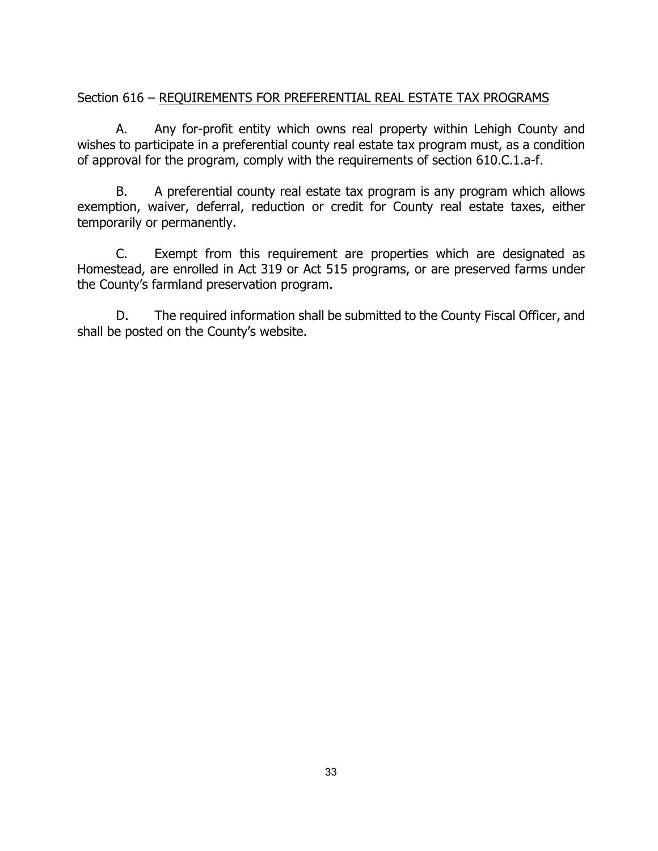# Section 616 – REQUIREMENTS FOR PREFERENTIAL REAL ESTATE TAX PROGRAMS

A. Any for-profit entity which owns real property within Lehigh County and wishes to participate in a preferential county real estate tax program must, as a condition of approval for the program, comply with the requirements of section 610.C.1.a-f.

B. A preferential county real estate tax program is any program which allows exemption, waiver, deferral, reduction or credit for County real estate taxes, either temporarily or permanently.

C. Exempt from this requirement are properties which are designated as Homestead, are enrolled in Act 319 or Act 515 programs, or are preserved farms under the County's farmland preservation program.

D. The required information shall be submitted to the County Fiscal Officer, and shall be posted on the County's website.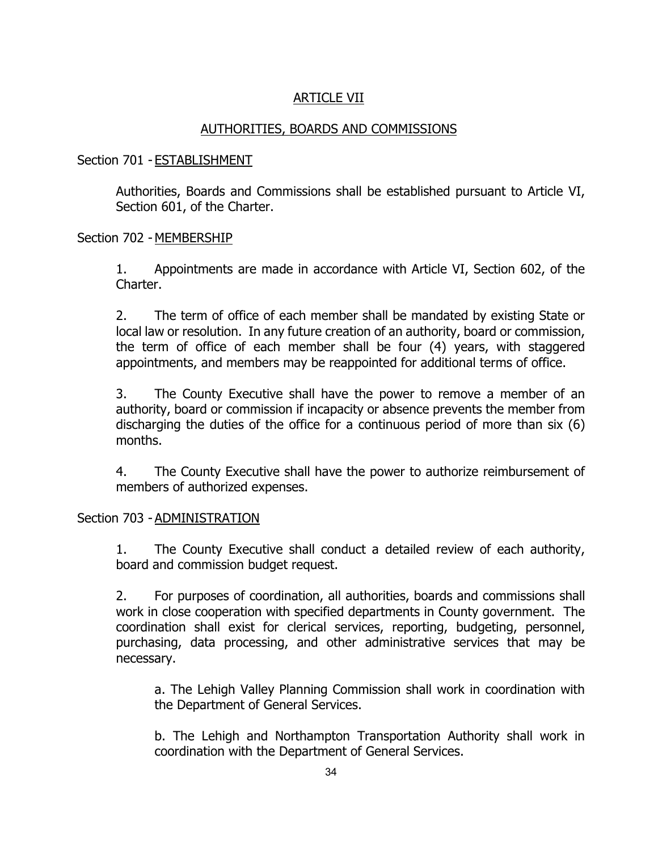# ARTICLE VII

# AUTHORITIES, BOARDS AND COMMISSIONS

## Section 701 - ESTABLISHMENT

Authorities, Boards and Commissions shall be established pursuant to Article VI, Section 601, of the Charter.

## Section 702 - MEMBERSHIP

1. Appointments are made in accordance with Article VI, Section 602, of the Charter.

2. The term of office of each member shall be mandated by existing State or local law or resolution. In any future creation of an authority, board or commission, the term of office of each member shall be four (4) years, with staggered appointments, and members may be reappointed for additional terms of office.

3. The County Executive shall have the power to remove a member of an authority, board or commission if incapacity or absence prevents the member from discharging the duties of the office for a continuous period of more than six (6) months.

4. The County Executive shall have the power to authorize reimbursement of members of authorized expenses.

## Section 703 - ADMINISTRATION

1. The County Executive shall conduct a detailed review of each authority, board and commission budget request.

2. For purposes of coordination, all authorities, boards and commissions shall work in close cooperation with specified departments in County government. The coordination shall exist for clerical services, reporting, budgeting, personnel, purchasing, data processing, and other administrative services that may be necessary.

a. The Lehigh Valley Planning Commission shall work in coordination with the Department of General Services.

b. The Lehigh and Northampton Transportation Authority shall work in coordination with the Department of General Services.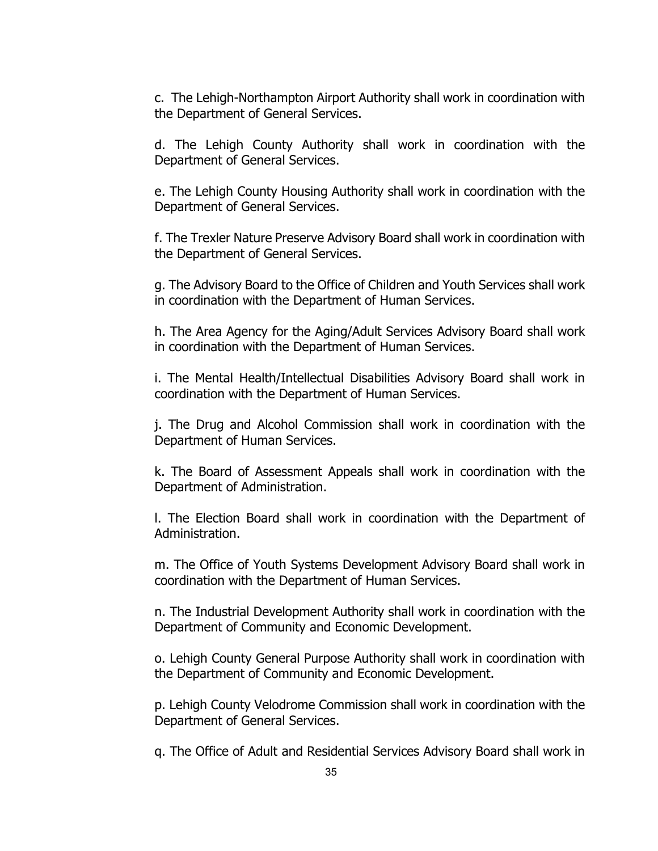c. The Lehigh-Northampton Airport Authority shall work in coordination with the Department of General Services.

d. The Lehigh County Authority shall work in coordination with the Department of General Services.

e. The Lehigh County Housing Authority shall work in coordination with the Department of General Services.

f. The Trexler Nature Preserve Advisory Board shall work in coordination with the Department of General Services.

g. The Advisory Board to the Office of Children and Youth Services shall work in coordination with the Department of Human Services.

h. The Area Agency for the Aging/Adult Services Advisory Board shall work in coordination with the Department of Human Services.

i. The Mental Health/Intellectual Disabilities Advisory Board shall work in coordination with the Department of Human Services.

j. The Drug and Alcohol Commission shall work in coordination with the Department of Human Services.

k. The Board of Assessment Appeals shall work in coordination with the Department of Administration.

l. The Election Board shall work in coordination with the Department of Administration.

m. The Office of Youth Systems Development Advisory Board shall work in coordination with the Department of Human Services.

n. The Industrial Development Authority shall work in coordination with the Department of Community and Economic Development.

o. Lehigh County General Purpose Authority shall work in coordination with the Department of Community and Economic Development.

p. Lehigh County Velodrome Commission shall work in coordination with the Department of General Services.

q. The Office of Adult and Residential Services Advisory Board shall work in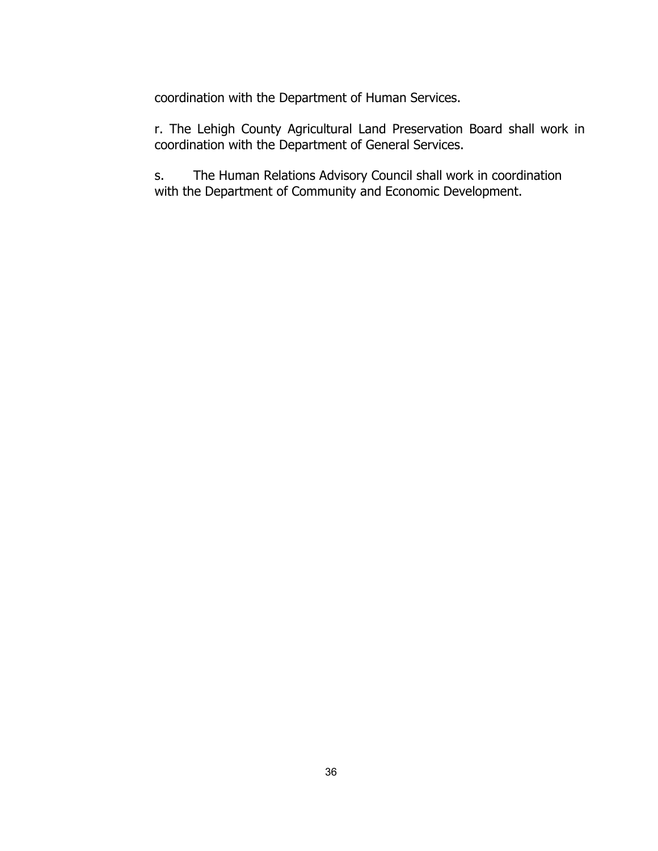coordination with the Department of Human Services.

r. The Lehigh County Agricultural Land Preservation Board shall work in coordination with the Department of General Services.

s. The Human Relations Advisory Council shall work in coordination with the Department of Community and Economic Development.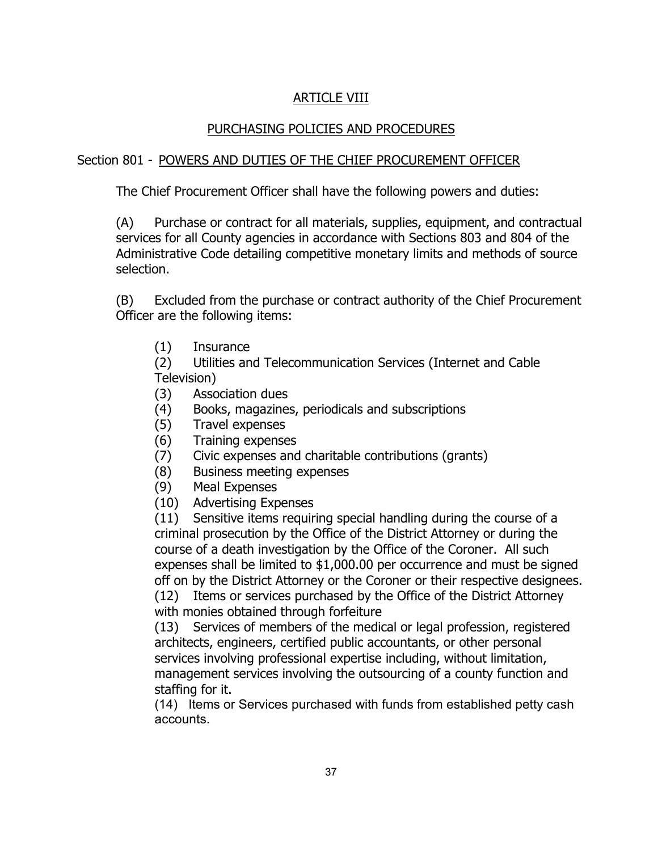# ARTICLE VIII

# PURCHASING POLICIES AND PROCEDURES

# Section 801 - POWERS AND DUTIES OF THE CHIEF PROCUREMENT OFFICER

The Chief Procurement Officer shall have the following powers and duties:

(A) Purchase or contract for all materials, supplies, equipment, and contractual services for all County agencies in accordance with Sections 803 and 804 of the Administrative Code detailing competitive monetary limits and methods of source selection.

(B) Excluded from the purchase or contract authority of the Chief Procurement Officer are the following items:

(1) Insurance

(2) Utilities and Telecommunication Services (Internet and Cable Television)

- (3) Association dues
- (4) Books, magazines, periodicals and subscriptions
- (5) Travel expenses
- (6) Training expenses
- (7) Civic expenses and charitable contributions (grants)
- (8) Business meeting expenses
- (9) Meal Expenses
- (10) Advertising Expenses

(11) Sensitive items requiring special handling during the course of a criminal prosecution by the Office of the District Attorney or during the course of a death investigation by the Office of the Coroner. All such expenses shall be limited to \$1,000.00 per occurrence and must be signed off on by the District Attorney or the Coroner or their respective designees.

(12) Items or services purchased by the Office of the District Attorney with monies obtained through forfeiture

(13) Services of members of the medical or legal profession, registered architects, engineers, certified public accountants, or other personal services involving professional expertise including, without limitation, management services involving the outsourcing of a county function and staffing for it.

(14) Items or Services purchased with funds from established petty cash accounts.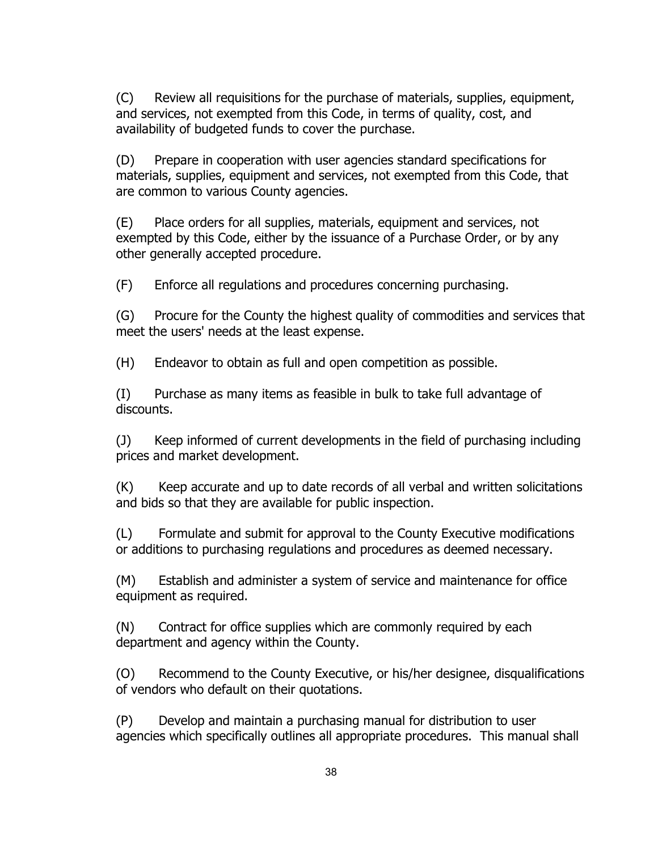(C) Review all requisitions for the purchase of materials, supplies, equipment, and services, not exempted from this Code, in terms of quality, cost, and availability of budgeted funds to cover the purchase.

(D) Prepare in cooperation with user agencies standard specifications for materials, supplies, equipment and services, not exempted from this Code, that are common to various County agencies.

(E) Place orders for all supplies, materials, equipment and services, not exempted by this Code, either by the issuance of a Purchase Order, or by any other generally accepted procedure.

(F) Enforce all regulations and procedures concerning purchasing.

(G) Procure for the County the highest quality of commodities and services that meet the users' needs at the least expense.

(H) Endeavor to obtain as full and open competition as possible.

(I) Purchase as many items as feasible in bulk to take full advantage of discounts.

(J) Keep informed of current developments in the field of purchasing including prices and market development.

(K) Keep accurate and up to date records of all verbal and written solicitations and bids so that they are available for public inspection.

(L) Formulate and submit for approval to the County Executive modifications or additions to purchasing regulations and procedures as deemed necessary.

(M) Establish and administer a system of service and maintenance for office equipment as required.

(N) Contract for office supplies which are commonly required by each department and agency within the County.

(O) Recommend to the County Executive, or his/her designee, disqualifications of vendors who default on their quotations.

(P) Develop and maintain a purchasing manual for distribution to user agencies which specifically outlines all appropriate procedures. This manual shall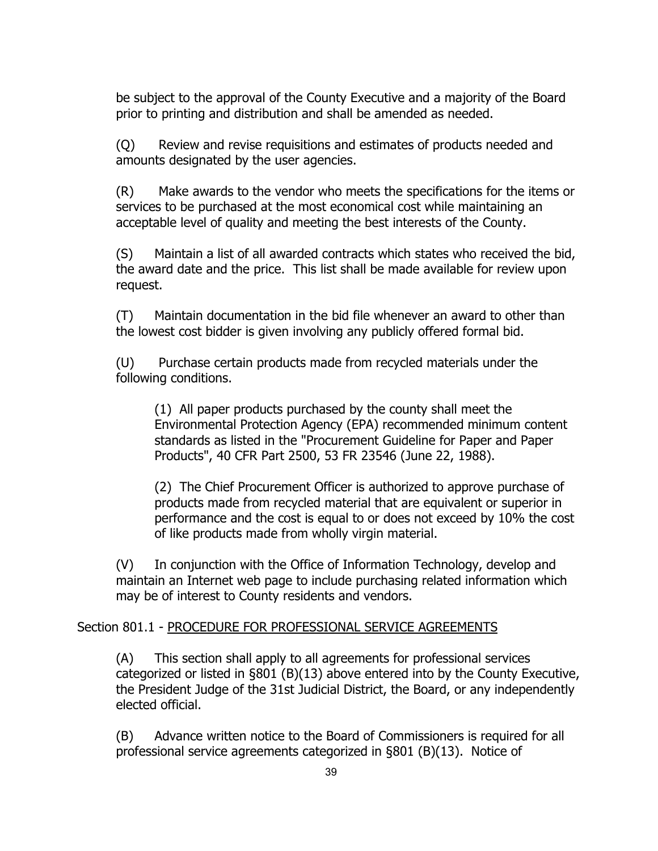be subject to the approval of the County Executive and a majority of the Board prior to printing and distribution and shall be amended as needed.

(Q) Review and revise requisitions and estimates of products needed and amounts designated by the user agencies.

(R) Make awards to the vendor who meets the specifications for the items or services to be purchased at the most economical cost while maintaining an acceptable level of quality and meeting the best interests of the County.

(S) Maintain a list of all awarded contracts which states who received the bid, the award date and the price. This list shall be made available for review upon request.

(T) Maintain documentation in the bid file whenever an award to other than the lowest cost bidder is given involving any publicly offered formal bid.

(U) Purchase certain products made from recycled materials under the following conditions.

(1) All paper products purchased by the county shall meet the Environmental Protection Agency (EPA) recommended minimum content standards as listed in the "Procurement Guideline for Paper and Paper Products", 40 CFR Part 2500, 53 FR 23546 (June 22, 1988).

(2) The Chief Procurement Officer is authorized to approve purchase of products made from recycled material that are equivalent or superior in performance and the cost is equal to or does not exceed by 10% the cost of like products made from wholly virgin material.

(V) In conjunction with the Office of Information Technology, develop and maintain an Internet web page to include purchasing related information which may be of interest to County residents and vendors.

## Section 801.1 - PROCEDURE FOR PROFESSIONAL SERVICE AGREEMENTS

(A) This section shall apply to all agreements for professional services categorized or listed in §801 (B)(13) above entered into by the County Executive, the President Judge of the 31st Judicial District, the Board, or any independently elected official.

(B) Advance written notice to the Board of Commissioners is required for all professional service agreements categorized in §801 (B)(13). Notice of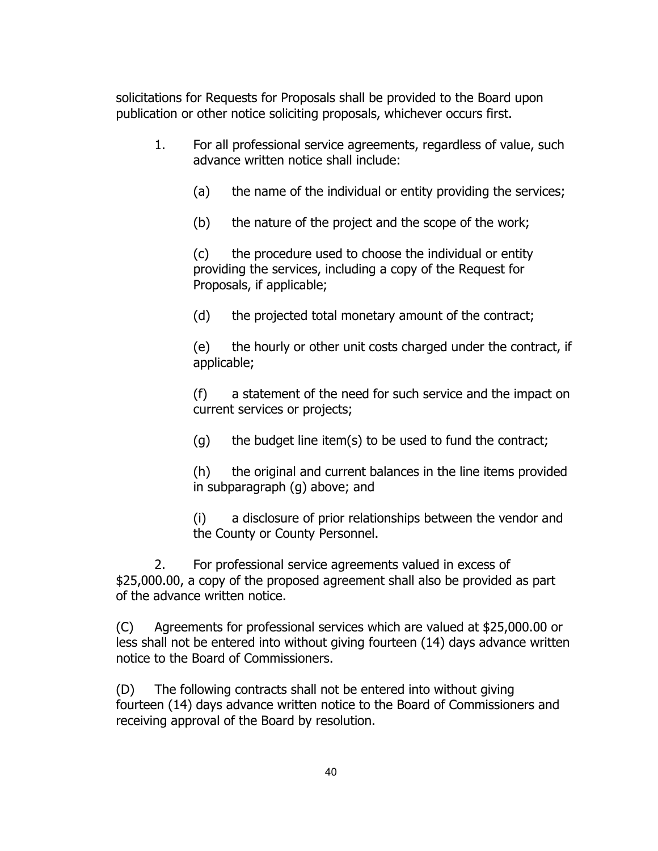solicitations for Requests for Proposals shall be provided to the Board upon publication or other notice soliciting proposals, whichever occurs first.

- 1. For all professional service agreements, regardless of value, such advance written notice shall include:
	- (a) the name of the individual or entity providing the services;
	- (b) the nature of the project and the scope of the work;

(c) the procedure used to choose the individual or entity providing the services, including a copy of the Request for Proposals, if applicable;

(d) the projected total monetary amount of the contract;

(e) the hourly or other unit costs charged under the contract, if applicable;

(f) a statement of the need for such service and the impact on current services or projects;

 $(g)$  the budget line item(s) to be used to fund the contract;

(h) the original and current balances in the line items provided in subparagraph (g) above; and

(i) a disclosure of prior relationships between the vendor and the County or County Personnel.

2. For professional service agreements valued in excess of \$25,000.00, a copy of the proposed agreement shall also be provided as part of the advance written notice.

(C) Agreements for professional services which are valued at \$25,000.00 or less shall not be entered into without giving fourteen (14) days advance written notice to the Board of Commissioners.

(D) The following contracts shall not be entered into without giving fourteen (14) days advance written notice to the Board of Commissioners and receiving approval of the Board by resolution.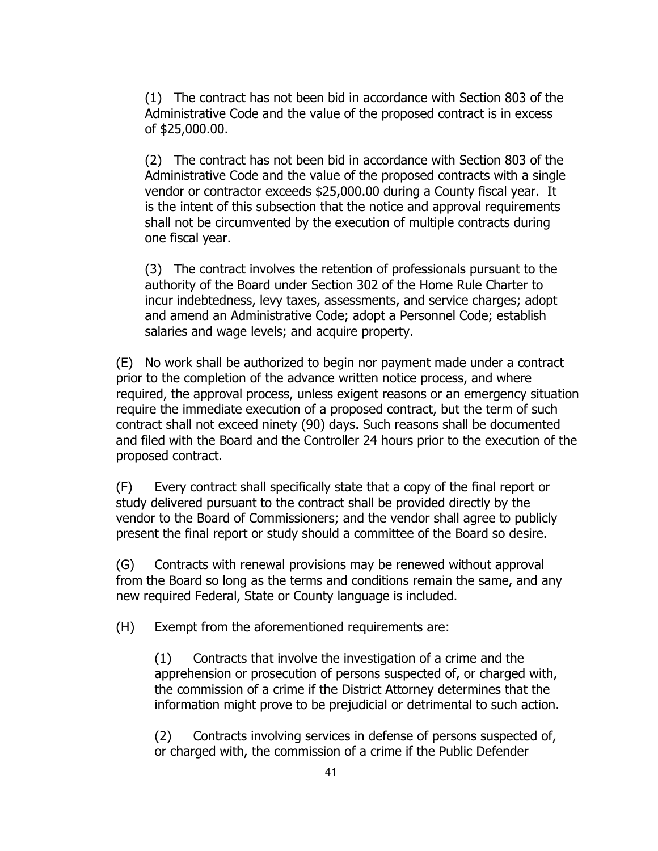(1) The contract has not been bid in accordance with Section 803 of the Administrative Code and the value of the proposed contract is in excess of \$25,000.00.

(2) The contract has not been bid in accordance with Section 803 of the Administrative Code and the value of the proposed contracts with a single vendor or contractor exceeds \$25,000.00 during a County fiscal year. It is the intent of this subsection that the notice and approval requirements shall not be circumvented by the execution of multiple contracts during one fiscal year.

(3) The contract involves the retention of professionals pursuant to the authority of the Board under Section 302 of the Home Rule Charter to incur indebtedness, levy taxes, assessments, and service charges; adopt and amend an Administrative Code; adopt a Personnel Code; establish salaries and wage levels; and acquire property.

(E) No work shall be authorized to begin nor payment made under a contract prior to the completion of the advance written notice process, and where required, the approval process, unless exigent reasons or an emergency situation require the immediate execution of a proposed contract, but the term of such contract shall not exceed ninety (90) days. Such reasons shall be documented and filed with the Board and the Controller 24 hours prior to the execution of the proposed contract.

(F) Every contract shall specifically state that a copy of the final report or study delivered pursuant to the contract shall be provided directly by the vendor to the Board of Commissioners; and the vendor shall agree to publicly present the final report or study should a committee of the Board so desire.

(G) Contracts with renewal provisions may be renewed without approval from the Board so long as the terms and conditions remain the same, and any new required Federal, State or County language is included.

(H) Exempt from the aforementioned requirements are:

(1) Contracts that involve the investigation of a crime and the apprehension or prosecution of persons suspected of, or charged with, the commission of a crime if the District Attorney determines that the information might prove to be prejudicial or detrimental to such action.

(2) Contracts involving services in defense of persons suspected of, or charged with, the commission of a crime if the Public Defender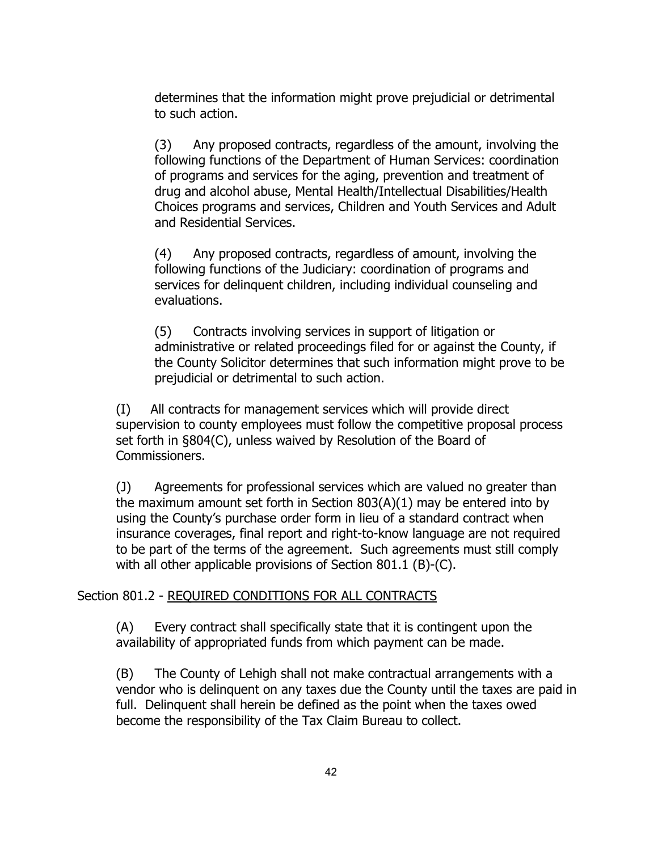determines that the information might prove prejudicial or detrimental to such action.

(3) Any proposed contracts, regardless of the amount, involving the following functions of the Department of Human Services: coordination of programs and services for the aging, prevention and treatment of drug and alcohol abuse, Mental Health/Intellectual Disabilities/Health Choices programs and services, Children and Youth Services and Adult and Residential Services.

(4) Any proposed contracts, regardless of amount, involving the following functions of the Judiciary: coordination of programs and services for delinquent children, including individual counseling and evaluations.

(5) Contracts involving services in support of litigation or administrative or related proceedings filed for or against the County, if the County Solicitor determines that such information might prove to be prejudicial or detrimental to such action.

(I) All contracts for management services which will provide direct supervision to county employees must follow the competitive proposal process set forth in §804(C), unless waived by Resolution of the Board of Commissioners.

(J) Agreements for professional services which are valued no greater than the maximum amount set forth in Section 803(A)(1) may be entered into by using the County's purchase order form in lieu of a standard contract when insurance coverages, final report and right-to-know language are not required to be part of the terms of the agreement. Such agreements must still comply with all other applicable provisions of Section 801.1 (B)-(C).

## Section 801.2 - REQUIRED CONDITIONS FOR ALL CONTRACTS

(A) Every contract shall specifically state that it is contingent upon the availability of appropriated funds from which payment can be made.

(B) The County of Lehigh shall not make contractual arrangements with a vendor who is delinquent on any taxes due the County until the taxes are paid in full. Delinquent shall herein be defined as the point when the taxes owed become the responsibility of the Tax Claim Bureau to collect.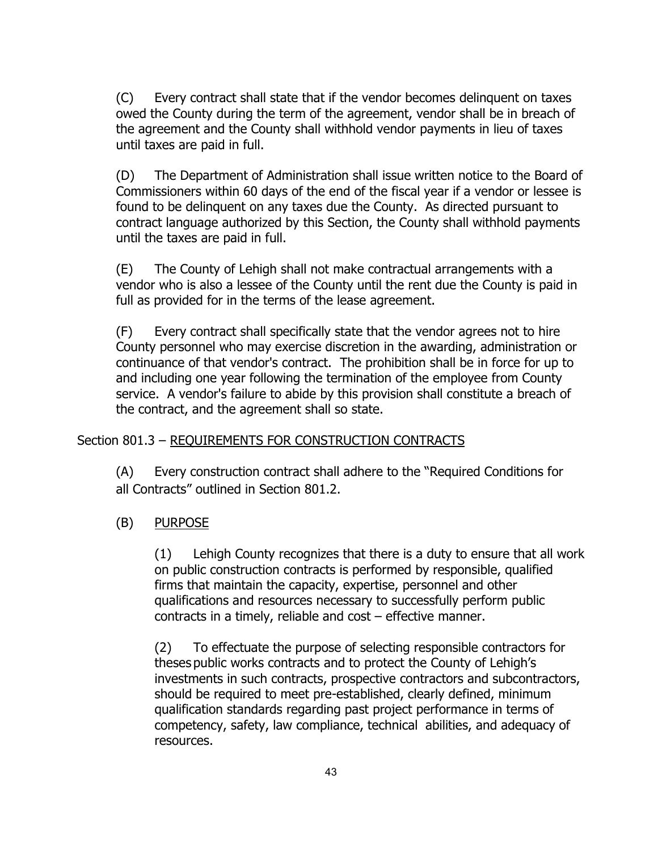(C) Every contract shall state that if the vendor becomes delinquent on taxes owed the County during the term of the agreement, vendor shall be in breach of the agreement and the County shall withhold vendor payments in lieu of taxes until taxes are paid in full.

(D) The Department of Administration shall issue written notice to the Board of Commissioners within 60 days of the end of the fiscal year if a vendor or lessee is found to be delinquent on any taxes due the County. As directed pursuant to contract language authorized by this Section, the County shall withhold payments until the taxes are paid in full.

(E) The County of Lehigh shall not make contractual arrangements with a vendor who is also a lessee of the County until the rent due the County is paid in full as provided for in the terms of the lease agreement.

(F) Every contract shall specifically state that the vendor agrees not to hire County personnel who may exercise discretion in the awarding, administration or continuance of that vendor's contract. The prohibition shall be in force for up to and including one year following the termination of the employee from County service. A vendor's failure to abide by this provision shall constitute a breach of the contract, and the agreement shall so state.

# Section 801.3 – REQUIREMENTS FOR CONSTRUCTION CONTRACTS

(A) Every construction contract shall adhere to the "Required Conditions for all Contracts" outlined in Section 801.2.

## (B) PURPOSE

(1) Lehigh County recognizes that there is a duty to ensure that all work on public construction contracts is performed by responsible, qualified firms that maintain the capacity, expertise, personnel and other qualifications and resources necessary to successfully perform public contracts in a timely, reliable and cost – effective manner.

(2) To effectuate the purpose of selecting responsible contractors for theses public works contracts and to protect the County of Lehigh's investments in such contracts, prospective contractors and subcontractors, should be required to meet pre-established, clearly defined, minimum qualification standards regarding past project performance in terms of competency, safety, law compliance, technical abilities, and adequacy of resources.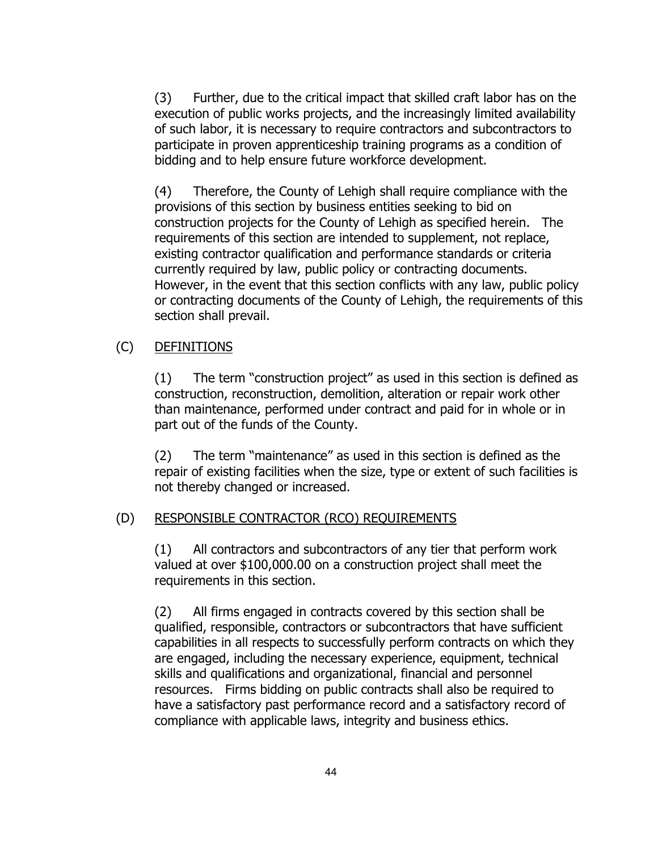(3) Further, due to the critical impact that skilled craft labor has on the execution of public works projects, and the increasingly limited availability of such labor, it is necessary to require contractors and subcontractors to participate in proven apprenticeship training programs as a condition of bidding and to help ensure future workforce development.

(4) Therefore, the County of Lehigh shall require compliance with the provisions of this section by business entities seeking to bid on construction projects for the County of Lehigh as specified herein. The requirements of this section are intended to supplement, not replace, existing contractor qualification and performance standards or criteria currently required by law, public policy or contracting documents. However, in the event that this section conflicts with any law, public policy or contracting documents of the County of Lehigh, the requirements of this section shall prevail.

# (C) DEFINITIONS

(1) The term "construction project" as used in this section is defined as construction, reconstruction, demolition, alteration or repair work other than maintenance, performed under contract and paid for in whole or in part out of the funds of the County.

(2) The term "maintenance" as used in this section is defined as the repair of existing facilities when the size, type or extent of such facilities is not thereby changed or increased.

# (D) RESPONSIBLE CONTRACTOR (RCO) REQUIREMENTS

(1) All contractors and subcontractors of any tier that perform work valued at over \$100,000.00 on a construction project shall meet the requirements in this section.

(2) All firms engaged in contracts covered by this section shall be qualified, responsible, contractors or subcontractors that have sufficient capabilities in all respects to successfully perform contracts on which they are engaged, including the necessary experience, equipment, technical skills and qualifications and organizational, financial and personnel resources. Firms bidding on public contracts shall also be required to have a satisfactory past performance record and a satisfactory record of compliance with applicable laws, integrity and business ethics.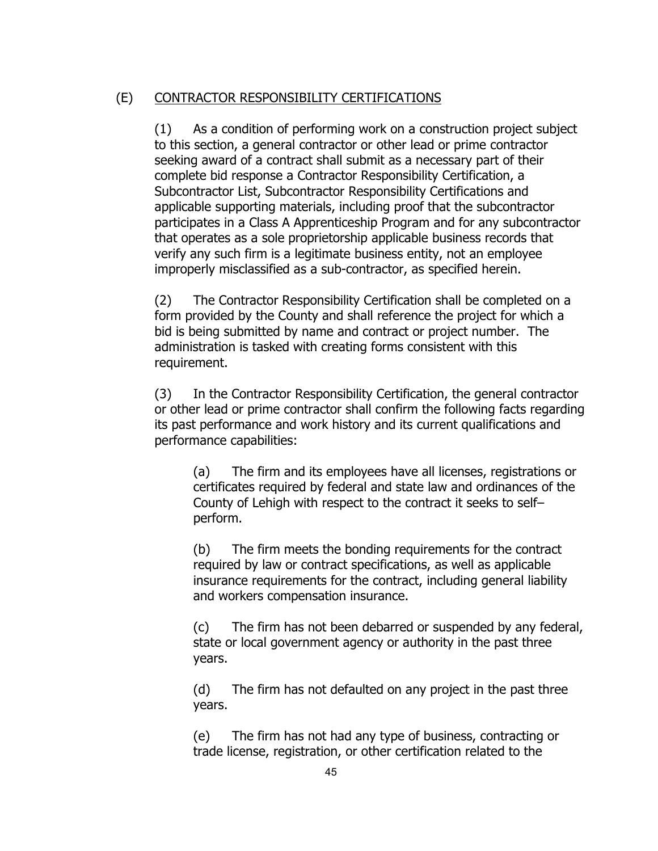## (E) CONTRACTOR RESPONSIBILITY CERTIFICATIONS

(1) As a condition of performing work on a construction project subject to this section, a general contractor or other lead or prime contractor seeking award of a contract shall submit as a necessary part of their complete bid response a Contractor Responsibility Certification, a Subcontractor List, Subcontractor Responsibility Certifications and applicable supporting materials, including proof that the subcontractor participates in a Class A Apprenticeship Program and for any subcontractor that operates as a sole proprietorship applicable business records that verify any such firm is a legitimate business entity, not an employee improperly misclassified as a sub-contractor, as specified herein.

(2) The Contractor Responsibility Certification shall be completed on a form provided by the County and shall reference the project for which a bid is being submitted by name and contract or project number. The administration is tasked with creating forms consistent with this requirement.

(3) In the Contractor Responsibility Certification, the general contractor or other lead or prime contractor shall confirm the following facts regarding its past performance and work history and its current qualifications and performance capabilities:

(a) The firm and its employees have all licenses, registrations or certificates required by federal and state law and ordinances of the County of Lehigh with respect to the contract it seeks to self– perform.

(b) The firm meets the bonding requirements for the contract required by law or contract specifications, as well as applicable insurance requirements for the contract, including general liability and workers compensation insurance.

(c) The firm has not been debarred or suspended by any federal, state or local government agency or authority in the past three years.

(d) The firm has not defaulted on any project in the past three years.

(e) The firm has not had any type of business, contracting or trade license, registration, or other certification related to the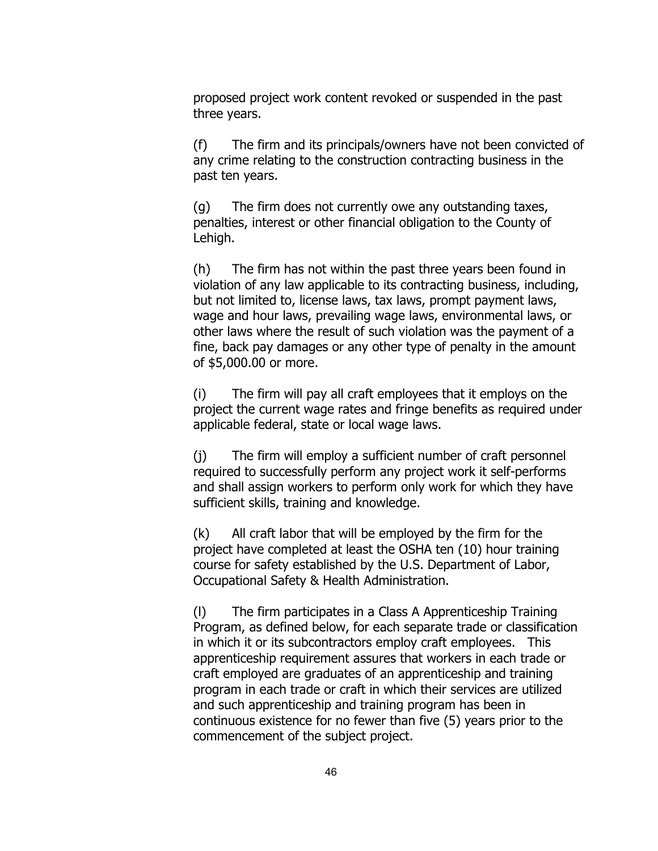proposed project work content revoked or suspended in the past three years.

(f) The firm and its principals/owners have not been convicted of any crime relating to the construction contracting business in the past ten years.

(g) The firm does not currently owe any outstanding taxes, penalties, interest or other financial obligation to the County of Lehigh.

(h) The firm has not within the past three years been found in violation of any law applicable to its contracting business, including, but not limited to, license laws, tax laws, prompt payment laws, wage and hour laws, prevailing wage laws, environmental laws, or other laws where the result of such violation was the payment of a fine, back pay damages or any other type of penalty in the amount of \$5,000.00 or more.

(i) The firm will pay all craft employees that it employs on the project the current wage rates and fringe benefits as required under applicable federal, state or local wage laws.

(j) The firm will employ a sufficient number of craft personnel required to successfully perform any project work it self-performs and shall assign workers to perform only work for which they have sufficient skills, training and knowledge.

(k) All craft labor that will be employed by the firm for the project have completed at least the OSHA ten (10) hour training course for safety established by the U.S. Department of Labor, Occupational Safety & Health Administration.

(l) The firm participates in a Class A Apprenticeship Training Program, as defined below, for each separate trade or classification in which it or its subcontractors employ craft employees. This apprenticeship requirement assures that workers in each trade or craft employed are graduates of an apprenticeship and training program in each trade or craft in which their services are utilized and such apprenticeship and training program has been in continuous existence for no fewer than five (5) years prior to the commencement of the subject project.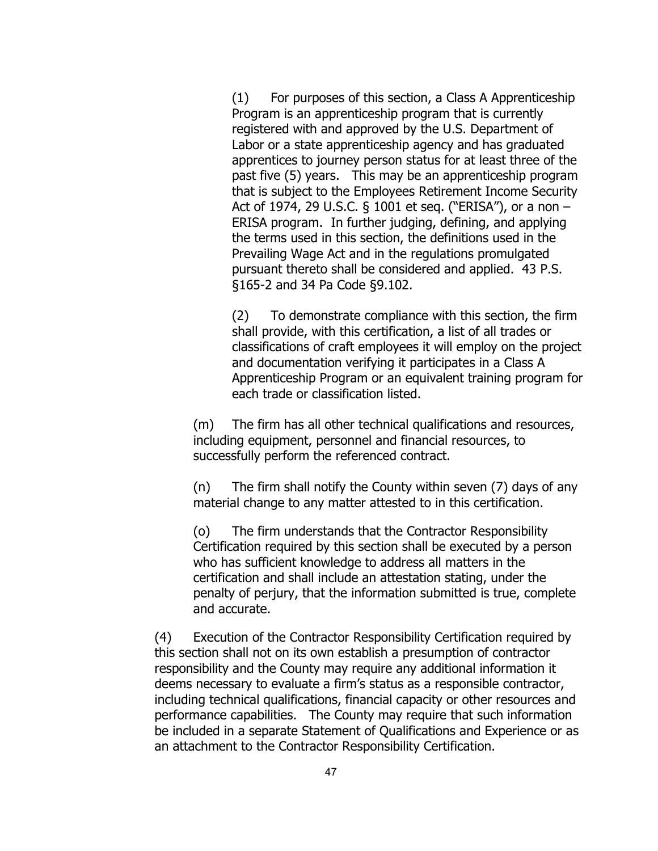(1) For purposes of this section, a Class A Apprenticeship Program is an apprenticeship program that is currently registered with and approved by the U.S. Department of Labor or a state apprenticeship agency and has graduated apprentices to journey person status for at least three of the past five (5) years. This may be an apprenticeship program that is subject to the Employees Retirement Income Security Act of 1974, 29 U.S.C. § 1001 et seq. ("ERISA"), or a non – ERISA program. In further judging, defining, and applying the terms used in this section, the definitions used in the Prevailing Wage Act and in the regulations promulgated pursuant thereto shall be considered and applied. 43 P.S. §165-2 and 34 Pa Code §9.102.

(2) To demonstrate compliance with this section, the firm shall provide, with this certification, a list of all trades or classifications of craft employees it will employ on the project and documentation verifying it participates in a Class A Apprenticeship Program or an equivalent training program for each trade or classification listed.

(m) The firm has all other technical qualifications and resources, including equipment, personnel and financial resources, to successfully perform the referenced contract.

(n) The firm shall notify the County within seven (7) days of any material change to any matter attested to in this certification.

(o) The firm understands that the Contractor Responsibility Certification required by this section shall be executed by a person who has sufficient knowledge to address all matters in the certification and shall include an attestation stating, under the penalty of perjury, that the information submitted is true, complete and accurate.

(4) Execution of the Contractor Responsibility Certification required by this section shall not on its own establish a presumption of contractor responsibility and the County may require any additional information it deems necessary to evaluate a firm's status as a responsible contractor, including technical qualifications, financial capacity or other resources and performance capabilities. The County may require that such information be included in a separate Statement of Qualifications and Experience or as an attachment to the Contractor Responsibility Certification.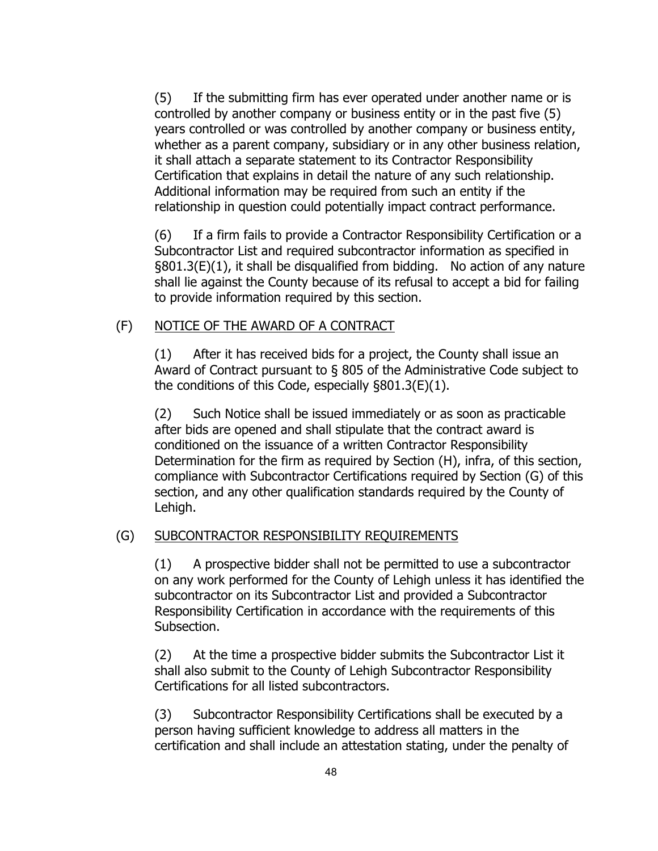(5) If the submitting firm has ever operated under another name or is controlled by another company or business entity or in the past five (5) years controlled or was controlled by another company or business entity, whether as a parent company, subsidiary or in any other business relation, it shall attach a separate statement to its Contractor Responsibility Certification that explains in detail the nature of any such relationship. Additional information may be required from such an entity if the relationship in question could potentially impact contract performance.

(6) If a firm fails to provide a Contractor Responsibility Certification or a Subcontractor List and required subcontractor information as specified in §801.3(E)(1), it shall be disqualified from bidding. No action of any nature shall lie against the County because of its refusal to accept a bid for failing to provide information required by this section.

#### (F) NOTICE OF THE AWARD OF A CONTRACT

(1) After it has received bids for a project, the County shall issue an Award of Contract pursuant to § 805 of the Administrative Code subject to the conditions of this Code, especially §801.3(E)(1).

(2) Such Notice shall be issued immediately or as soon as practicable after bids are opened and shall stipulate that the contract award is conditioned on the issuance of a written Contractor Responsibility Determination for the firm as required by Section (H), infra, of this section, compliance with Subcontractor Certifications required by Section (G) of this section, and any other qualification standards required by the County of Lehigh.

#### (G) SUBCONTRACTOR RESPONSIBILITY REQUIREMENTS

(1) A prospective bidder shall not be permitted to use a subcontractor on any work performed for the County of Lehigh unless it has identified the subcontractor on its Subcontractor List and provided a Subcontractor Responsibility Certification in accordance with the requirements of this Subsection.

(2) At the time a prospective bidder submits the Subcontractor List it shall also submit to the County of Lehigh Subcontractor Responsibility Certifications for all listed subcontractors.

(3) Subcontractor Responsibility Certifications shall be executed by a person having sufficient knowledge to address all matters in the certification and shall include an attestation stating, under the penalty of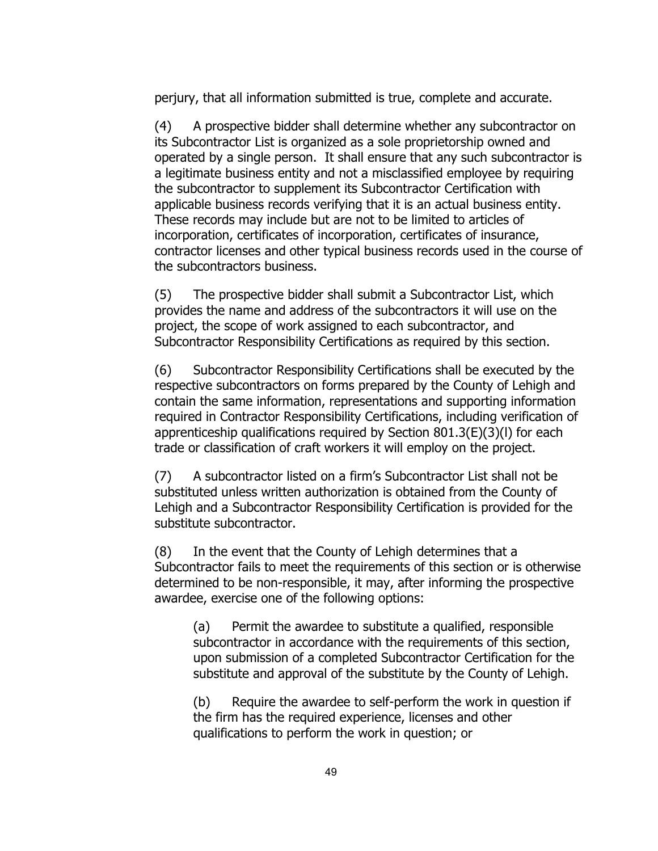perjury, that all information submitted is true, complete and accurate.

(4) A prospective bidder shall determine whether any subcontractor on its Subcontractor List is organized as a sole proprietorship owned and operated by a single person. It shall ensure that any such subcontractor is a legitimate business entity and not a misclassified employee by requiring the subcontractor to supplement its Subcontractor Certification with applicable business records verifying that it is an actual business entity. These records may include but are not to be limited to articles of incorporation, certificates of incorporation, certificates of insurance, contractor licenses and other typical business records used in the course of the subcontractors business.

(5) The prospective bidder shall submit a Subcontractor List, which provides the name and address of the subcontractors it will use on the project, the scope of work assigned to each subcontractor, and Subcontractor Responsibility Certifications as required by this section.

(6) Subcontractor Responsibility Certifications shall be executed by the respective subcontractors on forms prepared by the County of Lehigh and contain the same information, representations and supporting information required in Contractor Responsibility Certifications, including verification of apprenticeship qualifications required by Section 801.3(E)(3)(l) for each trade or classification of craft workers it will employ on the project.

(7) A subcontractor listed on a firm's Subcontractor List shall not be substituted unless written authorization is obtained from the County of Lehigh and a Subcontractor Responsibility Certification is provided for the substitute subcontractor.

(8) In the event that the County of Lehigh determines that a Subcontractor fails to meet the requirements of this section or is otherwise determined to be non-responsible, it may, after informing the prospective awardee, exercise one of the following options:

(a) Permit the awardee to substitute a qualified, responsible subcontractor in accordance with the requirements of this section, upon submission of a completed Subcontractor Certification for the substitute and approval of the substitute by the County of Lehigh.

(b) Require the awardee to self-perform the work in question if the firm has the required experience, licenses and other qualifications to perform the work in question; or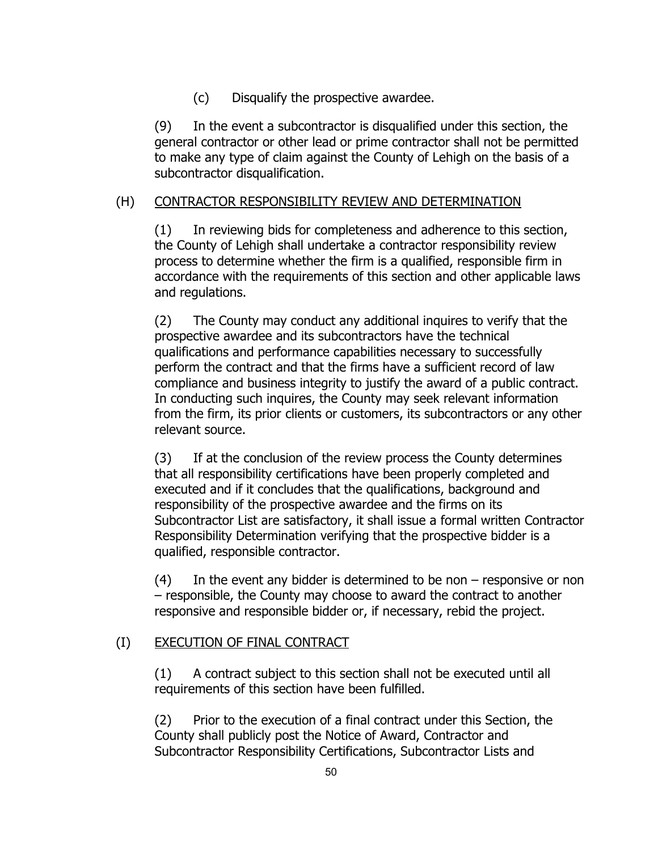(c) Disqualify the prospective awardee.

(9) In the event a subcontractor is disqualified under this section, the general contractor or other lead or prime contractor shall not be permitted to make any type of claim against the County of Lehigh on the basis of a subcontractor disqualification.

# (H) CONTRACTOR RESPONSIBILITY REVIEW AND DETERMINATION

(1) In reviewing bids for completeness and adherence to this section, the County of Lehigh shall undertake a contractor responsibility review process to determine whether the firm is a qualified, responsible firm in accordance with the requirements of this section and other applicable laws and regulations.

(2) The County may conduct any additional inquires to verify that the prospective awardee and its subcontractors have the technical qualifications and performance capabilities necessary to successfully perform the contract and that the firms have a sufficient record of law compliance and business integrity to justify the award of a public contract. In conducting such inquires, the County may seek relevant information from the firm, its prior clients or customers, its subcontractors or any other relevant source.

(3) If at the conclusion of the review process the County determines that all responsibility certifications have been properly completed and executed and if it concludes that the qualifications, background and responsibility of the prospective awardee and the firms on its Subcontractor List are satisfactory, it shall issue a formal written Contractor Responsibility Determination verifying that the prospective bidder is a qualified, responsible contractor.

 $(4)$  In the event any bidder is determined to be non – responsive or non – responsible, the County may choose to award the contract to another responsive and responsible bidder or, if necessary, rebid the project.

# (I) EXECUTION OF FINAL CONTRACT

(1) A contract subject to this section shall not be executed until all requirements of this section have been fulfilled.

(2) Prior to the execution of a final contract under this Section, the County shall publicly post the Notice of Award, Contractor and Subcontractor Responsibility Certifications, Subcontractor Lists and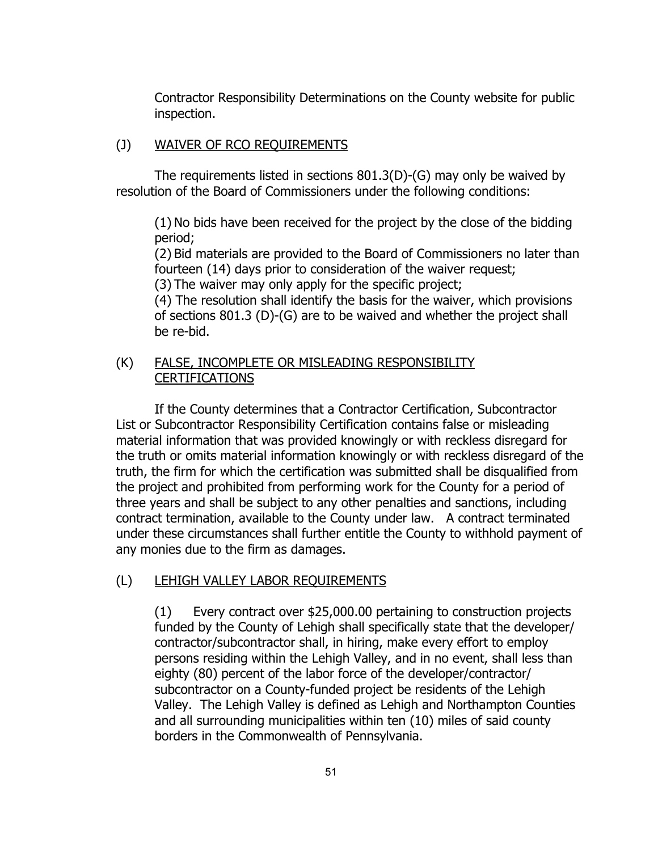Contractor Responsibility Determinations on the County website for public inspection.

#### (J) WAIVER OF RCO REQUIREMENTS

The requirements listed in sections 801.3(D)-(G) may only be waived by resolution of the Board of Commissioners under the following conditions:

(1) No bids have been received for the project by the close of the bidding period;

(2) Bid materials are provided to the Board of Commissioners no later than fourteen (14) days prior to consideration of the waiver request;

(3) The waiver may only apply for the specific project;

(4) The resolution shall identify the basis for the waiver, which provisions of sections 801.3 (D)-(G) are to be waived and whether the project shall be re-bid.

# (K) FALSE, INCOMPLETE OR MISLEADING RESPONSIBILITY CERTIFICATIONS

If the County determines that a Contractor Certification, Subcontractor List or Subcontractor Responsibility Certification contains false or misleading material information that was provided knowingly or with reckless disregard for the truth or omits material information knowingly or with reckless disregard of the truth, the firm for which the certification was submitted shall be disqualified from the project and prohibited from performing work for the County for a period of three years and shall be subject to any other penalties and sanctions, including contract termination, available to the County under law. A contract terminated under these circumstances shall further entitle the County to withhold payment of any monies due to the firm as damages.

# (L) LEHIGH VALLEY LABOR REQUIREMENTS

(1) Every contract over \$25,000.00 pertaining to construction projects funded by the County of Lehigh shall specifically state that the developer/ contractor/subcontractor shall, in hiring, make every effort to employ persons residing within the Lehigh Valley, and in no event, shall less than eighty (80) percent of the labor force of the developer/contractor/ subcontractor on a County-funded project be residents of the Lehigh Valley. The Lehigh Valley is defined as Lehigh and Northampton Counties and all surrounding municipalities within ten (10) miles of said county borders in the Commonwealth of Pennsylvania.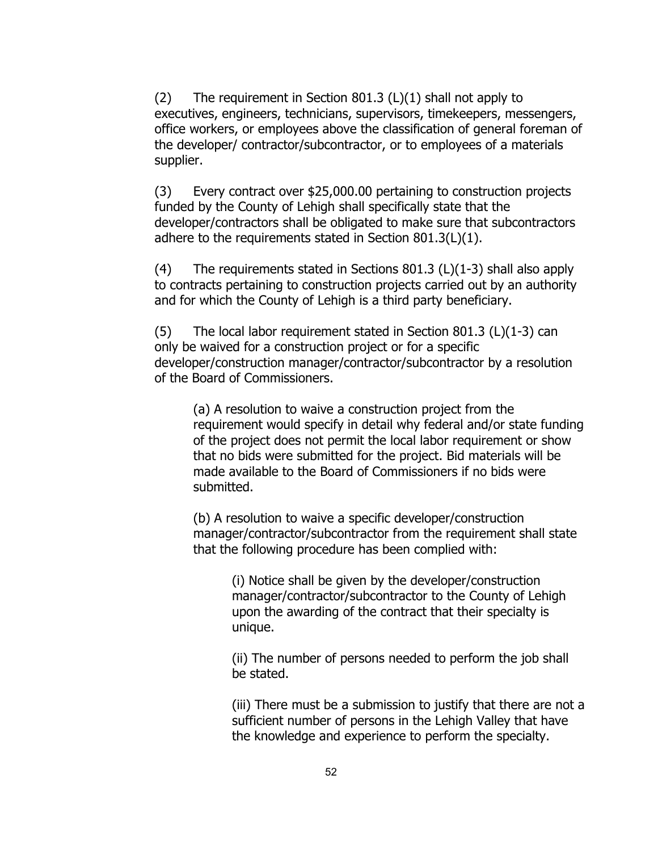(2) The requirement in Section 801.3 ( $L$ )(1) shall not apply to executives, engineers, technicians, supervisors, timekeepers, messengers, office workers, or employees above the classification of general foreman of the developer/ contractor/subcontractor, or to employees of a materials supplier.

(3) Every contract over \$25,000.00 pertaining to construction projects funded by the County of Lehigh shall specifically state that the developer/contractors shall be obligated to make sure that subcontractors adhere to the requirements stated in Section 801.3(L)(1).

(4) The requirements stated in Sections 801.3 (L)(1-3) shall also apply to contracts pertaining to construction projects carried out by an authority and for which the County of Lehigh is a third party beneficiary.

 $(5)$  The local labor requirement stated in Section 801.3 (L) $(1-3)$  can only be waived for a construction project or for a specific developer/construction manager/contractor/subcontractor by a resolution of the Board of Commissioners.

(a) A resolution to waive a construction project from the requirement would specify in detail why federal and/or state funding of the project does not permit the local labor requirement or show that no bids were submitted for the project. Bid materials will be made available to the Board of Commissioners if no bids were submitted.

(b) A resolution to waive a specific developer/construction manager/contractor/subcontractor from the requirement shall state that the following procedure has been complied with:

(i) Notice shall be given by the developer/construction manager/contractor/subcontractor to the County of Lehigh upon the awarding of the contract that their specialty is unique.

(ii) The number of persons needed to perform the job shall be stated.

(iii) There must be a submission to justify that there are not a sufficient number of persons in the Lehigh Valley that have the knowledge and experience to perform the specialty.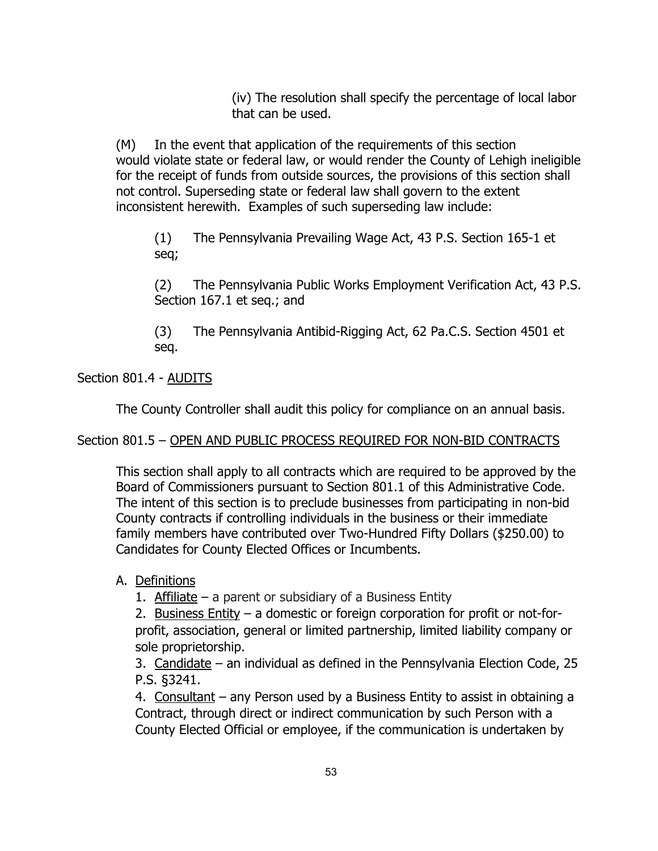(iv) The resolution shall specify the percentage of local labor that can be used.

(M) In the event that application of the requirements of this section would violate state or federal law, or would render the County of Lehigh ineligible for the receipt of funds from outside sources, the provisions of this section shall not control. Superseding state or federal law shall govern to the extent inconsistent herewith. Examples of such superseding law include:

(1) The Pennsylvania Prevailing Wage Act, 43 P.S. Section 165-1 et seq;

(2) The Pennsylvania Public Works Employment Verification Act, 43 P.S. Section 167.1 et seq.; and

(3) The Pennsylvania Antibid-Rigging Act, 62 Pa.C.S. Section 4501 et seq.

# Section 801.4 - AUDITS

The County Controller shall audit this policy for compliance on an annual basis.

## Section 801.5 – OPEN AND PUBLIC PROCESS REQUIRED FOR NON-BID CONTRACTS

This section shall apply to all contracts which are required to be approved by the Board of Commissioners pursuant to Section 801.1 of this Administrative Code. The intent of this section is to preclude businesses from participating in non-bid County contracts if controlling individuals in the business or their immediate family members have contributed over Two-Hundred Fifty Dollars (\$250.00) to Candidates for County Elected Offices or Incumbents.

## A. Definitions

1. Affiliate – a parent or subsidiary of a Business Entity

2. Business Entity – a domestic or foreign corporation for profit or not-forprofit, association, general or limited partnership, limited liability company or sole proprietorship.

3. Candidate – an individual as defined in the Pennsylvania Election Code, 25 P.S. §3241.

4. Consultant – any Person used by a Business Entity to assist in obtaining a Contract, through direct or indirect communication by such Person with a County Elected Official or employee, if the communication is undertaken by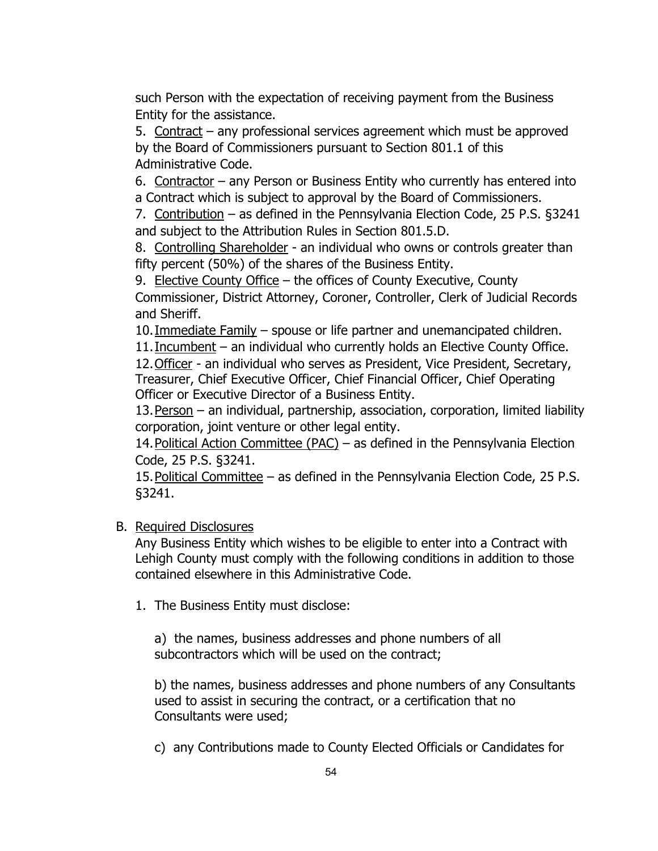such Person with the expectation of receiving payment from the Business Entity for the assistance.

5. Contract – any professional services agreement which must be approved by the Board of Commissioners pursuant to Section 801.1 of this Administrative Code.

6. Contractor – any Person or Business Entity who currently has entered into a Contract which is subject to approval by the Board of Commissioners.

7. Contribution – as defined in the Pennsylvania Election Code, 25 P.S. §3241 and subject to the Attribution Rules in Section 801.5.D.

8. Controlling Shareholder - an individual who owns or controls greater than fifty percent (50%) of the shares of the Business Entity.

9. Elective County Office – the offices of County Executive, County

Commissioner, District Attorney, Coroner, Controller, Clerk of Judicial Records and Sheriff.

10. Immediate Family – spouse or life partner and unemancipated children.

11. Incumbent – an individual who currently holds an Elective County Office.

12.Officer - an individual who serves as President, Vice President, Secretary, Treasurer, Chief Executive Officer, Chief Financial Officer, Chief Operating Officer or Executive Director of a Business Entity.

13. Person – an individual, partnership, association, corporation, limited liability corporation, joint venture or other legal entity.

14.Political Action Committee (PAC) – as defined in the Pennsylvania Election Code, 25 P.S. §3241.

15.Political Committee – as defined in the Pennsylvania Election Code, 25 P.S. §3241.

# B. Required Disclosures

Any Business Entity which wishes to be eligible to enter into a Contract with Lehigh County must comply with the following conditions in addition to those contained elsewhere in this Administrative Code.

1. The Business Entity must disclose:

a) the names, business addresses and phone numbers of all subcontractors which will be used on the contract;

b) the names, business addresses and phone numbers of any Consultants used to assist in securing the contract, or a certification that no Consultants were used;

c) any Contributions made to County Elected Officials or Candidates for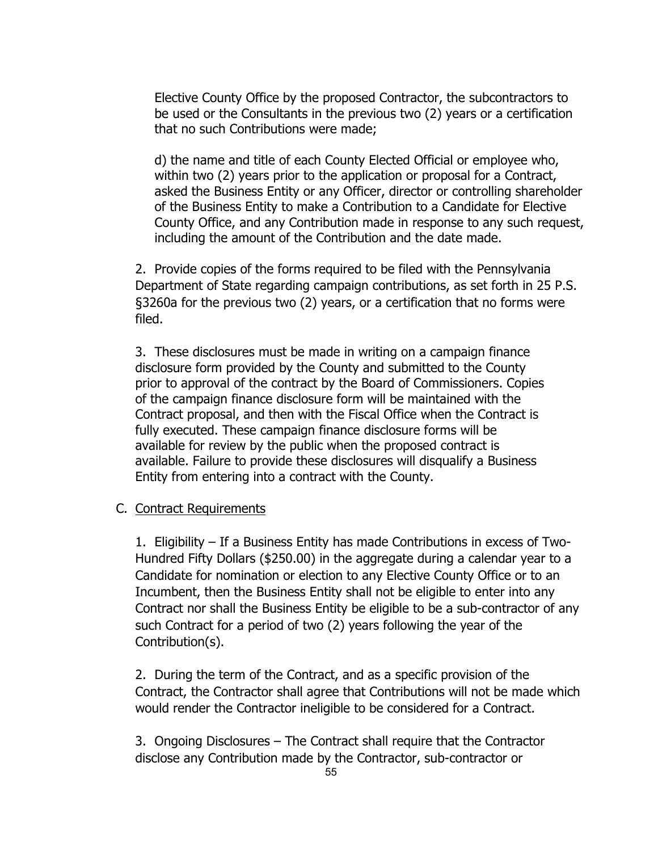Elective County Office by the proposed Contractor, the subcontractors to be used or the Consultants in the previous two (2) years or a certification that no such Contributions were made;

d) the name and title of each County Elected Official or employee who, within two (2) years prior to the application or proposal for a Contract, asked the Business Entity or any Officer, director or controlling shareholder of the Business Entity to make a Contribution to a Candidate for Elective County Office, and any Contribution made in response to any such request, including the amount of the Contribution and the date made.

2. Provide copies of the forms required to be filed with the Pennsylvania Department of State regarding campaign contributions, as set forth in 25 P.S. §3260a for the previous two (2) years, or a certification that no forms were filed.

3. These disclosures must be made in writing on a campaign finance disclosure form provided by the County and submitted to the County prior to approval of the contract by the Board of Commissioners. Copies of the campaign finance disclosure form will be maintained with the Contract proposal, and then with the Fiscal Office when the Contract is fully executed. These campaign finance disclosure forms will be available for review by the public when the proposed contract is available. Failure to provide these disclosures will disqualify a Business Entity from entering into a contract with the County.

#### C. Contract Requirements

1. Eligibility – If a Business Entity has made Contributions in excess of Two-Hundred Fifty Dollars (\$250.00) in the aggregate during a calendar year to a Candidate for nomination or election to any Elective County Office or to an Incumbent, then the Business Entity shall not be eligible to enter into any Contract nor shall the Business Entity be eligible to be a sub-contractor of any such Contract for a period of two (2) years following the year of the Contribution(s).

2. During the term of the Contract, and as a specific provision of the Contract, the Contractor shall agree that Contributions will not be made which would render the Contractor ineligible to be considered for a Contract.

3. Ongoing Disclosures – The Contract shall require that the Contractor disclose any Contribution made by the Contractor, sub-contractor or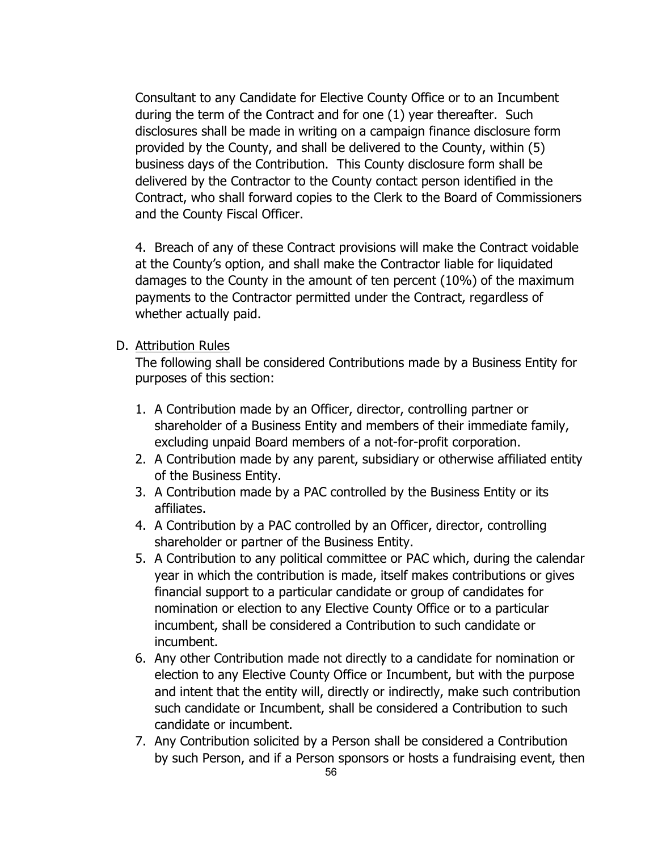Consultant to any Candidate for Elective County Office or to an Incumbent during the term of the Contract and for one (1) year thereafter. Such disclosures shall be made in writing on a campaign finance disclosure form provided by the County, and shall be delivered to the County, within (5) business days of the Contribution. This County disclosure form shall be delivered by the Contractor to the County contact person identified in the Contract, who shall forward copies to the Clerk to the Board of Commissioners and the County Fiscal Officer.

4. Breach of any of these Contract provisions will make the Contract voidable at the County's option, and shall make the Contractor liable for liquidated damages to the County in the amount of ten percent (10%) of the maximum payments to the Contractor permitted under the Contract, regardless of whether actually paid.

#### D. Attribution Rules

The following shall be considered Contributions made by a Business Entity for purposes of this section:

- 1. A Contribution made by an Officer, director, controlling partner or shareholder of a Business Entity and members of their immediate family, excluding unpaid Board members of a not-for-profit corporation.
- 2. A Contribution made by any parent, subsidiary or otherwise affiliated entity of the Business Entity.
- 3. A Contribution made by a PAC controlled by the Business Entity or its affiliates.
- 4. A Contribution by a PAC controlled by an Officer, director, controlling shareholder or partner of the Business Entity.
- 5. A Contribution to any political committee or PAC which, during the calendar year in which the contribution is made, itself makes contributions or gives financial support to a particular candidate or group of candidates for nomination or election to any Elective County Office or to a particular incumbent, shall be considered a Contribution to such candidate or incumbent.
- 6. Any other Contribution made not directly to a candidate for nomination or election to any Elective County Office or Incumbent, but with the purpose and intent that the entity will, directly or indirectly, make such contribution such candidate or Incumbent, shall be considered a Contribution to such candidate or incumbent.
- 7. Any Contribution solicited by a Person shall be considered a Contribution by such Person, and if a Person sponsors or hosts a fundraising event, then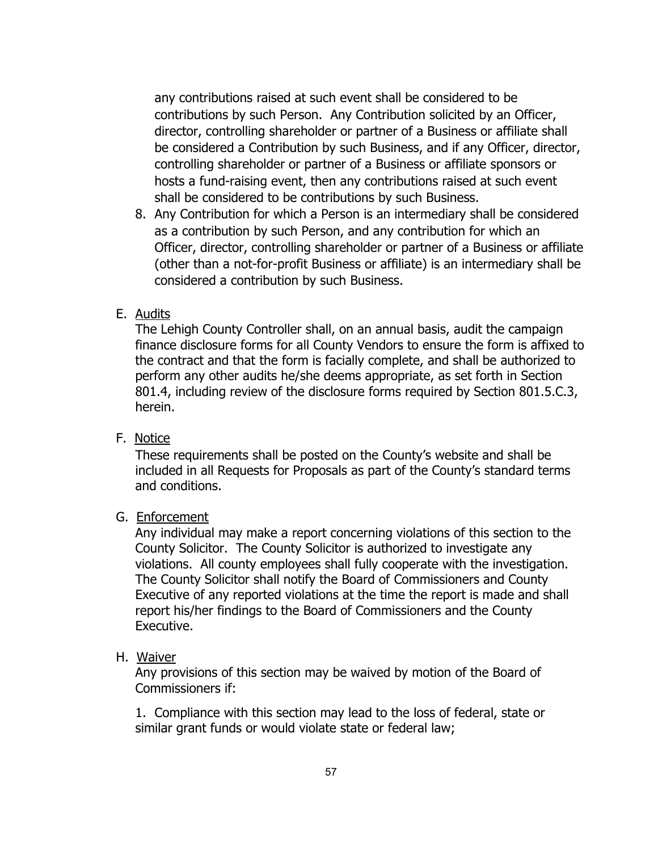any contributions raised at such event shall be considered to be contributions by such Person. Any Contribution solicited by an Officer, director, controlling shareholder or partner of a Business or affiliate shall be considered a Contribution by such Business, and if any Officer, director, controlling shareholder or partner of a Business or affiliate sponsors or hosts a fund-raising event, then any contributions raised at such event shall be considered to be contributions by such Business.

8. Any Contribution for which a Person is an intermediary shall be considered as a contribution by such Person, and any contribution for which an Officer, director, controlling shareholder or partner of a Business or affiliate (other than a not-for-profit Business or affiliate) is an intermediary shall be considered a contribution by such Business.

## E. Audits

The Lehigh County Controller shall, on an annual basis, audit the campaign finance disclosure forms for all County Vendors to ensure the form is affixed to the contract and that the form is facially complete, and shall be authorized to perform any other audits he/she deems appropriate, as set forth in Section 801.4, including review of the disclosure forms required by Section 801.5.C.3, herein.

## F. Notice

These requirements shall be posted on the County's website and shall be included in all Requests for Proposals as part of the County's standard terms and conditions.

## G. Enforcement

Any individual may make a report concerning violations of this section to the County Solicitor. The County Solicitor is authorized to investigate any violations. All county employees shall fully cooperate with the investigation. The County Solicitor shall notify the Board of Commissioners and County Executive of any reported violations at the time the report is made and shall report his/her findings to the Board of Commissioners and the County Executive.

## H. Waiver

Any provisions of this section may be waived by motion of the Board of Commissioners if:

1. Compliance with this section may lead to the loss of federal, state or similar grant funds or would violate state or federal law;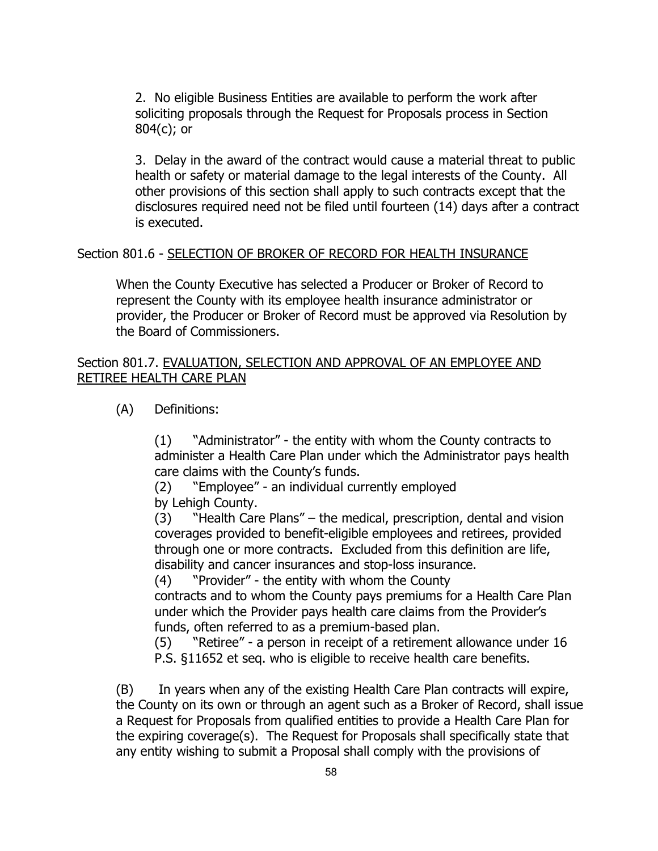2. No eligible Business Entities are available to perform the work after soliciting proposals through the Request for Proposals process in Section 804(c); or

3. Delay in the award of the contract would cause a material threat to public health or safety or material damage to the legal interests of the County. All other provisions of this section shall apply to such contracts except that the disclosures required need not be filed until fourteen (14) days after a contract is executed.

#### Section 801.6 - SELECTION OF BROKER OF RECORD FOR HEALTH INSURANCE

When the County Executive has selected a Producer or Broker of Record to represent the County with its employee health insurance administrator or provider, the Producer or Broker of Record must be approved via Resolution by the Board of Commissioners.

## Section 801.7. EVALUATION, SELECTION AND APPROVAL OF AN EMPLOYEE AND RETIREE HEALTH CARE PLAN

(A) Definitions:

(1) "Administrator" - the entity with whom the County contracts to administer a Health Care Plan under which the Administrator pays health care claims with the County's funds.

(2) "Employee" - an individual currently employed by Lehigh County.

(3) "Health Care Plans" – the medical, prescription, dental and vision coverages provided to benefit-eligible employees and retirees, provided through one or more contracts. Excluded from this definition are life, disability and cancer insurances and stop-loss insurance.

(4) "Provider" - the entity with whom the County

contracts and to whom the County pays premiums for a Health Care Plan under which the Provider pays health care claims from the Provider's funds, often referred to as a premium-based plan.

(5) "Retiree" - a person in receipt of a retirement allowance under 16 P.S. §11652 et seq. who is eligible to receive health care benefits.

(B) In years when any of the existing Health Care Plan contracts will expire, the County on its own or through an agent such as a Broker of Record, shall issue a Request for Proposals from qualified entities to provide a Health Care Plan for the expiring coverage(s). The Request for Proposals shall specifically state that any entity wishing to submit a Proposal shall comply with the provisions of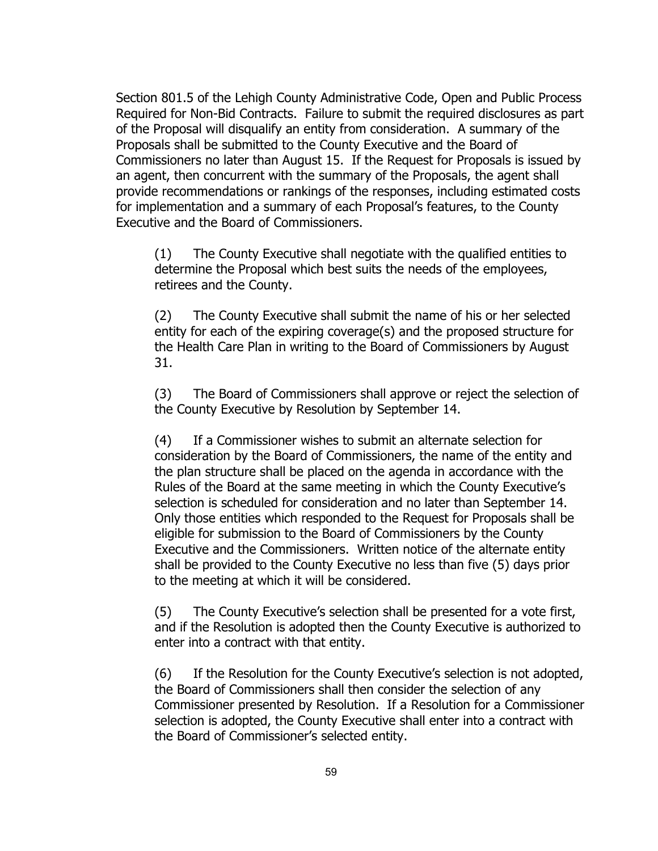Section 801.5 of the Lehigh County Administrative Code, Open and Public Process Required for Non-Bid Contracts. Failure to submit the required disclosures as part of the Proposal will disqualify an entity from consideration. A summary of the Proposals shall be submitted to the County Executive and the Board of Commissioners no later than August 15. If the Request for Proposals is issued by an agent, then concurrent with the summary of the Proposals, the agent shall provide recommendations or rankings of the responses, including estimated costs for implementation and a summary of each Proposal's features, to the County Executive and the Board of Commissioners.

(1) The County Executive shall negotiate with the qualified entities to determine the Proposal which best suits the needs of the employees, retirees and the County.

(2) The County Executive shall submit the name of his or her selected entity for each of the expiring coverage(s) and the proposed structure for the Health Care Plan in writing to the Board of Commissioners by August 31.

(3) The Board of Commissioners shall approve or reject the selection of the County Executive by Resolution by September 14.

(4) If a Commissioner wishes to submit an alternate selection for consideration by the Board of Commissioners, the name of the entity and the plan structure shall be placed on the agenda in accordance with the Rules of the Board at the same meeting in which the County Executive's selection is scheduled for consideration and no later than September 14. Only those entities which responded to the Request for Proposals shall be eligible for submission to the Board of Commissioners by the County Executive and the Commissioners. Written notice of the alternate entity shall be provided to the County Executive no less than five (5) days prior to the meeting at which it will be considered.

(5) The County Executive's selection shall be presented for a vote first, and if the Resolution is adopted then the County Executive is authorized to enter into a contract with that entity.

(6) If the Resolution for the County Executive's selection is not adopted, the Board of Commissioners shall then consider the selection of any Commissioner presented by Resolution. If a Resolution for a Commissioner selection is adopted, the County Executive shall enter into a contract with the Board of Commissioner's selected entity.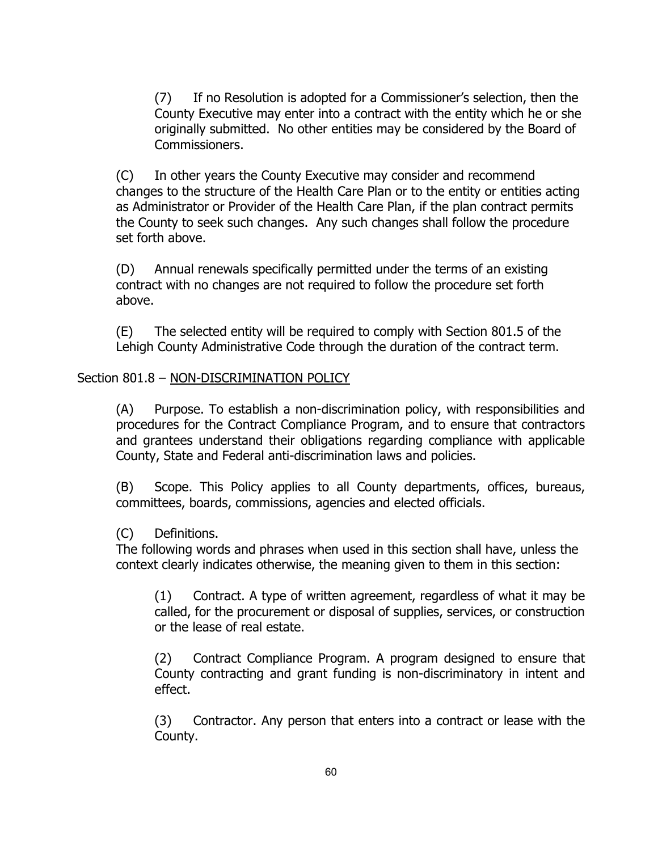(7) If no Resolution is adopted for a Commissioner's selection, then the County Executive may enter into a contract with the entity which he or she originally submitted. No other entities may be considered by the Board of Commissioners.

(C) In other years the County Executive may consider and recommend changes to the structure of the Health Care Plan or to the entity or entities acting as Administrator or Provider of the Health Care Plan, if the plan contract permits the County to seek such changes. Any such changes shall follow the procedure set forth above.

(D) Annual renewals specifically permitted under the terms of an existing contract with no changes are not required to follow the procedure set forth above.

(E) The selected entity will be required to comply with Section 801.5 of the Lehigh County Administrative Code through the duration of the contract term.

# Section 801.8 – NON-DISCRIMINATION POLICY

(A) Purpose. To establish a non-discrimination policy, with responsibilities and procedures for the Contract Compliance Program, and to ensure that contractors and grantees understand their obligations regarding compliance with applicable County, State and Federal anti-discrimination laws and policies.

(B) Scope. This Policy applies to all County departments, offices, bureaus, committees, boards, commissions, agencies and elected officials.

## (C) Definitions.

The following words and phrases when used in this section shall have, unless the context clearly indicates otherwise, the meaning given to them in this section:

(1) Contract. A type of written agreement, regardless of what it may be called, for the procurement or disposal of supplies, services, or construction or the lease of real estate.

(2) Contract Compliance Program. A program designed to ensure that County contracting and grant funding is non-discriminatory in intent and effect.

(3) Contractor. Any person that enters into a contract or lease with the County.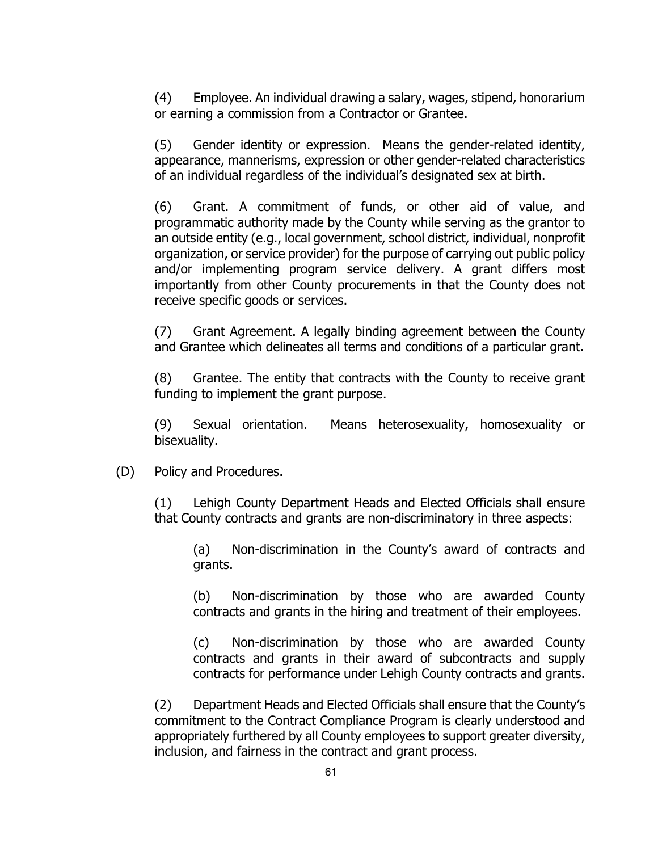(4) Employee. An individual drawing a salary, wages, stipend, honorarium or earning a commission from a Contractor or Grantee.

(5) Gender identity or expression. Means the gender-related identity, appearance, mannerisms, expression or other gender-related characteristics of an individual regardless of the individual's designated sex at birth.

(6) Grant. A commitment of funds, or other aid of value, and programmatic authority made by the County while serving as the grantor to an outside entity (e.g., local government, school district, individual, nonprofit organization, or service provider) for the purpose of carrying out public policy and/or implementing program service delivery. A grant differs most importantly from other County procurements in that the County does not receive specific goods or services.

(7) Grant Agreement. A legally binding agreement between the County and Grantee which delineates all terms and conditions of a particular grant.

(8) Grantee. The entity that contracts with the County to receive grant funding to implement the grant purpose.

(9) Sexual orientation. Means heterosexuality, homosexuality or bisexuality.

(D) Policy and Procedures.

(1) Lehigh County Department Heads and Elected Officials shall ensure that County contracts and grants are non-discriminatory in three aspects:

(a) Non-discrimination in the County's award of contracts and grants.

(b) Non-discrimination by those who are awarded County contracts and grants in the hiring and treatment of their employees.

(c) Non-discrimination by those who are awarded County contracts and grants in their award of subcontracts and supply contracts for performance under Lehigh County contracts and grants.

(2) Department Heads and Elected Officials shall ensure that the County's commitment to the Contract Compliance Program is clearly understood and appropriately furthered by all County employees to support greater diversity, inclusion, and fairness in the contract and grant process.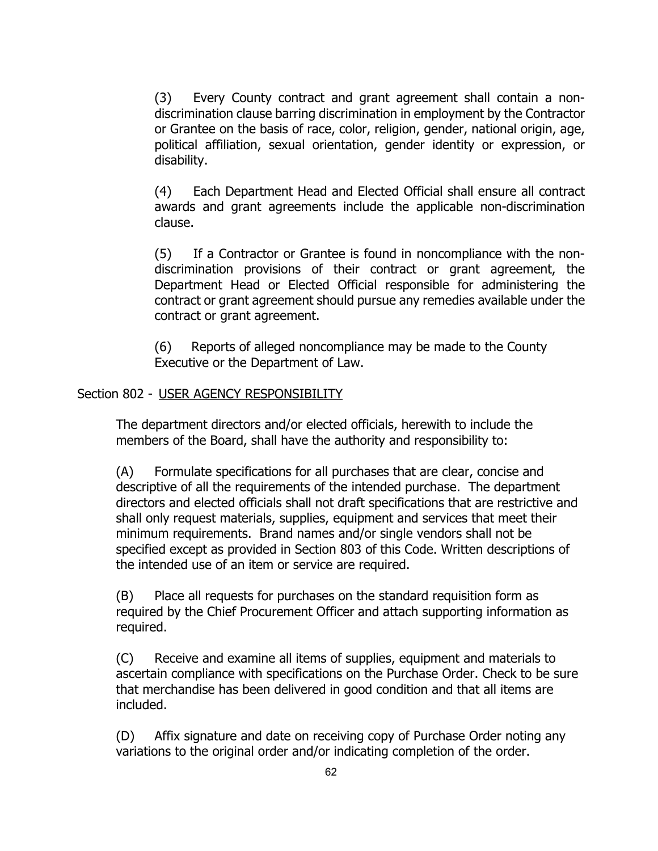(3) Every County contract and grant agreement shall contain a nondiscrimination clause barring discrimination in employment by the Contractor or Grantee on the basis of race, color, religion, gender, national origin, age, political affiliation, sexual orientation, gender identity or expression, or disability.

(4) Each Department Head and Elected Official shall ensure all contract awards and grant agreements include the applicable non-discrimination clause.

(5) If a Contractor or Grantee is found in noncompliance with the nondiscrimination provisions of their contract or grant agreement, the Department Head or Elected Official responsible for administering the contract or grant agreement should pursue any remedies available under the contract or grant agreement.

(6) Reports of alleged noncompliance may be made to the County Executive or the Department of Law.

## Section 802 - USER AGENCY RESPONSIBILITY

The department directors and/or elected officials, herewith to include the members of the Board, shall have the authority and responsibility to:

(A) Formulate specifications for all purchases that are clear, concise and descriptive of all the requirements of the intended purchase. The department directors and elected officials shall not draft specifications that are restrictive and shall only request materials, supplies, equipment and services that meet their minimum requirements. Brand names and/or single vendors shall not be specified except as provided in Section 803 of this Code. Written descriptions of the intended use of an item or service are required.

(B) Place all requests for purchases on the standard requisition form as required by the Chief Procurement Officer and attach supporting information as required.

(C) Receive and examine all items of supplies, equipment and materials to ascertain compliance with specifications on the Purchase Order. Check to be sure that merchandise has been delivered in good condition and that all items are included.

(D) Affix signature and date on receiving copy of Purchase Order noting any variations to the original order and/or indicating completion of the order.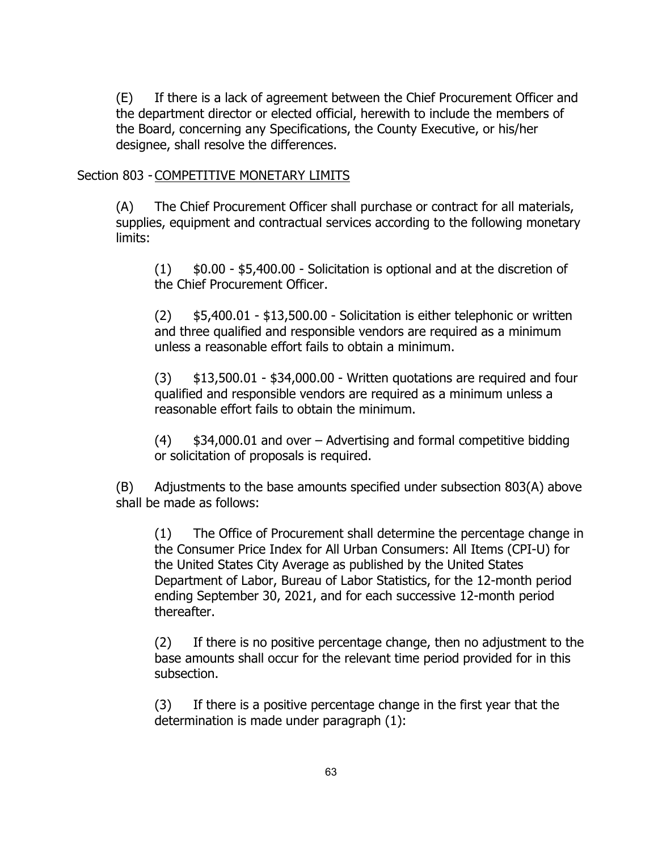(E) If there is a lack of agreement between the Chief Procurement Officer and the department director or elected official, herewith to include the members of the Board, concerning any Specifications, the County Executive, or his/her designee, shall resolve the differences.

## Section 803 - COMPETITIVE MONETARY LIMITS

(A) The Chief Procurement Officer shall purchase or contract for all materials, supplies, equipment and contractual services according to the following monetary limits:

 $(1)$  \$0.00 - \$5,400.00 - Solicitation is optional and at the discretion of the Chief Procurement Officer.

 $(2)$  \$5,400.01 - \$13,500.00 - Solicitation is either telephonic or written and three qualified and responsible vendors are required as a minimum unless a reasonable effort fails to obtain a minimum.

(3) \$13,500.01 - \$34,000.00 - Written quotations are required and four qualified and responsible vendors are required as a minimum unless a reasonable effort fails to obtain the minimum.

(4) \$34,000.01 and over – Advertising and formal competitive bidding or solicitation of proposals is required.

(B) Adjustments to the base amounts specified under subsection 803(A) above shall be made as follows:

(1) The Office of Procurement shall determine the percentage change in the Consumer Price Index for All Urban Consumers: All Items (CPI-U) for the United States City Average as published by the United States Department of Labor, Bureau of Labor Statistics, for the 12-month period ending September 30, 2021, and for each successive 12-month period thereafter.

(2) If there is no positive percentage change, then no adjustment to the base amounts shall occur for the relevant time period provided for in this subsection.

(3) If there is a positive percentage change in the first year that the determination is made under paragraph (1):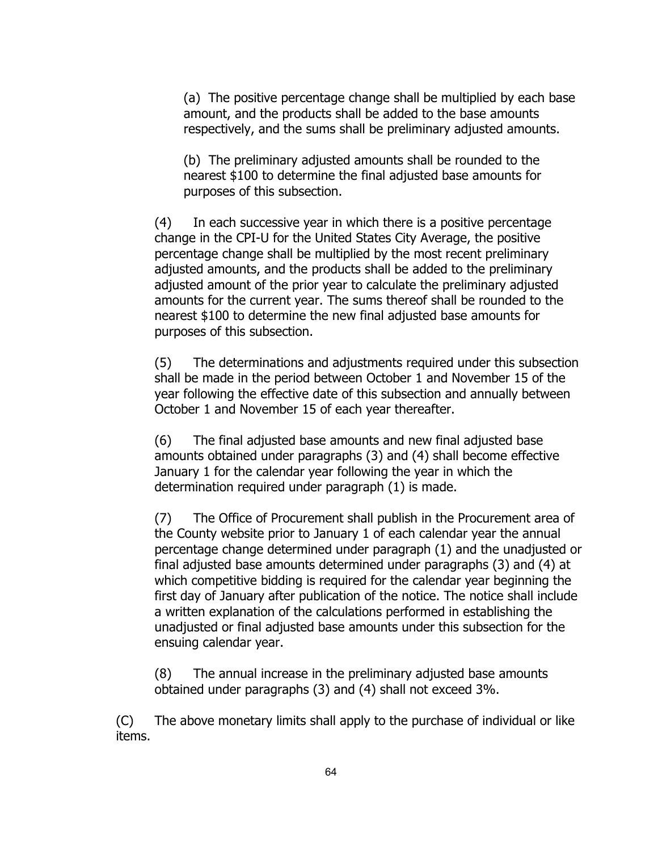(a) The positive percentage change shall be multiplied by each base amount, and the products shall be added to the base amounts respectively, and the sums shall be preliminary adjusted amounts.

(b) The preliminary adjusted amounts shall be rounded to the nearest \$100 to determine the final adjusted base amounts for purposes of this subsection.

(4) In each successive year in which there is a positive percentage change in the CPI-U for the United States City Average, the positive percentage change shall be multiplied by the most recent preliminary adjusted amounts, and the products shall be added to the preliminary adjusted amount of the prior year to calculate the preliminary adjusted amounts for the current year. The sums thereof shall be rounded to the nearest \$100 to determine the new final adjusted base amounts for purposes of this subsection.

(5) The determinations and adjustments required under this subsection shall be made in the period between October 1 and November 15 of the year following the effective date of this subsection and annually between October 1 and November 15 of each year thereafter.

(6) The final adjusted base amounts and new final adjusted base amounts obtained under paragraphs (3) and (4) shall become effective January 1 for the calendar year following the year in which the determination required under paragraph (1) is made.

(7) The Office of Procurement shall publish in the Procurement area of the County website prior to January 1 of each calendar year the annual percentage change determined under paragraph (1) and the unadjusted or final adjusted base amounts determined under paragraphs (3) and (4) at which competitive bidding is required for the calendar year beginning the first day of January after publication of the notice. The notice shall include a written explanation of the calculations performed in establishing the unadjusted or final adjusted base amounts under this subsection for the ensuing calendar year.

(8) The annual increase in the preliminary adjusted base amounts obtained under paragraphs (3) and (4) shall not exceed 3%.

(C) The above monetary limits shall apply to the purchase of individual or like items.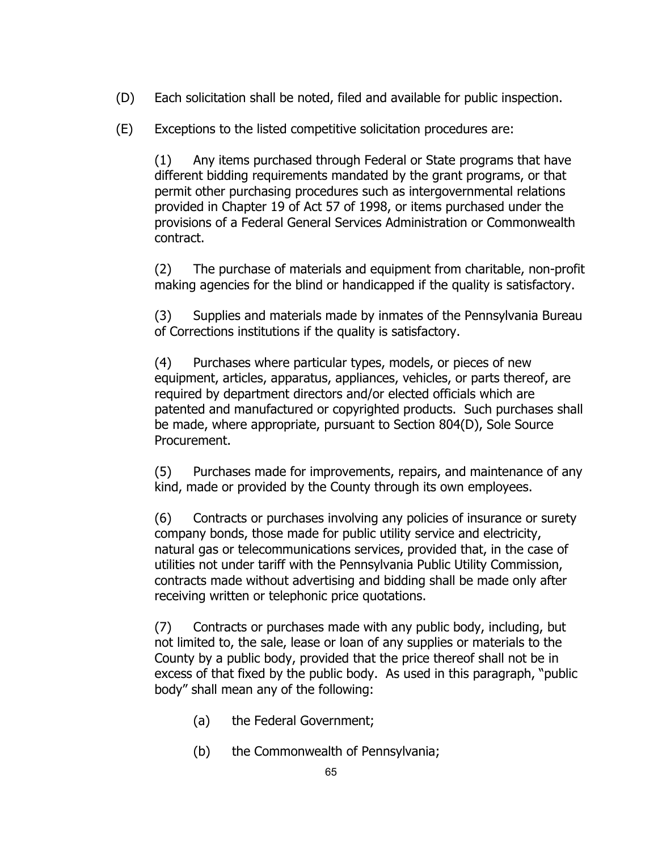- (D) Each solicitation shall be noted, filed and available for public inspection.
- (E) Exceptions to the listed competitive solicitation procedures are:

(1) Any items purchased through Federal or State programs that have different bidding requirements mandated by the grant programs, or that permit other purchasing procedures such as intergovernmental relations provided in Chapter 19 of Act 57 of 1998, or items purchased under the provisions of a Federal General Services Administration or Commonwealth contract.

(2) The purchase of materials and equipment from charitable, non-profit making agencies for the blind or handicapped if the quality is satisfactory.

(3) Supplies and materials made by inmates of the Pennsylvania Bureau of Corrections institutions if the quality is satisfactory.

(4) Purchases where particular types, models, or pieces of new equipment, articles, apparatus, appliances, vehicles, or parts thereof, are required by department directors and/or elected officials which are patented and manufactured or copyrighted products. Such purchases shall be made, where appropriate, pursuant to Section 804(D), Sole Source Procurement.

(5) Purchases made for improvements, repairs, and maintenance of any kind, made or provided by the County through its own employees.

(6) Contracts or purchases involving any policies of insurance or surety company bonds, those made for public utility service and electricity, natural gas or telecommunications services, provided that, in the case of utilities not under tariff with the Pennsylvania Public Utility Commission, contracts made without advertising and bidding shall be made only after receiving written or telephonic price quotations.

(7) Contracts or purchases made with any public body, including, but not limited to, the sale, lease or loan of any supplies or materials to the County by a public body, provided that the price thereof shall not be in excess of that fixed by the public body. As used in this paragraph, "public body" shall mean any of the following:

- (a) the Federal Government;
- (b) the Commonwealth of Pennsylvania;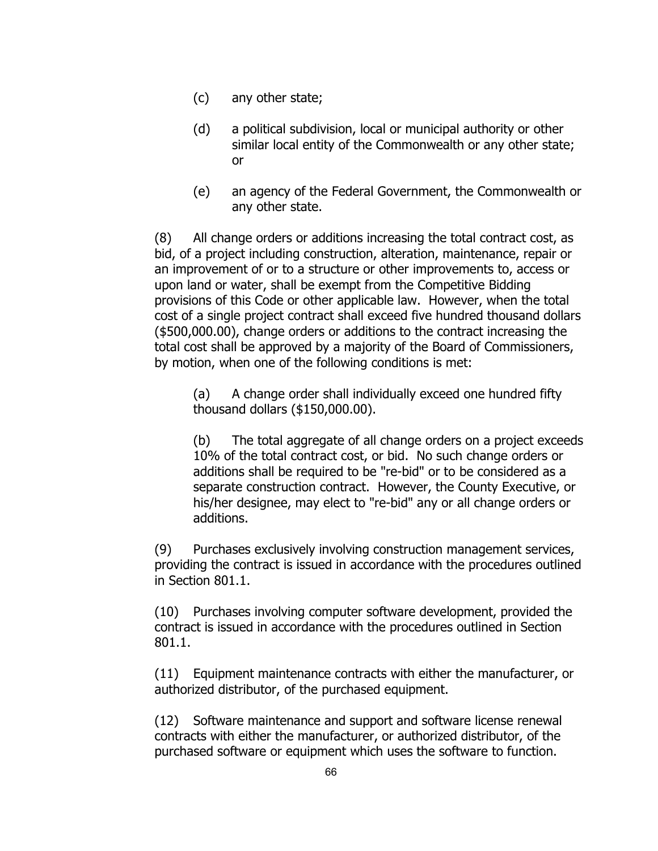- (c) any other state;
- (d) a political subdivision, local or municipal authority or other similar local entity of the Commonwealth or any other state; or
- (e) an agency of the Federal Government, the Commonwealth or any other state.

(8) All change orders or additions increasing the total contract cost, as bid, of a project including construction, alteration, maintenance, repair or an improvement of or to a structure or other improvements to, access or upon land or water, shall be exempt from the Competitive Bidding provisions of this Code or other applicable law. However, when the total cost of a single project contract shall exceed five hundred thousand dollars (\$500,000.00), change orders or additions to the contract increasing the total cost shall be approved by a majority of the Board of Commissioners, by motion, when one of the following conditions is met:

(a) A change order shall individually exceed one hundred fifty thousand dollars (\$150,000.00).

(b) The total aggregate of all change orders on a project exceeds 10% of the total contract cost, or bid. No such change orders or additions shall be required to be "re-bid" or to be considered as a separate construction contract. However, the County Executive, or his/her designee, may elect to "re-bid" any or all change orders or additions.

(9) Purchases exclusively involving construction management services, providing the contract is issued in accordance with the procedures outlined in Section 801.1.

(10) Purchases involving computer software development, provided the contract is issued in accordance with the procedures outlined in Section 801.1.

(11) Equipment maintenance contracts with either the manufacturer, or authorized distributor, of the purchased equipment.

(12) Software maintenance and support and software license renewal contracts with either the manufacturer, or authorized distributor, of the purchased software or equipment which uses the software to function.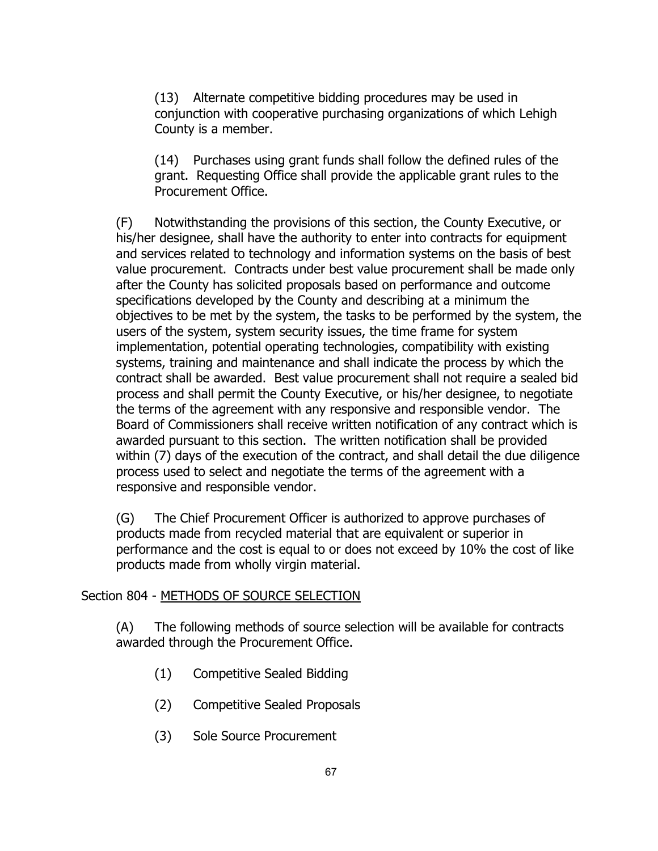(13) Alternate competitive bidding procedures may be used in conjunction with cooperative purchasing organizations of which Lehigh County is a member.

(14) Purchases using grant funds shall follow the defined rules of the grant. Requesting Office shall provide the applicable grant rules to the Procurement Office.

(F) Notwithstanding the provisions of this section, the County Executive, or his/her designee, shall have the authority to enter into contracts for equipment and services related to technology and information systems on the basis of best value procurement. Contracts under best value procurement shall be made only after the County has solicited proposals based on performance and outcome specifications developed by the County and describing at a minimum the objectives to be met by the system, the tasks to be performed by the system, the users of the system, system security issues, the time frame for system implementation, potential operating technologies, compatibility with existing systems, training and maintenance and shall indicate the process by which the contract shall be awarded. Best value procurement shall not require a sealed bid process and shall permit the County Executive, or his/her designee, to negotiate the terms of the agreement with any responsive and responsible vendor. The Board of Commissioners shall receive written notification of any contract which is awarded pursuant to this section. The written notification shall be provided within (7) days of the execution of the contract, and shall detail the due diligence process used to select and negotiate the terms of the agreement with a responsive and responsible vendor.

(G) The Chief Procurement Officer is authorized to approve purchases of products made from recycled material that are equivalent or superior in performance and the cost is equal to or does not exceed by 10% the cost of like products made from wholly virgin material.

# Section 804 - METHODS OF SOURCE SELECTION

(A) The following methods of source selection will be available for contracts awarded through the Procurement Office.

- (1) Competitive Sealed Bidding
- (2) Competitive Sealed Proposals
- (3) Sole Source Procurement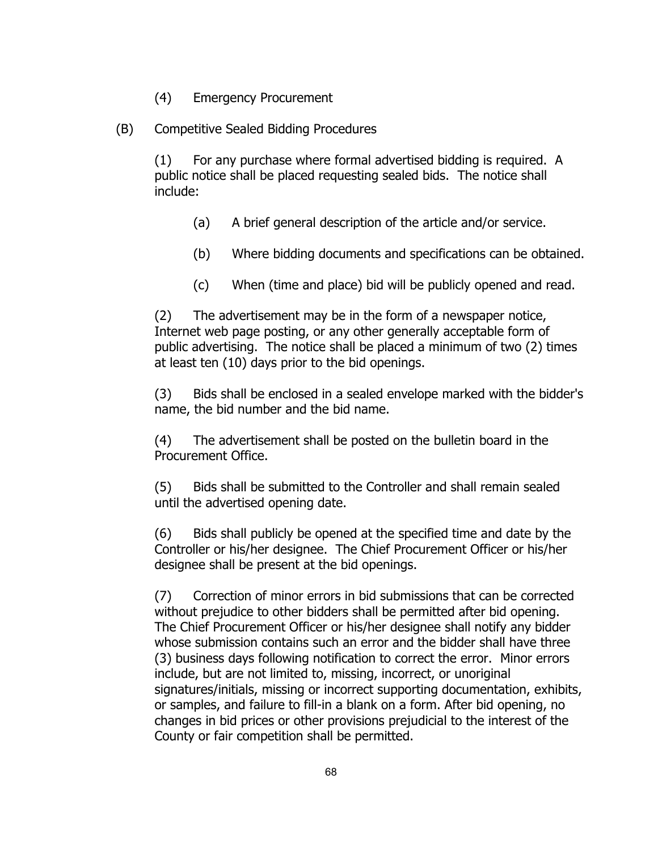- (4) Emergency Procurement
- (B) Competitive Sealed Bidding Procedures

(1) For any purchase where formal advertised bidding is required. A public notice shall be placed requesting sealed bids. The notice shall include:

- (a) A brief general description of the article and/or service.
- (b) Where bidding documents and specifications can be obtained.
- (c) When (time and place) bid will be publicly opened and read.

(2) The advertisement may be in the form of a newspaper notice, Internet web page posting, or any other generally acceptable form of public advertising. The notice shall be placed a minimum of two (2) times at least ten (10) days prior to the bid openings.

(3) Bids shall be enclosed in a sealed envelope marked with the bidder's name, the bid number and the bid name.

(4) The advertisement shall be posted on the bulletin board in the Procurement Office.

(5) Bids shall be submitted to the Controller and shall remain sealed until the advertised opening date.

(6) Bids shall publicly be opened at the specified time and date by the Controller or his/her designee. The Chief Procurement Officer or his/her designee shall be present at the bid openings.

(7) Correction of minor errors in bid submissions that can be corrected without prejudice to other bidders shall be permitted after bid opening. The Chief Procurement Officer or his/her designee shall notify any bidder whose submission contains such an error and the bidder shall have three (3) business days following notification to correct the error. Minor errors include, but are not limited to, missing, incorrect, or unoriginal signatures/initials, missing or incorrect supporting documentation, exhibits, or samples, and failure to fill-in a blank on a form. After bid opening, no changes in bid prices or other provisions prejudicial to the interest of the County or fair competition shall be permitted.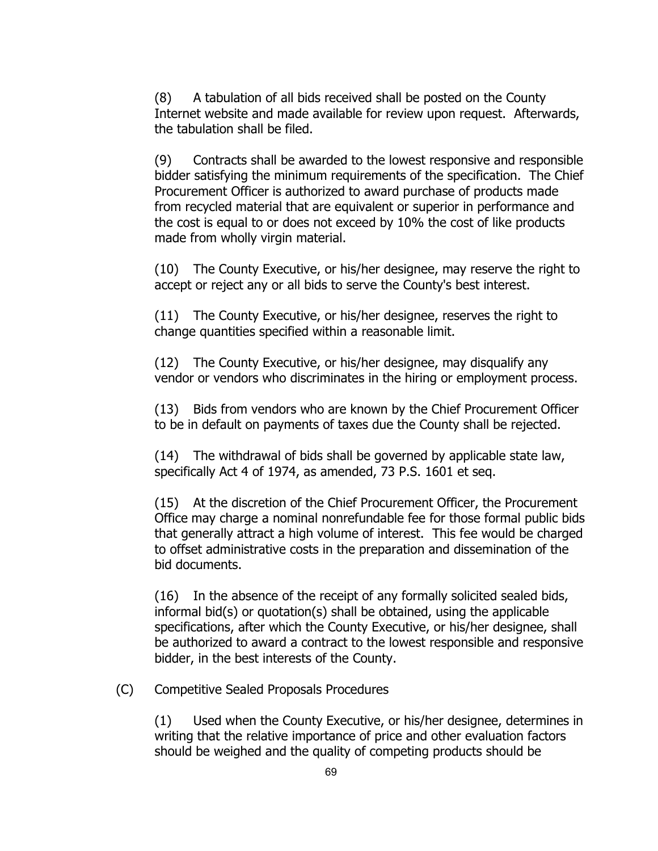(8) A tabulation of all bids received shall be posted on the County Internet website and made available for review upon request. Afterwards, the tabulation shall be filed.

(9) Contracts shall be awarded to the lowest responsive and responsible bidder satisfying the minimum requirements of the specification. The Chief Procurement Officer is authorized to award purchase of products made from recycled material that are equivalent or superior in performance and the cost is equal to or does not exceed by 10% the cost of like products made from wholly virgin material.

(10) The County Executive, or his/her designee, may reserve the right to accept or reject any or all bids to serve the County's best interest.

(11) The County Executive, or his/her designee, reserves the right to change quantities specified within a reasonable limit.

(12) The County Executive, or his/her designee, may disqualify any vendor or vendors who discriminates in the hiring or employment process.

(13) Bids from vendors who are known by the Chief Procurement Officer to be in default on payments of taxes due the County shall be rejected.

(14) The withdrawal of bids shall be governed by applicable state law, specifically Act 4 of 1974, as amended, 73 P.S. 1601 et seq.

(15) At the discretion of the Chief Procurement Officer, the Procurement Office may charge a nominal nonrefundable fee for those formal public bids that generally attract a high volume of interest. This fee would be charged to offset administrative costs in the preparation and dissemination of the bid documents.

(16) In the absence of the receipt of any formally solicited sealed bids, informal bid(s) or quotation(s) shall be obtained, using the applicable specifications, after which the County Executive, or his/her designee, shall be authorized to award a contract to the lowest responsible and responsive bidder, in the best interests of the County.

(C) Competitive Sealed Proposals Procedures

(1) Used when the County Executive, or his/her designee, determines in writing that the relative importance of price and other evaluation factors should be weighed and the quality of competing products should be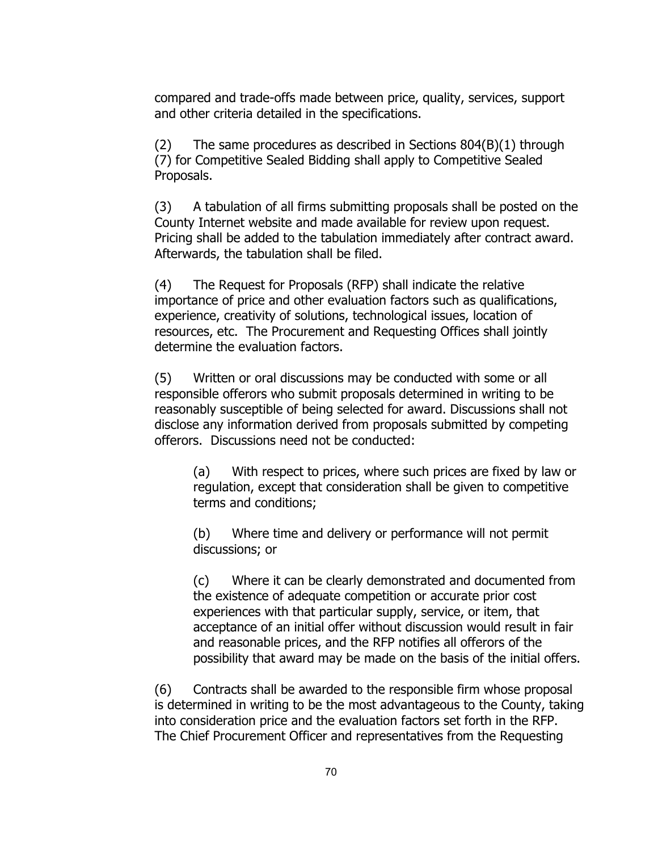compared and trade-offs made between price, quality, services, support and other criteria detailed in the specifications.

 $(2)$  The same procedures as described in Sections 804 $(B)(1)$  through (7) for Competitive Sealed Bidding shall apply to Competitive Sealed Proposals.

(3) A tabulation of all firms submitting proposals shall be posted on the County Internet website and made available for review upon request. Pricing shall be added to the tabulation immediately after contract award. Afterwards, the tabulation shall be filed.

(4) The Request for Proposals (RFP) shall indicate the relative importance of price and other evaluation factors such as qualifications, experience, creativity of solutions, technological issues, location of resources, etc. The Procurement and Requesting Offices shall jointly determine the evaluation factors.

(5) Written or oral discussions may be conducted with some or all responsible offerors who submit proposals determined in writing to be reasonably susceptible of being selected for award. Discussions shall not disclose any information derived from proposals submitted by competing offerors. Discussions need not be conducted:

(a) With respect to prices, where such prices are fixed by law or regulation, except that consideration shall be given to competitive terms and conditions;

(b) Where time and delivery or performance will not permit discussions; or

(c) Where it can be clearly demonstrated and documented from the existence of adequate competition or accurate prior cost experiences with that particular supply, service, or item, that acceptance of an initial offer without discussion would result in fair and reasonable prices, and the RFP notifies all offerors of the possibility that award may be made on the basis of the initial offers.

(6) Contracts shall be awarded to the responsible firm whose proposal is determined in writing to be the most advantageous to the County, taking into consideration price and the evaluation factors set forth in the RFP. The Chief Procurement Officer and representatives from the Requesting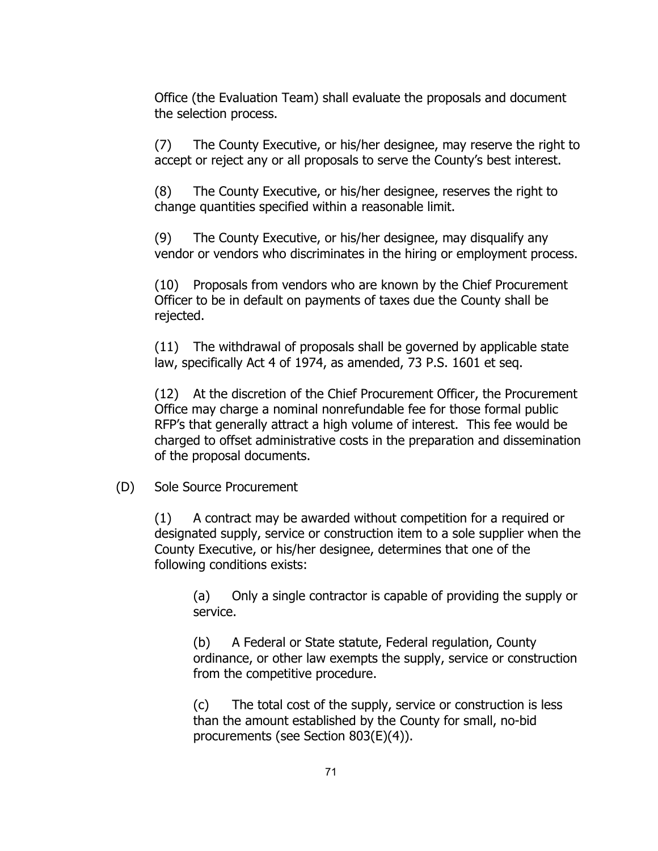Office (the Evaluation Team) shall evaluate the proposals and document the selection process.

(7) The County Executive, or his/her designee, may reserve the right to accept or reject any or all proposals to serve the County's best interest.

(8) The County Executive, or his/her designee, reserves the right to change quantities specified within a reasonable limit.

(9) The County Executive, or his/her designee, may disqualify any vendor or vendors who discriminates in the hiring or employment process.

(10) Proposals from vendors who are known by the Chief Procurement Officer to be in default on payments of taxes due the County shall be rejected.

(11) The withdrawal of proposals shall be governed by applicable state law, specifically Act 4 of 1974, as amended, 73 P.S. 1601 et seq.

(12) At the discretion of the Chief Procurement Officer, the Procurement Office may charge a nominal nonrefundable fee for those formal public RFP's that generally attract a high volume of interest. This fee would be charged to offset administrative costs in the preparation and dissemination of the proposal documents.

### (D) Sole Source Procurement

(1) A contract may be awarded without competition for a required or designated supply, service or construction item to a sole supplier when the County Executive, or his/her designee, determines that one of the following conditions exists:

(a) Only a single contractor is capable of providing the supply or service.

(b) A Federal or State statute, Federal regulation, County ordinance, or other law exempts the supply, service or construction from the competitive procedure.

(c) The total cost of the supply, service or construction is less than the amount established by the County for small, no-bid procurements (see Section 803(E)(4)).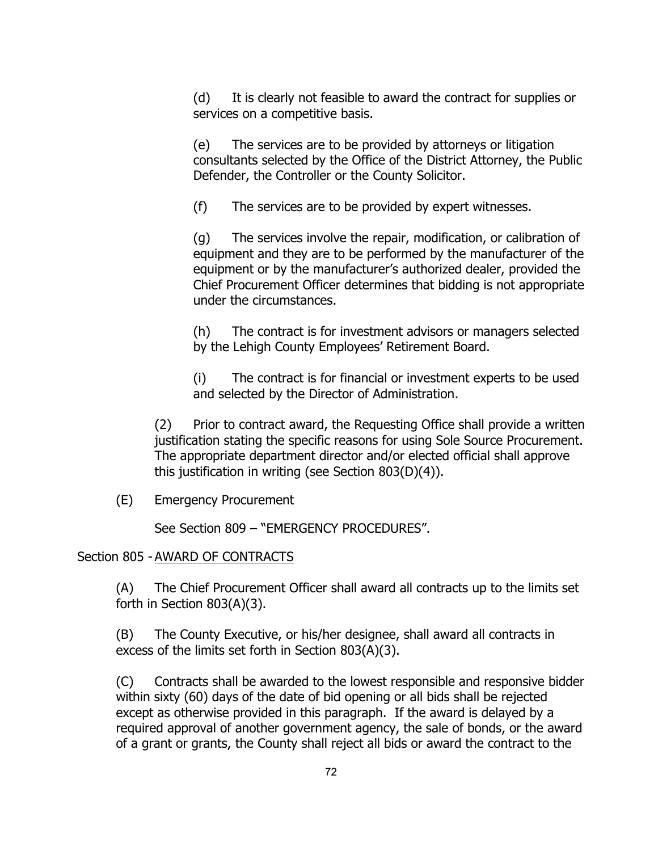(d) It is clearly not feasible to award the contract for supplies or services on a competitive basis.

(e) The services are to be provided by attorneys or litigation consultants selected by the Office of the District Attorney, the Public Defender, the Controller or the County Solicitor.

(f) The services are to be provided by expert witnesses.

(g) The services involve the repair, modification, or calibration of equipment and they are to be performed by the manufacturer of the equipment or by the manufacturer's authorized dealer, provided the Chief Procurement Officer determines that bidding is not appropriate under the circumstances.

(h) The contract is for investment advisors or managers selected by the Lehigh County Employees' Retirement Board.

(i) The contract is for financial or investment experts to be used and selected by the Director of Administration.

(2) Prior to contract award, the Requesting Office shall provide a written justification stating the specific reasons for using Sole Source Procurement. The appropriate department director and/or elected official shall approve this justification in writing (see Section 803(D)(4)).

(E) Emergency Procurement

See Section 809 – "EMERGENCY PROCEDURES".

### Section 805 - AWARD OF CONTRACTS

(A) The Chief Procurement Officer shall award all contracts up to the limits set forth in Section 803(A)(3).

(B) The County Executive, or his/her designee, shall award all contracts in excess of the limits set forth in Section 803(A)(3).

(C) Contracts shall be awarded to the lowest responsible and responsive bidder within sixty (60) days of the date of bid opening or all bids shall be rejected except as otherwise provided in this paragraph. If the award is delayed by a required approval of another government agency, the sale of bonds, or the award of a grant or grants, the County shall reject all bids or award the contract to the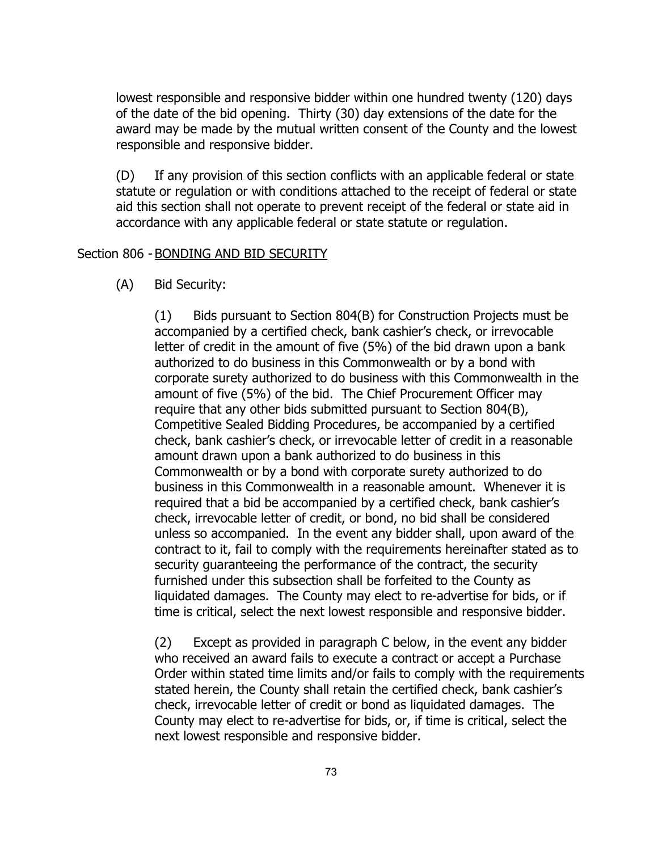lowest responsible and responsive bidder within one hundred twenty (120) days of the date of the bid opening. Thirty (30) day extensions of the date for the award may be made by the mutual written consent of the County and the lowest responsible and responsive bidder.

(D) If any provision of this section conflicts with an applicable federal or state statute or regulation or with conditions attached to the receipt of federal or state aid this section shall not operate to prevent receipt of the federal or state aid in accordance with any applicable federal or state statute or regulation.

### Section 806 - BONDING AND BID SECURITY

(A) Bid Security:

(1) Bids pursuant to Section 804(B) for Construction Projects must be accompanied by a certified check, bank cashier's check, or irrevocable letter of credit in the amount of five (5%) of the bid drawn upon a bank authorized to do business in this Commonwealth or by a bond with corporate surety authorized to do business with this Commonwealth in the amount of five (5%) of the bid. The Chief Procurement Officer may require that any other bids submitted pursuant to Section 804(B), Competitive Sealed Bidding Procedures, be accompanied by a certified check, bank cashier's check, or irrevocable letter of credit in a reasonable amount drawn upon a bank authorized to do business in this Commonwealth or by a bond with corporate surety authorized to do business in this Commonwealth in a reasonable amount. Whenever it is required that a bid be accompanied by a certified check, bank cashier's check, irrevocable letter of credit, or bond, no bid shall be considered unless so accompanied. In the event any bidder shall, upon award of the contract to it, fail to comply with the requirements hereinafter stated as to security guaranteeing the performance of the contract, the security furnished under this subsection shall be forfeited to the County as liquidated damages. The County may elect to re-advertise for bids, or if time is critical, select the next lowest responsible and responsive bidder.

(2) Except as provided in paragraph C below, in the event any bidder who received an award fails to execute a contract or accept a Purchase Order within stated time limits and/or fails to comply with the requirements stated herein, the County shall retain the certified check, bank cashier's check, irrevocable letter of credit or bond as liquidated damages. The County may elect to re-advertise for bids, or, if time is critical, select the next lowest responsible and responsive bidder.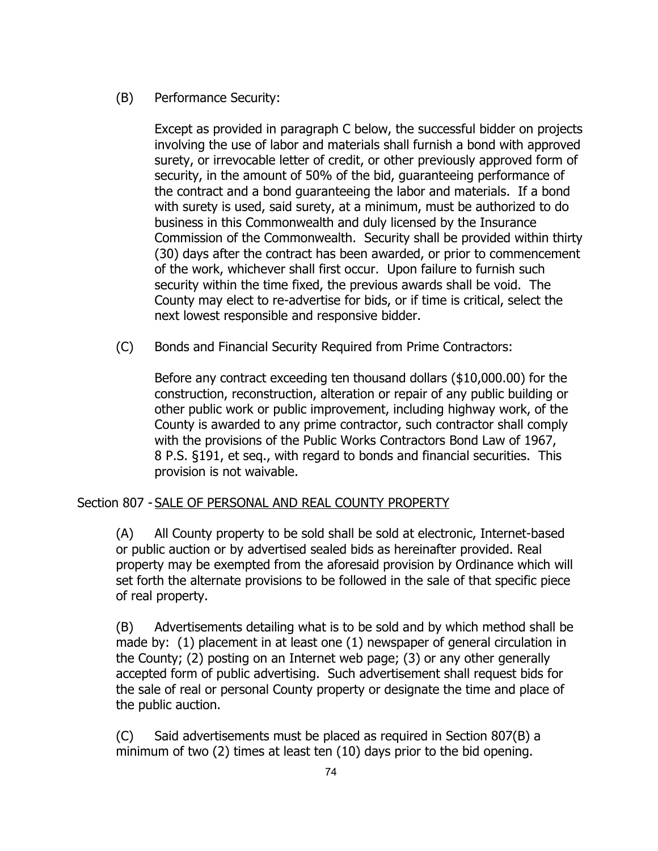# (B) Performance Security:

Except as provided in paragraph C below, the successful bidder on projects involving the use of labor and materials shall furnish a bond with approved surety, or irrevocable letter of credit, or other previously approved form of security, in the amount of 50% of the bid, guaranteeing performance of the contract and a bond guaranteeing the labor and materials. If a bond with surety is used, said surety, at a minimum, must be authorized to do business in this Commonwealth and duly licensed by the Insurance Commission of the Commonwealth. Security shall be provided within thirty (30) days after the contract has been awarded, or prior to commencement of the work, whichever shall first occur. Upon failure to furnish such security within the time fixed, the previous awards shall be void. The County may elect to re-advertise for bids, or if time is critical, select the next lowest responsible and responsive bidder.

(C) Bonds and Financial Security Required from Prime Contractors:

Before any contract exceeding ten thousand dollars (\$10,000.00) for the construction, reconstruction, alteration or repair of any public building or other public work or public improvement, including highway work, of the County is awarded to any prime contractor, such contractor shall comply with the provisions of the Public Works Contractors Bond Law of 1967, 8 P.S. §191, et seq., with regard to bonds and financial securities. This provision is not waivable.

# Section 807 - SALE OF PERSONAL AND REAL COUNTY PROPERTY

(A) All County property to be sold shall be sold at electronic, Internet-based or public auction or by advertised sealed bids as hereinafter provided. Real property may be exempted from the aforesaid provision by Ordinance which will set forth the alternate provisions to be followed in the sale of that specific piece of real property.

(B) Advertisements detailing what is to be sold and by which method shall be made by: (1) placement in at least one (1) newspaper of general circulation in the County; (2) posting on an Internet web page; (3) or any other generally accepted form of public advertising. Such advertisement shall request bids for the sale of real or personal County property or designate the time and place of the public auction.

(C) Said advertisements must be placed as required in Section 807(B) a minimum of two (2) times at least ten (10) days prior to the bid opening.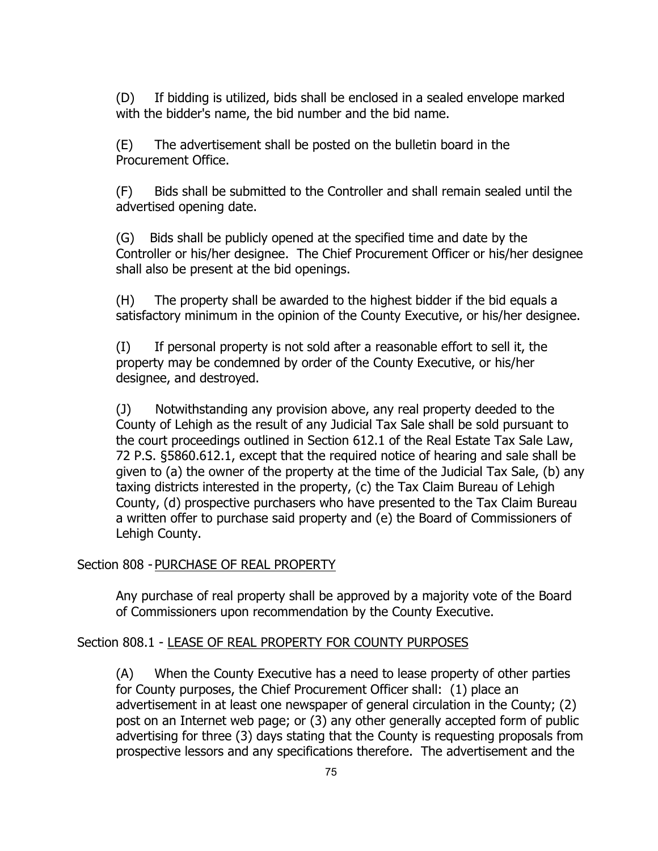(D) If bidding is utilized, bids shall be enclosed in a sealed envelope marked with the bidder's name, the bid number and the bid name.

(E) The advertisement shall be posted on the bulletin board in the Procurement Office.

(F) Bids shall be submitted to the Controller and shall remain sealed until the advertised opening date.

(G) Bids shall be publicly opened at the specified time and date by the Controller or his/her designee. The Chief Procurement Officer or his/her designee shall also be present at the bid openings.

(H) The property shall be awarded to the highest bidder if the bid equals a satisfactory minimum in the opinion of the County Executive, or his/her designee.

(I) If personal property is not sold after a reasonable effort to sell it, the property may be condemned by order of the County Executive, or his/her designee, and destroyed.

(J) Notwithstanding any provision above, any real property deeded to the County of Lehigh as the result of any Judicial Tax Sale shall be sold pursuant to the court proceedings outlined in Section 612.1 of the Real Estate Tax Sale Law, 72 P.S. §5860.612.1, except that the required notice of hearing and sale shall be given to (a) the owner of the property at the time of the Judicial Tax Sale, (b) any taxing districts interested in the property, (c) the Tax Claim Bureau of Lehigh County, (d) prospective purchasers who have presented to the Tax Claim Bureau a written offer to purchase said property and (e) the Board of Commissioners of Lehigh County.

### Section 808 - PURCHASE OF REAL PROPERTY

Any purchase of real property shall be approved by a majority vote of the Board of Commissioners upon recommendation by the County Executive.

### Section 808.1 - LEASE OF REAL PROPERTY FOR COUNTY PURPOSES

(A) When the County Executive has a need to lease property of other parties for County purposes, the Chief Procurement Officer shall: (1) place an advertisement in at least one newspaper of general circulation in the County; (2) post on an Internet web page; or (3) any other generally accepted form of public advertising for three (3) days stating that the County is requesting proposals from prospective lessors and any specifications therefore. The advertisement and the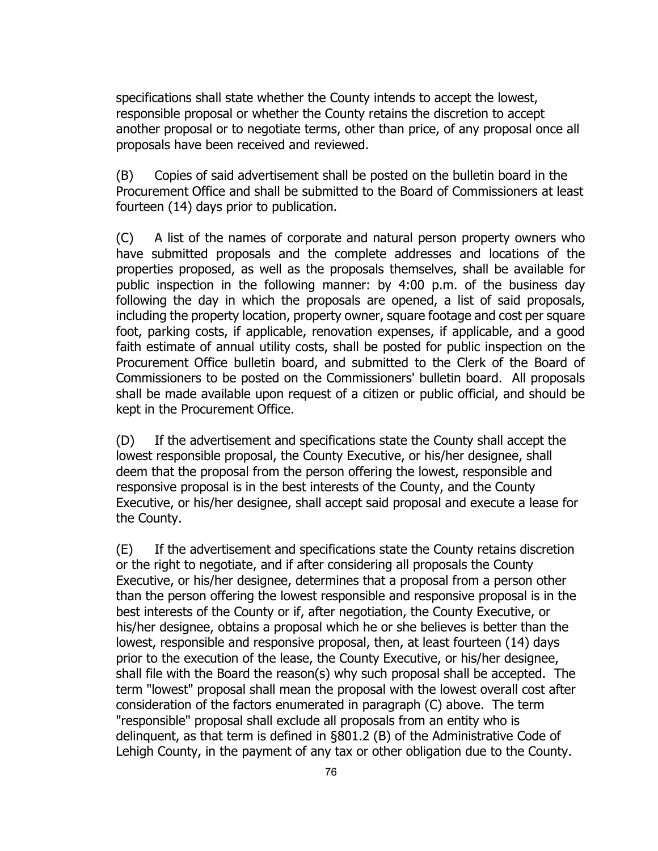specifications shall state whether the County intends to accept the lowest, responsible proposal or whether the County retains the discretion to accept another proposal or to negotiate terms, other than price, of any proposal once all proposals have been received and reviewed.

(B) Copies of said advertisement shall be posted on the bulletin board in the Procurement Office and shall be submitted to the Board of Commissioners at least fourteen (14) days prior to publication.

(C) A list of the names of corporate and natural person property owners who have submitted proposals and the complete addresses and locations of the properties proposed, as well as the proposals themselves, shall be available for public inspection in the following manner: by 4:00 p.m. of the business day following the day in which the proposals are opened, a list of said proposals, including the property location, property owner, square footage and cost per square foot, parking costs, if applicable, renovation expenses, if applicable, and a good faith estimate of annual utility costs, shall be posted for public inspection on the Procurement Office bulletin board, and submitted to the Clerk of the Board of Commissioners to be posted on the Commissioners' bulletin board. All proposals shall be made available upon request of a citizen or public official, and should be kept in the Procurement Office.

(D) If the advertisement and specifications state the County shall accept the lowest responsible proposal, the County Executive, or his/her designee, shall deem that the proposal from the person offering the lowest, responsible and responsive proposal is in the best interests of the County, and the County Executive, or his/her designee, shall accept said proposal and execute a lease for the County.

(E) If the advertisement and specifications state the County retains discretion or the right to negotiate, and if after considering all proposals the County Executive, or his/her designee, determines that a proposal from a person other than the person offering the lowest responsible and responsive proposal is in the best interests of the County or if, after negotiation, the County Executive, or his/her designee, obtains a proposal which he or she believes is better than the lowest, responsible and responsive proposal, then, at least fourteen (14) days prior to the execution of the lease, the County Executive, or his/her designee, shall file with the Board the reason(s) why such proposal shall be accepted. The term "lowest" proposal shall mean the proposal with the lowest overall cost after consideration of the factors enumerated in paragraph (C) above. The term "responsible" proposal shall exclude all proposals from an entity who is delinquent, as that term is defined in §801.2 (B) of the Administrative Code of Lehigh County, in the payment of any tax or other obligation due to the County.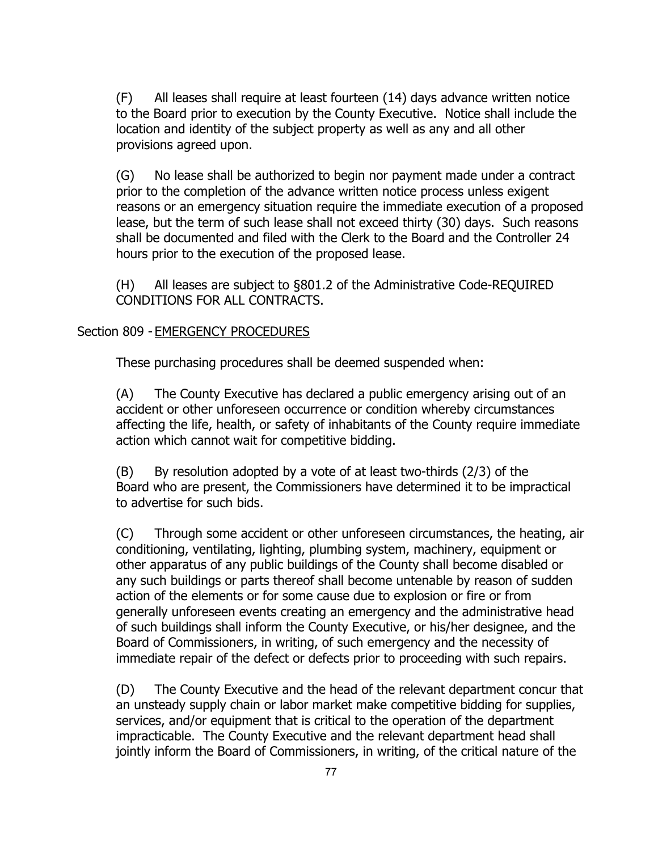(F) All leases shall require at least fourteen (14) days advance written notice to the Board prior to execution by the County Executive. Notice shall include the location and identity of the subject property as well as any and all other provisions agreed upon.

(G) No lease shall be authorized to begin nor payment made under a contract prior to the completion of the advance written notice process unless exigent reasons or an emergency situation require the immediate execution of a proposed lease, but the term of such lease shall not exceed thirty (30) days. Such reasons shall be documented and filed with the Clerk to the Board and the Controller 24 hours prior to the execution of the proposed lease.

(H) All leases are subject to §801.2 of the Administrative Code-REQUIRED CONDITIONS FOR ALL CONTRACTS.

#### Section 809 - EMERGENCY PROCEDURES

These purchasing procedures shall be deemed suspended when:

(A) The County Executive has declared a public emergency arising out of an accident or other unforeseen occurrence or condition whereby circumstances affecting the life, health, or safety of inhabitants of the County require immediate action which cannot wait for competitive bidding.

 $(B)$  By resolution adopted by a vote of at least two-thirds  $(2/3)$  of the Board who are present, the Commissioners have determined it to be impractical to advertise for such bids.

(C) Through some accident or other unforeseen circumstances, the heating, air conditioning, ventilating, lighting, plumbing system, machinery, equipment or other apparatus of any public buildings of the County shall become disabled or any such buildings or parts thereof shall become untenable by reason of sudden action of the elements or for some cause due to explosion or fire or from generally unforeseen events creating an emergency and the administrative head of such buildings shall inform the County Executive, or his/her designee, and the Board of Commissioners, in writing, of such emergency and the necessity of immediate repair of the defect or defects prior to proceeding with such repairs.

(D) The County Executive and the head of the relevant department concur that an unsteady supply chain or labor market make competitive bidding for supplies, services, and/or equipment that is critical to the operation of the department impracticable. The County Executive and the relevant department head shall jointly inform the Board of Commissioners, in writing, of the critical nature of the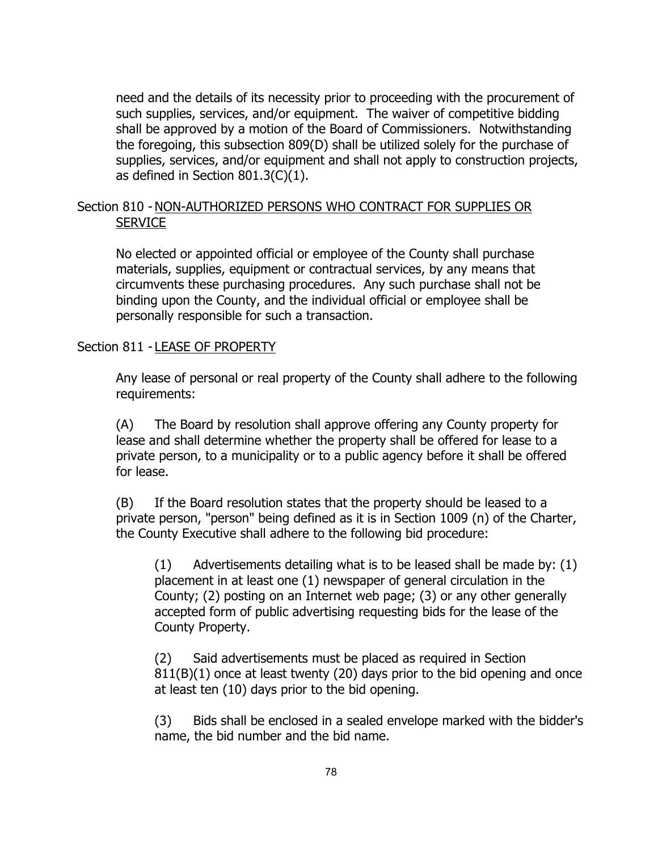need and the details of its necessity prior to proceeding with the procurement of such supplies, services, and/or equipment. The waiver of competitive bidding shall be approved by a motion of the Board of Commissioners. Notwithstanding the foregoing, this subsection 809(D) shall be utilized solely for the purchase of supplies, services, and/or equipment and shall not apply to construction projects, as defined in Section 801.3(C)(1).

## Section 810 - NON-AUTHORIZED PERSONS WHO CONTRACT FOR SUPPLIES OR **SERVICE**

No elected or appointed official or employee of the County shall purchase materials, supplies, equipment or contractual services, by any means that circumvents these purchasing procedures. Any such purchase shall not be binding upon the County, and the individual official or employee shall be personally responsible for such a transaction.

### Section 811 - LEASE OF PROPERTY

Any lease of personal or real property of the County shall adhere to the following requirements:

(A) The Board by resolution shall approve offering any County property for lease and shall determine whether the property shall be offered for lease to a private person, to a municipality or to a public agency before it shall be offered for lease.

(B) If the Board resolution states that the property should be leased to a private person, "person" being defined as it is in Section 1009 (n) of the Charter, the County Executive shall adhere to the following bid procedure:

 $(1)$  Advertisements detailing what is to be leased shall be made by:  $(1)$ placement in at least one (1) newspaper of general circulation in the County; (2) posting on an Internet web page; (3) or any other generally accepted form of public advertising requesting bids for the lease of the County Property.

(2) Said advertisements must be placed as required in Section 811(B)(1) once at least twenty (20) days prior to the bid opening and once at least ten (10) days prior to the bid opening.

(3) Bids shall be enclosed in a sealed envelope marked with the bidder's name, the bid number and the bid name.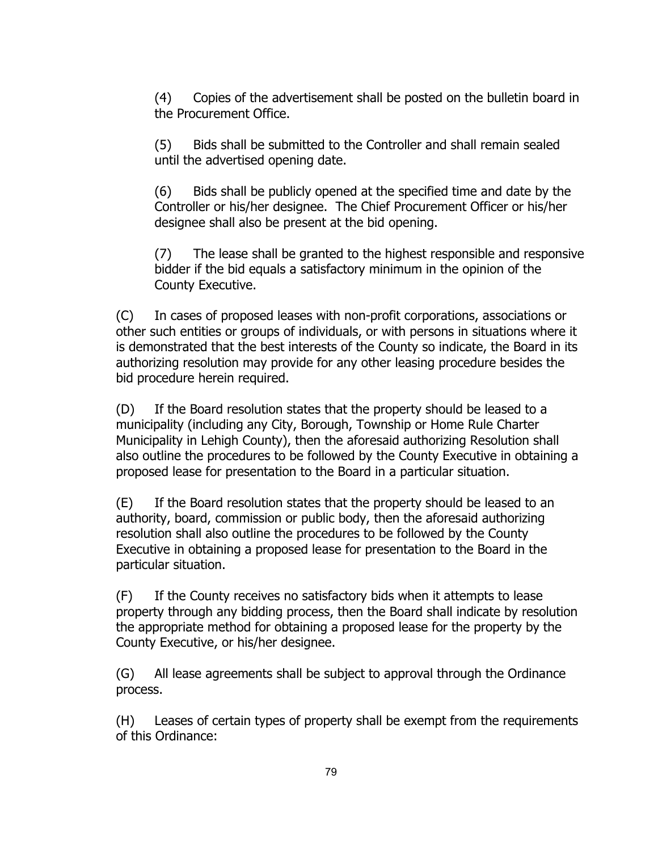(4) Copies of the advertisement shall be posted on the bulletin board in the Procurement Office.

(5) Bids shall be submitted to the Controller and shall remain sealed until the advertised opening date.

(6) Bids shall be publicly opened at the specified time and date by the Controller or his/her designee. The Chief Procurement Officer or his/her designee shall also be present at the bid opening.

(7) The lease shall be granted to the highest responsible and responsive bidder if the bid equals a satisfactory minimum in the opinion of the County Executive.

(C) In cases of proposed leases with non-profit corporations, associations or other such entities or groups of individuals, or with persons in situations where it is demonstrated that the best interests of the County so indicate, the Board in its authorizing resolution may provide for any other leasing procedure besides the bid procedure herein required.

(D) If the Board resolution states that the property should be leased to a municipality (including any City, Borough, Township or Home Rule Charter Municipality in Lehigh County), then the aforesaid authorizing Resolution shall also outline the procedures to be followed by the County Executive in obtaining a proposed lease for presentation to the Board in a particular situation.

(E) If the Board resolution states that the property should be leased to an authority, board, commission or public body, then the aforesaid authorizing resolution shall also outline the procedures to be followed by the County Executive in obtaining a proposed lease for presentation to the Board in the particular situation.

(F) If the County receives no satisfactory bids when it attempts to lease property through any bidding process, then the Board shall indicate by resolution the appropriate method for obtaining a proposed lease for the property by the County Executive, or his/her designee.

(G) All lease agreements shall be subject to approval through the Ordinance process.

(H) Leases of certain types of property shall be exempt from the requirements of this Ordinance: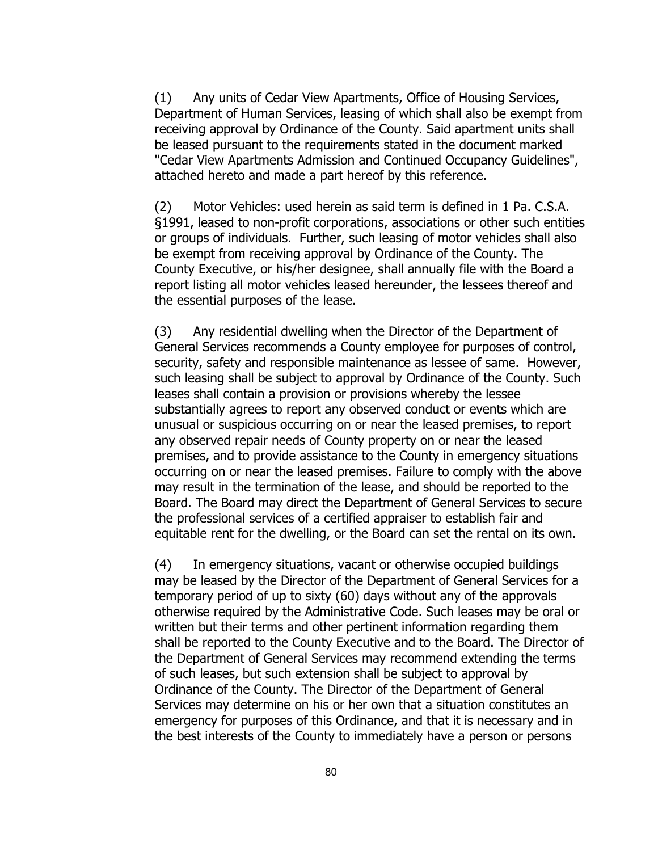(1) Any units of Cedar View Apartments, Office of Housing Services, Department of Human Services, leasing of which shall also be exempt from receiving approval by Ordinance of the County. Said apartment units shall be leased pursuant to the requirements stated in the document marked "Cedar View Apartments Admission and Continued Occupancy Guidelines", attached hereto and made a part hereof by this reference.

(2) Motor Vehicles: used herein as said term is defined in 1 Pa. C.S.A. §1991, leased to non-profit corporations, associations or other such entities or groups of individuals. Further, such leasing of motor vehicles shall also be exempt from receiving approval by Ordinance of the County. The County Executive, or his/her designee, shall annually file with the Board a report listing all motor vehicles leased hereunder, the lessees thereof and the essential purposes of the lease.

(3) Any residential dwelling when the Director of the Department of General Services recommends a County employee for purposes of control, security, safety and responsible maintenance as lessee of same. However, such leasing shall be subject to approval by Ordinance of the County. Such leases shall contain a provision or provisions whereby the lessee substantially agrees to report any observed conduct or events which are unusual or suspicious occurring on or near the leased premises, to report any observed repair needs of County property on or near the leased premises, and to provide assistance to the County in emergency situations occurring on or near the leased premises. Failure to comply with the above may result in the termination of the lease, and should be reported to the Board. The Board may direct the Department of General Services to secure the professional services of a certified appraiser to establish fair and equitable rent for the dwelling, or the Board can set the rental on its own.

(4) In emergency situations, vacant or otherwise occupied buildings may be leased by the Director of the Department of General Services for a temporary period of up to sixty (60) days without any of the approvals otherwise required by the Administrative Code. Such leases may be oral or written but their terms and other pertinent information regarding them shall be reported to the County Executive and to the Board. The Director of the Department of General Services may recommend extending the terms of such leases, but such extension shall be subject to approval by Ordinance of the County. The Director of the Department of General Services may determine on his or her own that a situation constitutes an emergency for purposes of this Ordinance, and that it is necessary and in the best interests of the County to immediately have a person or persons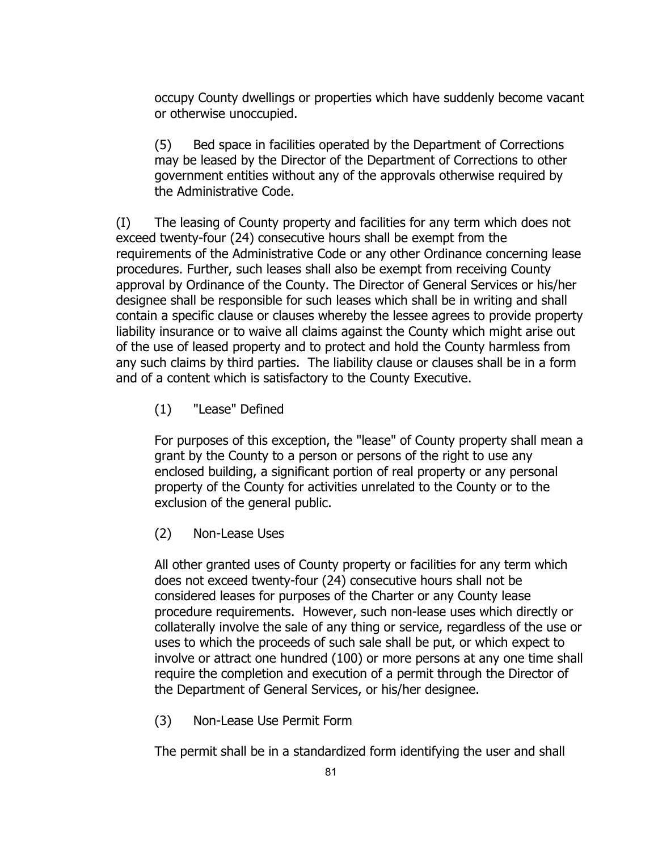occupy County dwellings or properties which have suddenly become vacant or otherwise unoccupied.

(5) Bed space in facilities operated by the Department of Corrections may be leased by the Director of the Department of Corrections to other government entities without any of the approvals otherwise required by the Administrative Code.

(I) The leasing of County property and facilities for any term which does not exceed twenty-four (24) consecutive hours shall be exempt from the requirements of the Administrative Code or any other Ordinance concerning lease procedures. Further, such leases shall also be exempt from receiving County approval by Ordinance of the County. The Director of General Services or his/her designee shall be responsible for such leases which shall be in writing and shall contain a specific clause or clauses whereby the lessee agrees to provide property liability insurance or to waive all claims against the County which might arise out of the use of leased property and to protect and hold the County harmless from any such claims by third parties. The liability clause or clauses shall be in a form and of a content which is satisfactory to the County Executive.

(1) "Lease" Defined

For purposes of this exception, the "lease" of County property shall mean a grant by the County to a person or persons of the right to use any enclosed building, a significant portion of real property or any personal property of the County for activities unrelated to the County or to the exclusion of the general public.

(2) Non-Lease Uses

All other granted uses of County property or facilities for any term which does not exceed twenty-four (24) consecutive hours shall not be considered leases for purposes of the Charter or any County lease procedure requirements. However, such non-lease uses which directly or collaterally involve the sale of any thing or service, regardless of the use or uses to which the proceeds of such sale shall be put, or which expect to involve or attract one hundred (100) or more persons at any one time shall require the completion and execution of a permit through the Director of the Department of General Services, or his/her designee.

(3) Non-Lease Use Permit Form

The permit shall be in a standardized form identifying the user and shall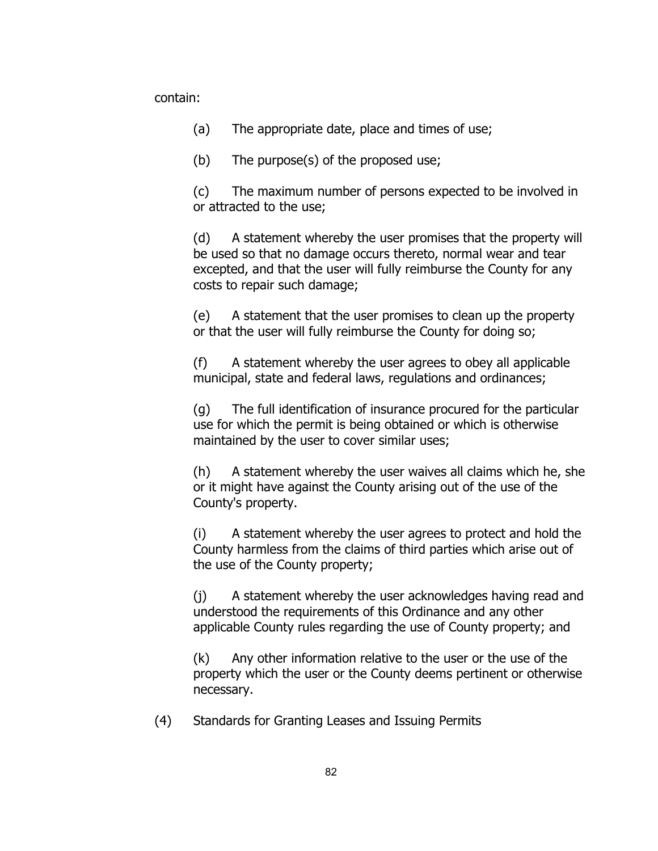contain:

(a) The appropriate date, place and times of use;

(b) The purpose(s) of the proposed use;

(c) The maximum number of persons expected to be involved in or attracted to the use;

(d) A statement whereby the user promises that the property will be used so that no damage occurs thereto, normal wear and tear excepted, and that the user will fully reimburse the County for any costs to repair such damage;

(e) A statement that the user promises to clean up the property or that the user will fully reimburse the County for doing so;

(f) A statement whereby the user agrees to obey all applicable municipal, state and federal laws, regulations and ordinances;

(g) The full identification of insurance procured for the particular use for which the permit is being obtained or which is otherwise maintained by the user to cover similar uses;

(h) A statement whereby the user waives all claims which he, she or it might have against the County arising out of the use of the County's property.

(i) A statement whereby the user agrees to protect and hold the County harmless from the claims of third parties which arise out of the use of the County property;

(j) A statement whereby the user acknowledges having read and understood the requirements of this Ordinance and any other applicable County rules regarding the use of County property; and

(k) Any other information relative to the user or the use of the property which the user or the County deems pertinent or otherwise necessary.

(4) Standards for Granting Leases and Issuing Permits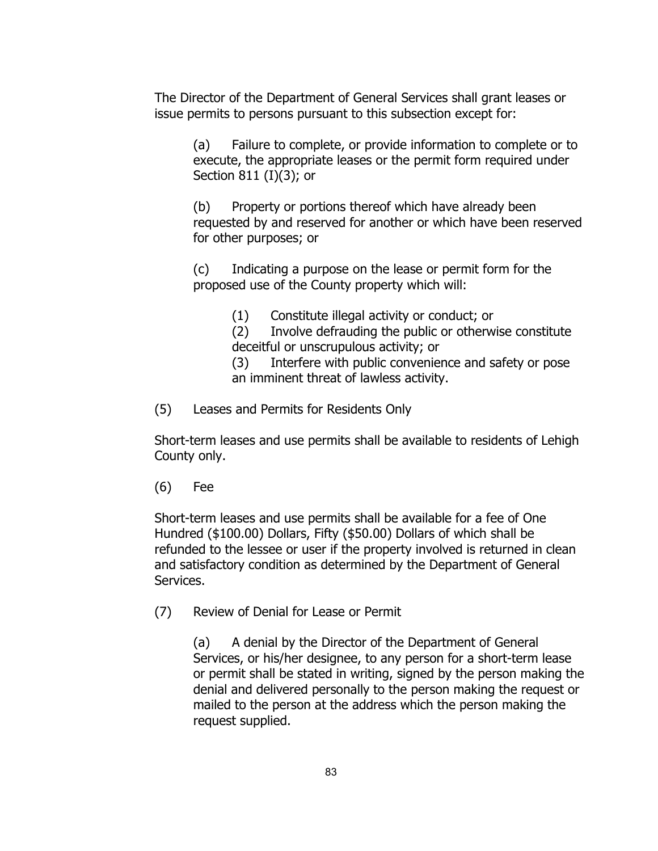The Director of the Department of General Services shall grant leases or issue permits to persons pursuant to this subsection except for:

(a) Failure to complete, or provide information to complete or to execute, the appropriate leases or the permit form required under Section 811 (I)(3); or

(b) Property or portions thereof which have already been requested by and reserved for another or which have been reserved for other purposes; or

(c) Indicating a purpose on the lease or permit form for the proposed use of the County property which will:

(1) Constitute illegal activity or conduct; or

(2) Involve defrauding the public or otherwise constitute deceitful or unscrupulous activity; or

(3) Interfere with public convenience and safety or pose an imminent threat of lawless activity.

(5) Leases and Permits for Residents Only

Short-term leases and use permits shall be available to residents of Lehigh County only.

(6) Fee

Short-term leases and use permits shall be available for a fee of One Hundred (\$100.00) Dollars, Fifty (\$50.00) Dollars of which shall be refunded to the lessee or user if the property involved is returned in clean and satisfactory condition as determined by the Department of General Services.

(7) Review of Denial for Lease or Permit

(a) A denial by the Director of the Department of General Services, or his/her designee, to any person for a short-term lease or permit shall be stated in writing, signed by the person making the denial and delivered personally to the person making the request or mailed to the person at the address which the person making the request supplied.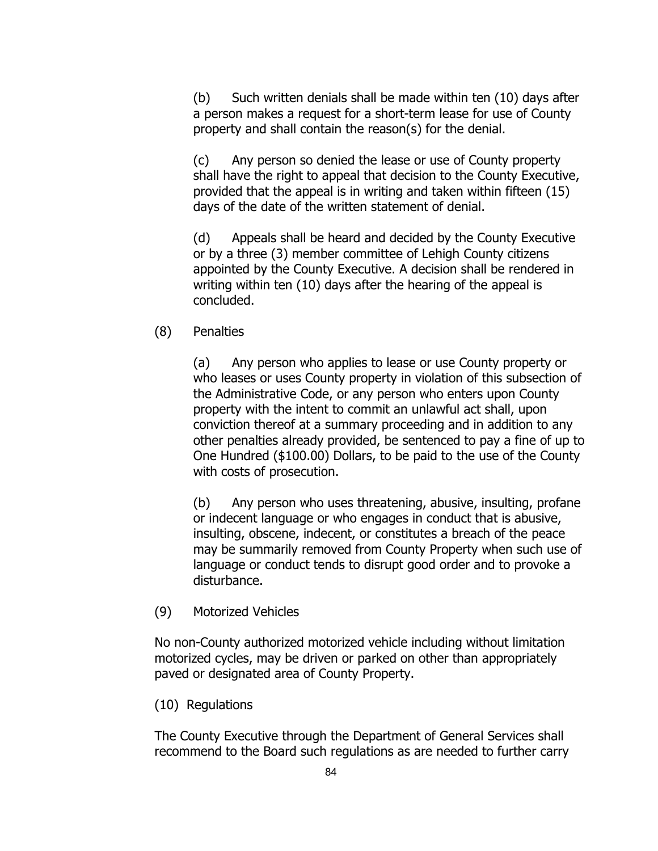(b) Such written denials shall be made within ten (10) days after a person makes a request for a short-term lease for use of County property and shall contain the reason(s) for the denial.

(c) Any person so denied the lease or use of County property shall have the right to appeal that decision to the County Executive, provided that the appeal is in writing and taken within fifteen (15) days of the date of the written statement of denial.

(d) Appeals shall be heard and decided by the County Executive or by a three (3) member committee of Lehigh County citizens appointed by the County Executive. A decision shall be rendered in writing within ten (10) days after the hearing of the appeal is concluded.

(8) Penalties

(a) Any person who applies to lease or use County property or who leases or uses County property in violation of this subsection of the Administrative Code, or any person who enters upon County property with the intent to commit an unlawful act shall, upon conviction thereof at a summary proceeding and in addition to any other penalties already provided, be sentenced to pay a fine of up to One Hundred (\$100.00) Dollars, to be paid to the use of the County with costs of prosecution.

(b) Any person who uses threatening, abusive, insulting, profane or indecent language or who engages in conduct that is abusive, insulting, obscene, indecent, or constitutes a breach of the peace may be summarily removed from County Property when such use of language or conduct tends to disrupt good order and to provoke a disturbance.

(9) Motorized Vehicles

No non-County authorized motorized vehicle including without limitation motorized cycles, may be driven or parked on other than appropriately paved or designated area of County Property.

(10) Regulations

The County Executive through the Department of General Services shall recommend to the Board such regulations as are needed to further carry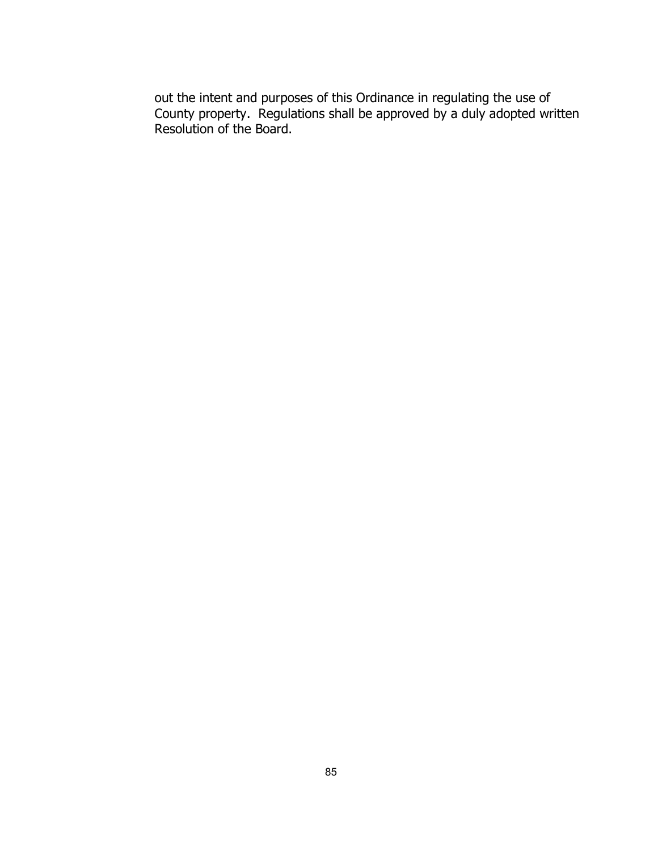out the intent and purposes of this Ordinance in regulating the use of County property. Regulations shall be approved by a duly adopted written Resolution of the Board.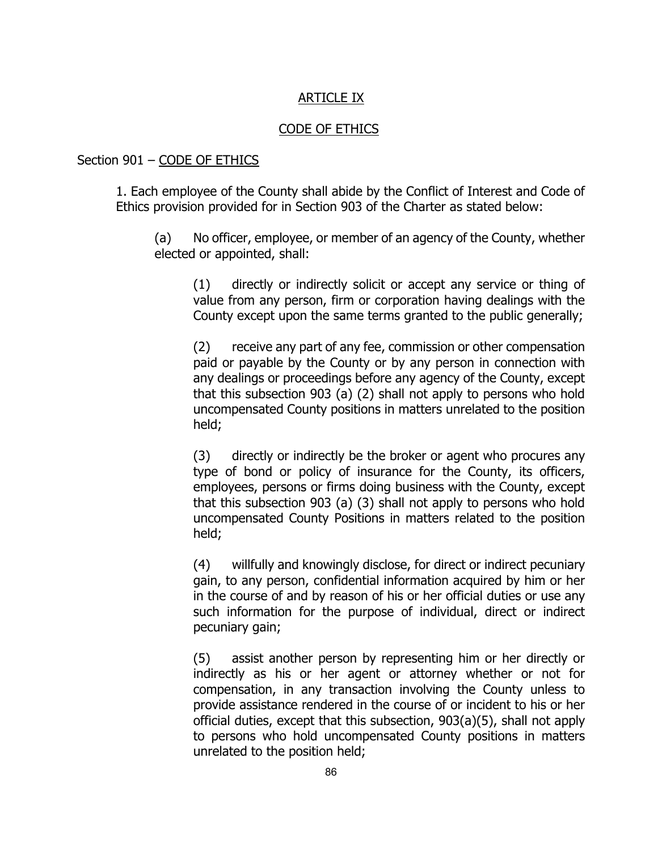# ARTICLE IX

#### CODE OF ETHICS

## Section 901 – CODE OF ETHICS

1. Each employee of the County shall abide by the Conflict of Interest and Code of Ethics provision provided for in Section 903 of the Charter as stated below:

(a) No officer, employee, or member of an agency of the County, whether elected or appointed, shall:

(1) directly or indirectly solicit or accept any service or thing of value from any person, firm or corporation having dealings with the County except upon the same terms granted to the public generally;

(2) receive any part of any fee, commission or other compensation paid or payable by the County or by any person in connection with any dealings or proceedings before any agency of the County, except that this subsection 903 (a) (2) shall not apply to persons who hold uncompensated County positions in matters unrelated to the position held;

(3) directly or indirectly be the broker or agent who procures any type of bond or policy of insurance for the County, its officers, employees, persons or firms doing business with the County, except that this subsection 903 (a) (3) shall not apply to persons who hold uncompensated County Positions in matters related to the position held;

(4) willfully and knowingly disclose, for direct or indirect pecuniary gain, to any person, confidential information acquired by him or her in the course of and by reason of his or her official duties or use any such information for the purpose of individual, direct or indirect pecuniary gain;

(5) assist another person by representing him or her directly or indirectly as his or her agent or attorney whether or not for compensation, in any transaction involving the County unless to provide assistance rendered in the course of or incident to his or her official duties, except that this subsection, 903(a)(5), shall not apply to persons who hold uncompensated County positions in matters unrelated to the position held;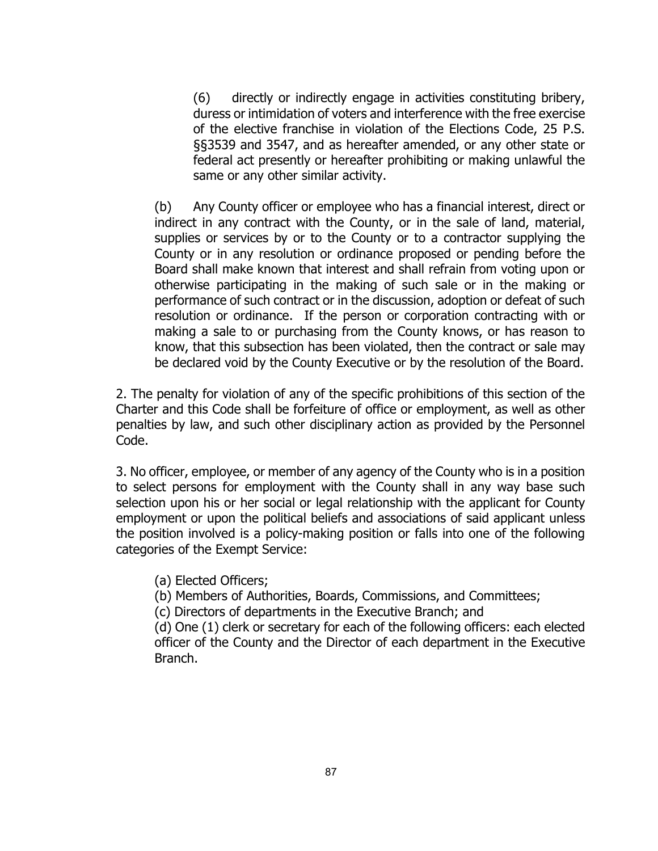(6) directly or indirectly engage in activities constituting bribery, duress or intimidation of voters and interference with the free exercise of the elective franchise in violation of the Elections Code, 25 P.S. §§3539 and 3547, and as hereafter amended, or any other state or federal act presently or hereafter prohibiting or making unlawful the same or any other similar activity.

(b) Any County officer or employee who has a financial interest, direct or indirect in any contract with the County, or in the sale of land, material, supplies or services by or to the County or to a contractor supplying the County or in any resolution or ordinance proposed or pending before the Board shall make known that interest and shall refrain from voting upon or otherwise participating in the making of such sale or in the making or performance of such contract or in the discussion, adoption or defeat of such resolution or ordinance. If the person or corporation contracting with or making a sale to or purchasing from the County knows, or has reason to know, that this subsection has been violated, then the contract or sale may be declared void by the County Executive or by the resolution of the Board.

2. The penalty for violation of any of the specific prohibitions of this section of the Charter and this Code shall be forfeiture of office or employment, as well as other penalties by law, and such other disciplinary action as provided by the Personnel Code.

3. No officer, employee, or member of any agency of the County who is in a position to select persons for employment with the County shall in any way base such selection upon his or her social or legal relationship with the applicant for County employment or upon the political beliefs and associations of said applicant unless the position involved is a policy-making position or falls into one of the following categories of the Exempt Service:

(a) Elected Officers;

(b) Members of Authorities, Boards, Commissions, and Committees;

(c) Directors of departments in the Executive Branch; and

(d) One (1) clerk or secretary for each of the following officers: each elected officer of the County and the Director of each department in the Executive Branch.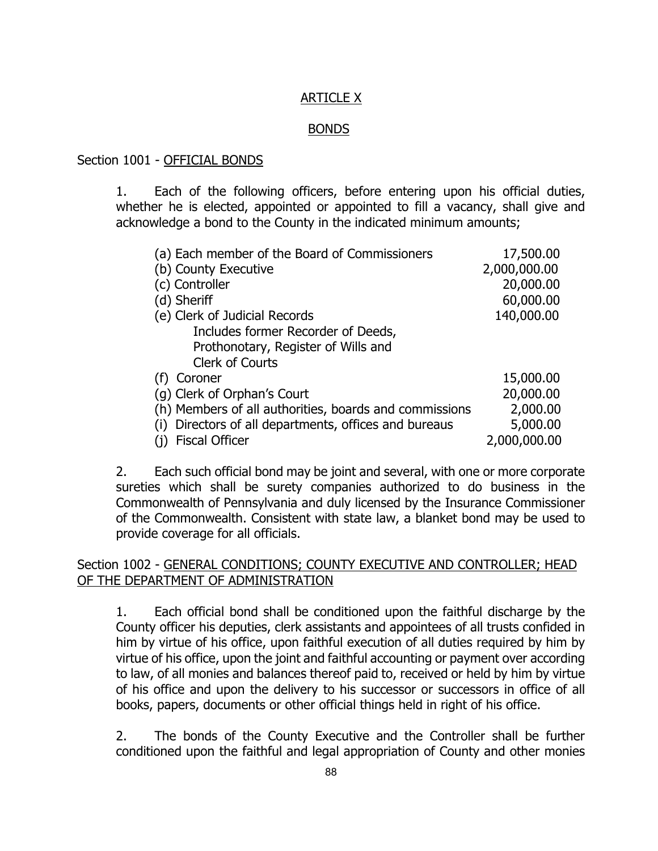# ARTICLE X

### BONDS

### Section 1001 - OFFICIAL BONDS

1. Each of the following officers, before entering upon his official duties, whether he is elected, appointed or appointed to fill a vacancy, shall give and acknowledge a bond to the County in the indicated minimum amounts;

| (a) Each member of the Board of Commissioners          | 17,500.00    |
|--------------------------------------------------------|--------------|
| (b) County Executive                                   | 2,000,000.00 |
| (c) Controller                                         | 20,000.00    |
| (d) Sheriff                                            | 60,000.00    |
| (e) Clerk of Judicial Records                          | 140,000.00   |
| Includes former Recorder of Deeds,                     |              |
| Prothonotary, Register of Wills and                    |              |
| <b>Clerk of Courts</b>                                 |              |
| Coroner<br>(f)                                         | 15,000.00    |
| (g) Clerk of Orphan's Court                            | 20,000.00    |
| (h) Members of all authorities, boards and commissions | 2,000.00     |
| Directors of all departments, offices and bureaus      | 5,000.00     |
| <b>Fiscal Officer</b>                                  | 2,000,000.00 |

2. Each such official bond may be joint and several, with one or more corporate sureties which shall be surety companies authorized to do business in the Commonwealth of Pennsylvania and duly licensed by the Insurance Commissioner of the Commonwealth. Consistent with state law, a blanket bond may be used to provide coverage for all officials.

## Section 1002 - GENERAL CONDITIONS; COUNTY EXECUTIVE AND CONTROLLER; HEAD OF THE DEPARTMENT OF ADMINISTRATION

1. Each official bond shall be conditioned upon the faithful discharge by the County officer his deputies, clerk assistants and appointees of all trusts confided in him by virtue of his office, upon faithful execution of all duties required by him by virtue of his office, upon the joint and faithful accounting or payment over according to law, of all monies and balances thereof paid to, received or held by him by virtue of his office and upon the delivery to his successor or successors in office of all books, papers, documents or other official things held in right of his office.

2. The bonds of the County Executive and the Controller shall be further conditioned upon the faithful and legal appropriation of County and other monies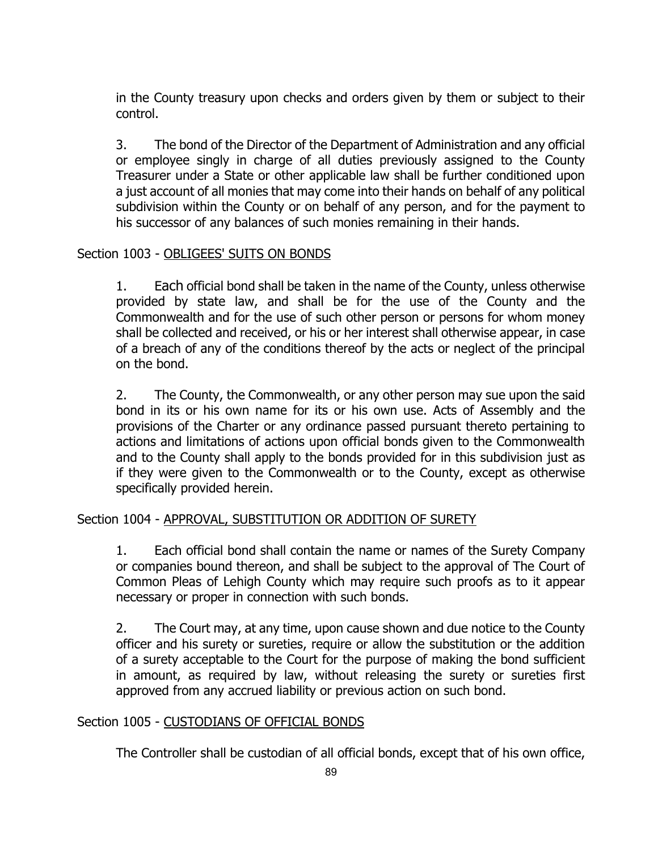in the County treasury upon checks and orders given by them or subject to their control.

3. The bond of the Director of the Department of Administration and any official or employee singly in charge of all duties previously assigned to the County Treasurer under a State or other applicable law shall be further conditioned upon a just account of all monies that may come into their hands on behalf of any political subdivision within the County or on behalf of any person, and for the payment to his successor of any balances of such monies remaining in their hands.

### Section 1003 - OBLIGEES' SUITS ON BONDS

1. Each official bond shall be taken in the name of the County, unless otherwise provided by state law, and shall be for the use of the County and the Commonwealth and for the use of such other person or persons for whom money shall be collected and received, or his or her interest shall otherwise appear, in case of a breach of any of the conditions thereof by the acts or neglect of the principal on the bond.

2. The County, the Commonwealth, or any other person may sue upon the said bond in its or his own name for its or his own use. Acts of Assembly and the provisions of the Charter or any ordinance passed pursuant thereto pertaining to actions and limitations of actions upon official bonds given to the Commonwealth and to the County shall apply to the bonds provided for in this subdivision just as if they were given to the Commonwealth or to the County, except as otherwise specifically provided herein.

### Section 1004 - APPROVAL, SUBSTITUTION OR ADDITION OF SURETY

1. Each official bond shall contain the name or names of the Surety Company or companies bound thereon, and shall be subject to the approval of The Court of Common Pleas of Lehigh County which may require such proofs as to it appear necessary or proper in connection with such bonds.

2. The Court may, at any time, upon cause shown and due notice to the County officer and his surety or sureties, require or allow the substitution or the addition of a surety acceptable to the Court for the purpose of making the bond sufficient in amount, as required by law, without releasing the surety or sureties first approved from any accrued liability or previous action on such bond.

### Section 1005 - CUSTODIANS OF OFFICIAL BONDS

The Controller shall be custodian of all official bonds, except that of his own office,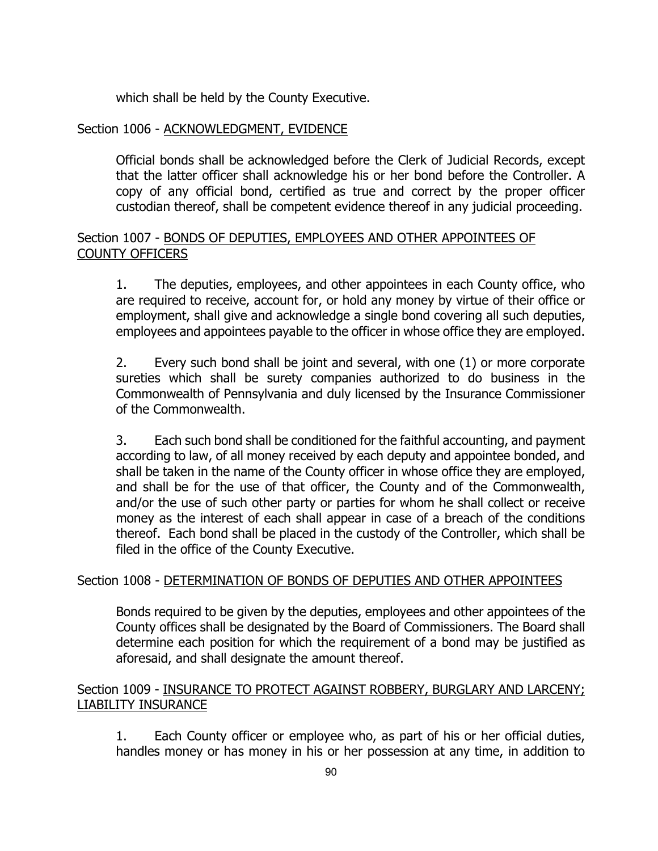which shall be held by the County Executive.

# Section 1006 - ACKNOWLEDGMENT, EVIDENCE

Official bonds shall be acknowledged before the Clerk of Judicial Records, except that the latter officer shall acknowledge his or her bond before the Controller. A copy of any official bond, certified as true and correct by the proper officer custodian thereof, shall be competent evidence thereof in any judicial proceeding.

## Section 1007 - BONDS OF DEPUTIES, EMPLOYEES AND OTHER APPOINTEES OF COUNTY OFFICERS

1. The deputies, employees, and other appointees in each County office, who are required to receive, account for, or hold any money by virtue of their office or employment, shall give and acknowledge a single bond covering all such deputies, employees and appointees payable to the officer in whose office they are employed.

2. Every such bond shall be joint and several, with one (1) or more corporate sureties which shall be surety companies authorized to do business in the Commonwealth of Pennsylvania and duly licensed by the Insurance Commissioner of the Commonwealth.

3. Each such bond shall be conditioned for the faithful accounting, and payment according to law, of all money received by each deputy and appointee bonded, and shall be taken in the name of the County officer in whose office they are employed, and shall be for the use of that officer, the County and of the Commonwealth, and/or the use of such other party or parties for whom he shall collect or receive money as the interest of each shall appear in case of a breach of the conditions thereof. Each bond shall be placed in the custody of the Controller, which shall be filed in the office of the County Executive.

### Section 1008 - DETERMINATION OF BONDS OF DEPUTIES AND OTHER APPOINTEES

Bonds required to be given by the deputies, employees and other appointees of the County offices shall be designated by the Board of Commissioners. The Board shall determine each position for which the requirement of a bond may be justified as aforesaid, and shall designate the amount thereof.

### Section 1009 - INSURANCE TO PROTECT AGAINST ROBBERY, BURGLARY AND LARCENY; LIABILITY INSURANCE

1. Each County officer or employee who, as part of his or her official duties, handles money or has money in his or her possession at any time, in addition to